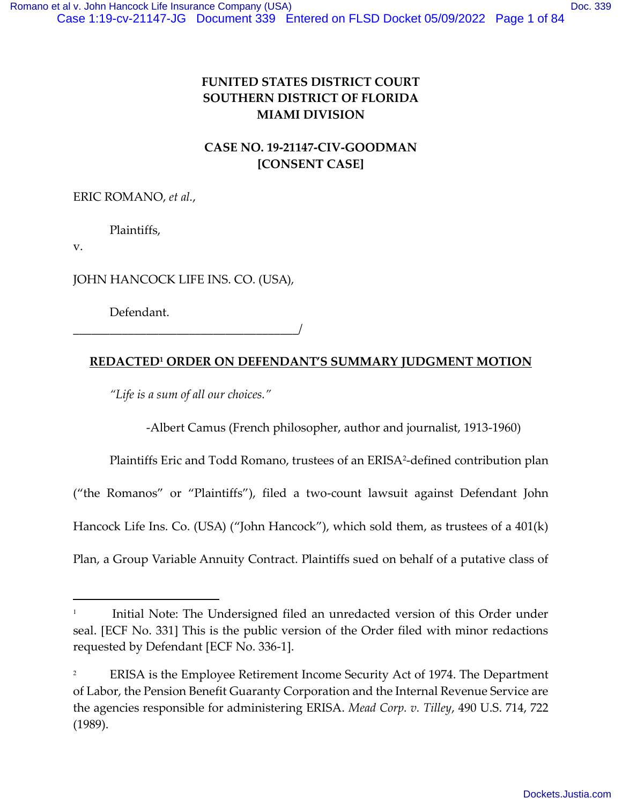# **FUNITED STATES DISTRICT COURT SOUTHERN DISTRICT OF FLORIDA MIAMI DIVISION**

# **CASE NO. 19-21147-CIV-GOODMAN [CONSENT CASE]**

ERIC ROMANO, *et al.*,

Plaintiffs,

v.

JOHN HANCOCK LIFE INS. CO. (USA),

Defendant.

\_\_\_\_\_\_\_\_\_\_\_\_\_\_\_\_\_\_\_\_\_\_\_\_\_\_\_\_\_\_\_\_\_\_\_\_\_/

## **REDACTED<sup>1</sup> ORDER ON DEFENDANT'S SUMMARY JUDGMENT MOTION**

*"Life is a sum of all our choices."*

-Albert Camus (French philosopher, author and journalist, 1913-1960)

Plaintiffs Eric and Todd Romano, trustees of an ERISA<sup>2</sup>-defined contribution plan

("the Romanos" or "Plaintiffs"), filed a two-count lawsuit against Defendant John

Hancock Life Ins. Co. (USA) ("John Hancock"), which sold them, as trustees of a 401(k)

Plan, a Group Variable Annuity Contract. Plaintiffs sued on behalf of a putative class of

<sup>1</sup> Initial Note: The Undersigned filed an unredacted version of this Order under seal. [ECF No. 331] This is the public version of the Order filed with minor redactions requested by Defendant [ECF No. 336-1].

<sup>2</sup> ERISA is the Employee Retirement Income Security Act of 1974. The Department of Labor, the Pension Benefit Guaranty Corporation and the Internal Revenue Service are the agencies responsible for administering ERISA. *Mead Corp. v. Tilley*, 490 U.S. 714, 722 (1989).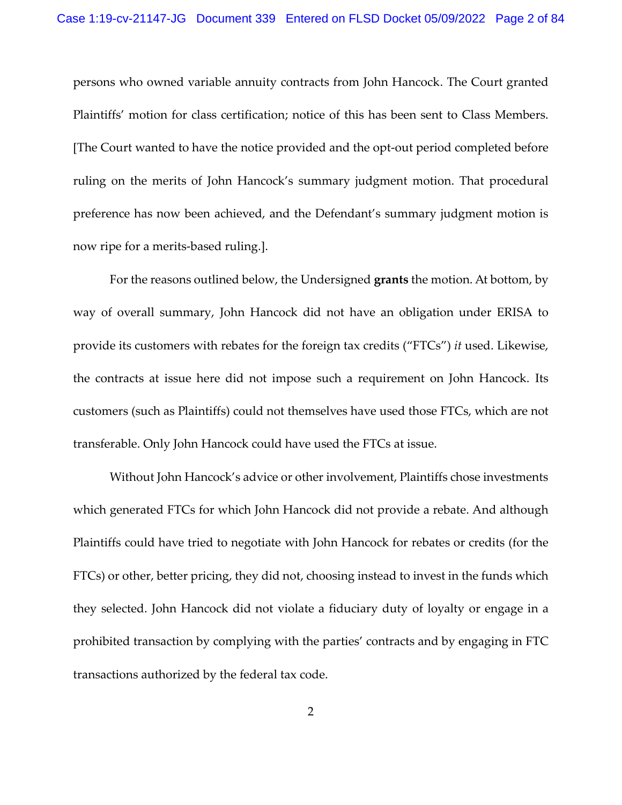persons who owned variable annuity contracts from John Hancock. The Court granted Plaintiffs' motion for class certification; notice of this has been sent to Class Members. [The Court wanted to have the notice provided and the opt-out period completed before ruling on the merits of John Hancock's summary judgment motion. That procedural preference has now been achieved, and the Defendant's summary judgment motion is now ripe for a merits-based ruling.].

For the reasons outlined below, the Undersigned **grants** the motion. At bottom, by way of overall summary, John Hancock did not have an obligation under ERISA to provide its customers with rebates for the foreign tax credits ("FTCs") *it* used. Likewise, the contracts at issue here did not impose such a requirement on John Hancock. Its customers (such as Plaintiffs) could not themselves have used those FTCs, which are not transferable. Only John Hancock could have used the FTCs at issue.

Without John Hancock's advice or other involvement, Plaintiffs chose investments which generated FTCs for which John Hancock did not provide a rebate. And although Plaintiffs could have tried to negotiate with John Hancock for rebates or credits (for the FTCs) or other, better pricing, they did not, choosing instead to invest in the funds which they selected. John Hancock did not violate a fiduciary duty of loyalty or engage in a prohibited transaction by complying with the parties' contracts and by engaging in FTC transactions authorized by the federal tax code.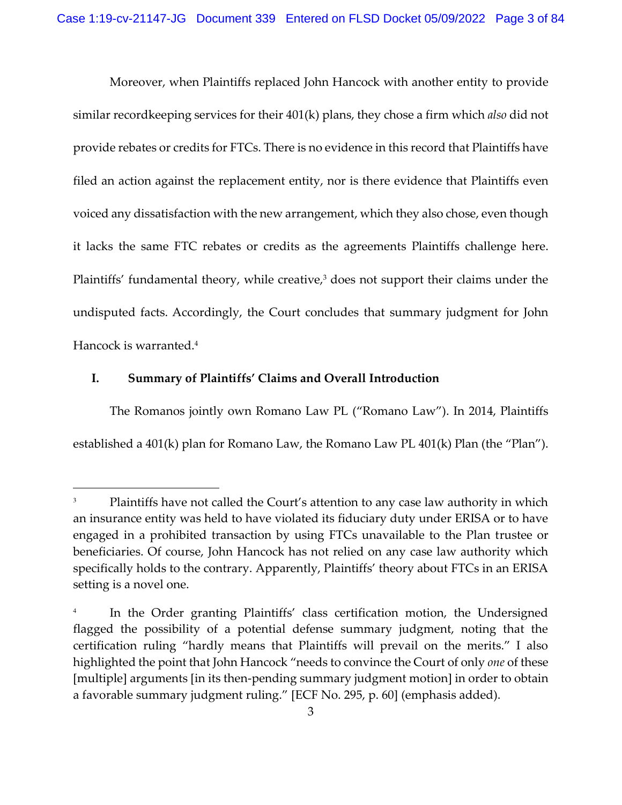Moreover, when Plaintiffs replaced John Hancock with another entity to provide similar recordkeeping services for their 401(k) plans, they chose a firm which *also* did not provide rebates or credits for FTCs. There is no evidence in this record that Plaintiffs have filed an action against the replacement entity, nor is there evidence that Plaintiffs even voiced any dissatisfaction with the new arrangement, which they also chose, even though it lacks the same FTC rebates or credits as the agreements Plaintiffs challenge here. Plaintiffs' fundamental theory, while creative,<sup>3</sup> does not support their claims under the undisputed facts. Accordingly, the Court concludes that summary judgment for John Hancock is warranted.<sup>4</sup>

## **I. Summary of Plaintiffs' Claims and Overall Introduction**

The Romanos jointly own Romano Law PL ("Romano Law"). In 2014, Plaintiffs established a 401(k) plan for Romano Law, the Romano Law PL 401(k) Plan (the "Plan").

Plaintiffs have not called the Court's attention to any case law authority in which an insurance entity was held to have violated its fiduciary duty under ERISA or to have engaged in a prohibited transaction by using FTCs unavailable to the Plan trustee or beneficiaries. Of course, John Hancock has not relied on any case law authority which specifically holds to the contrary. Apparently, Plaintiffs' theory about FTCs in an ERISA setting is a novel one.

<sup>4</sup> In the Order granting Plaintiffs' class certification motion, the Undersigned flagged the possibility of a potential defense summary judgment, noting that the certification ruling "hardly means that Plaintiffs will prevail on the merits." I also highlighted the point that John Hancock "needs to convince the Court of only *one* of these [multiple] arguments [in its then-pending summary judgment motion] in order to obtain a favorable summary judgment ruling." [ECF No. 295, p. 60] (emphasis added).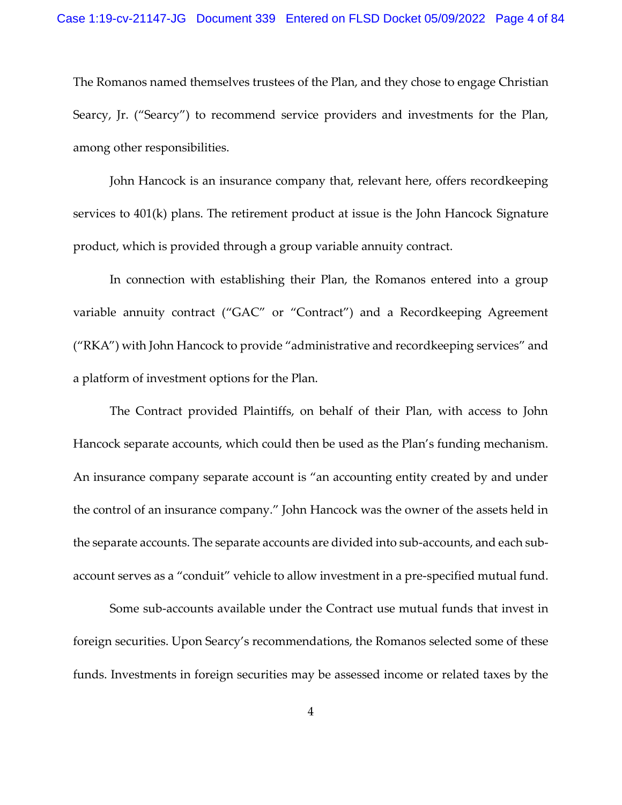The Romanos named themselves trustees of the Plan, and they chose to engage Christian Searcy, Jr. ("Searcy") to recommend service providers and investments for the Plan, among other responsibilities.

John Hancock is an insurance company that, relevant here, offers recordkeeping services to 401(k) plans. The retirement product at issue is the John Hancock Signature product, which is provided through a group variable annuity contract.

In connection with establishing their Plan, the Romanos entered into a group variable annuity contract ("GAC" or "Contract") and a Recordkeeping Agreement ("RKA") with John Hancock to provide "administrative and recordkeeping services" and a platform of investment options for the Plan.

The Contract provided Plaintiffs, on behalf of their Plan, with access to John Hancock separate accounts, which could then be used as the Plan's funding mechanism. An insurance company separate account is "an accounting entity created by and under the control of an insurance company." John Hancock was the owner of the assets held in the separate accounts. The separate accounts are divided into sub-accounts, and each subaccount serves as a "conduit" vehicle to allow investment in a pre-specified mutual fund.

Some sub-accounts available under the Contract use mutual funds that invest in foreign securities. Upon Searcy's recommendations, the Romanos selected some of these funds. Investments in foreign securities may be assessed income or related taxes by the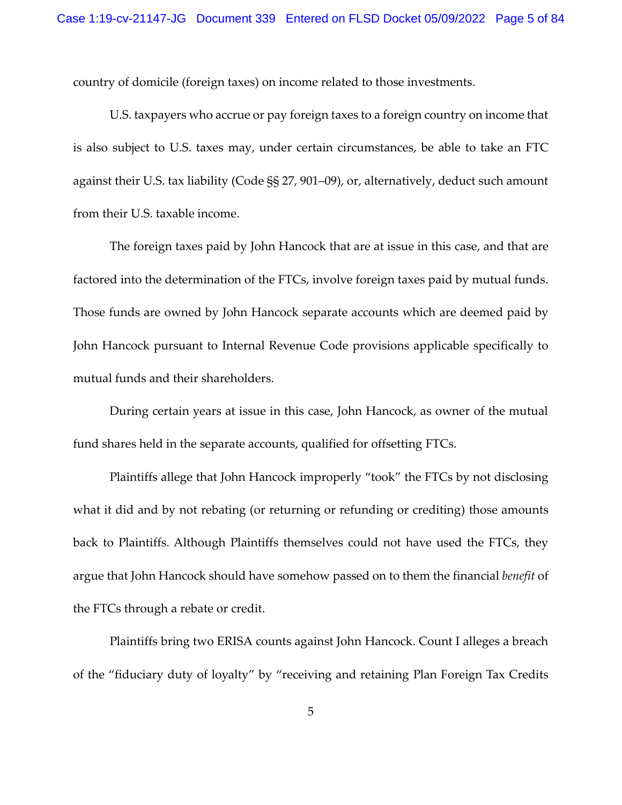country of domicile (foreign taxes) on income related to those investments.

U.S. taxpayers who accrue or pay foreign taxes to a foreign country on income that is also subject to U.S. taxes may, under certain circumstances, be able to take an FTC against their U.S. tax liability (Code §§ 27, 901–09), or, alternatively, deduct such amount from their U.S. taxable income.

The foreign taxes paid by John Hancock that are at issue in this case, and that are factored into the determination of the FTCs, involve foreign taxes paid by mutual funds. Those funds are owned by John Hancock separate accounts which are deemed paid by John Hancock pursuant to Internal Revenue Code provisions applicable specifically to mutual funds and their shareholders.

During certain years at issue in this case, John Hancock, as owner of the mutual fund shares held in the separate accounts, qualified for offsetting FTCs.

Plaintiffs allege that John Hancock improperly "took" the FTCs by not disclosing what it did and by not rebating (or returning or refunding or crediting) those amounts back to Plaintiffs. Although Plaintiffs themselves could not have used the FTCs, they argue that John Hancock should have somehow passed on to them the financial *benefit* of the FTCs through a rebate or credit.

Plaintiffs bring two ERISA counts against John Hancock. Count I alleges a breach of the "fiduciary duty of loyalty" by "receiving and retaining Plan Foreign Tax Credits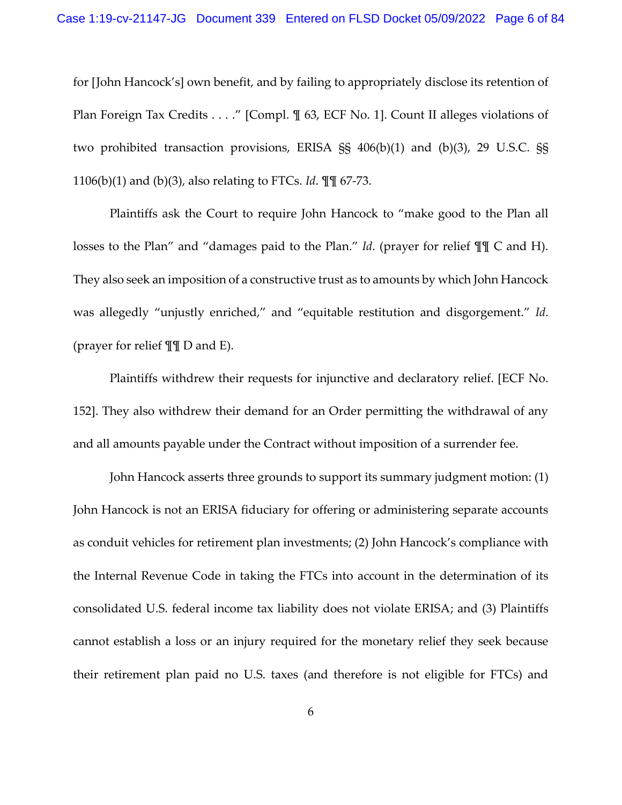for [John Hancock's] own benefit, and by failing to appropriately disclose its retention of Plan Foreign Tax Credits . . . ." [Compl.  $\mathcal{N}$  63, ECF No. 1]. Count II alleges violations of two prohibited transaction provisions, ERISA §§ 406(b)(1) and (b)(3), 29 U.S.C. §§ 1106(b)(1) and (b)(3), also relating to FTCs. *Id*. ¶¶ 67-73.

Plaintiffs ask the Court to require John Hancock to "make good to the Plan all losses to the Plan" and "damages paid to the Plan." *Id*. (prayer for relief ¶¶ C and H). They also seek an imposition of a constructive trust as to amounts by which John Hancock was allegedly "unjustly enriched," and "equitable restitution and disgorgement." *Id.* (prayer for relief ¶¶ D and E).

Plaintiffs withdrew their requests for injunctive and declaratory relief. [ECF No. 152]. They also withdrew their demand for an Order permitting the withdrawal of any and all amounts payable under the Contract without imposition of a surrender fee.

John Hancock asserts three grounds to support its summary judgment motion: (1) John Hancock is not an ERISA fiduciary for offering or administering separate accounts as conduit vehicles for retirement plan investments; (2) John Hancock's compliance with the Internal Revenue Code in taking the FTCs into account in the determination of its consolidated U.S. federal income tax liability does not violate ERISA; and (3) Plaintiffs cannot establish a loss or an injury required for the monetary relief they seek because their retirement plan paid no U.S. taxes (and therefore is not eligible for FTCs) and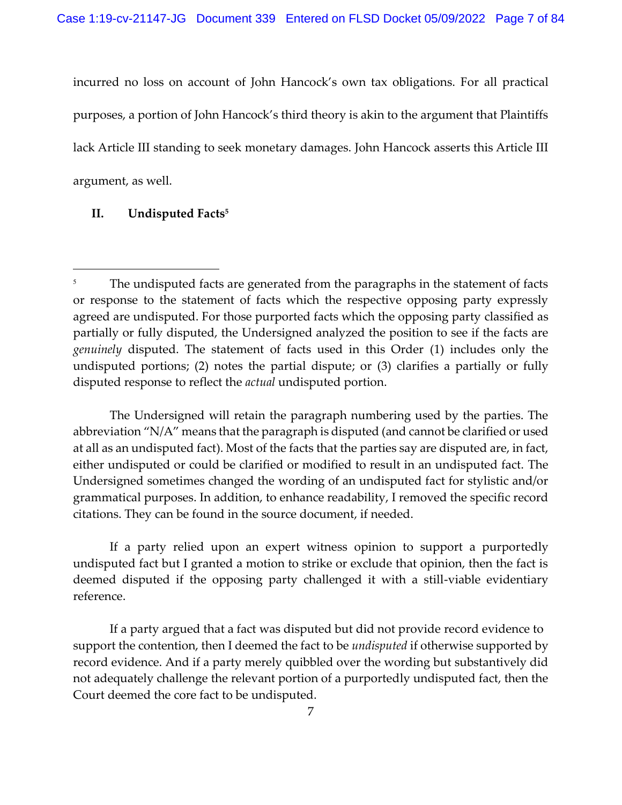incurred no loss on account of John Hancock's own tax obligations. For all practical purposes, a portion of John Hancock's third theory is akin to the argument that Plaintiffs lack Article III standing to seek monetary damages. John Hancock asserts this Article III argument, as well.

## **II. Undisputed Facts<sup>5</sup>**

The Undersigned will retain the paragraph numbering used by the parties. The abbreviation "N/A" means that the paragraph is disputed (and cannot be clarified or used at all as an undisputed fact). Most of the facts that the parties say are disputed are, in fact, either undisputed or could be clarified or modified to result in an undisputed fact. The Undersigned sometimes changed the wording of an undisputed fact for stylistic and/or grammatical purposes. In addition, to enhance readability, I removed the specific record citations. They can be found in the source document, if needed.

If a party relied upon an expert witness opinion to support a purportedly undisputed fact but I granted a motion to strike or exclude that opinion, then the fact is deemed disputed if the opposing party challenged it with a still-viable evidentiary reference.

If a party argued that a fact was disputed but did not provide record evidence to support the contention, then I deemed the fact to be *undisputed* if otherwise supported by record evidence. And if a party merely quibbled over the wording but substantively did not adequately challenge the relevant portion of a purportedly undisputed fact, then the Court deemed the core fact to be undisputed.

The undisputed facts are generated from the paragraphs in the statement of facts or response to the statement of facts which the respective opposing party expressly agreed are undisputed. For those purported facts which the opposing party classified as partially or fully disputed, the Undersigned analyzed the position to see if the facts are *genuinely* disputed. The statement of facts used in this Order (1) includes only the undisputed portions; (2) notes the partial dispute; or (3) clarifies a partially or fully disputed response to reflect the *actual* undisputed portion.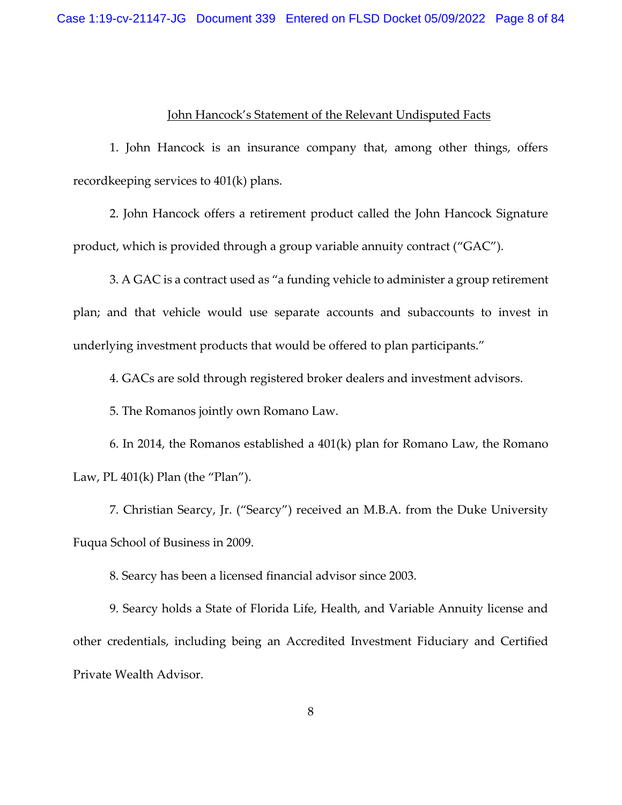#### John Hancock's Statement of the Relevant Undisputed Facts

1. John Hancock is an insurance company that, among other things, offers recordkeeping services to 401(k) plans.

2. John Hancock offers a retirement product called the John Hancock Signature product, which is provided through a group variable annuity contract ("GAC").

3. A GAC is a contract used as "a funding vehicle to administer a group retirement plan; and that vehicle would use separate accounts and subaccounts to invest in underlying investment products that would be offered to plan participants."

4. GACs are sold through registered broker dealers and investment advisors.

5. The Romanos jointly own Romano Law.

6. In 2014, the Romanos established a 401(k) plan for Romano Law, the Romano Law, PL  $401(k)$  Plan (the "Plan").

7. Christian Searcy, Jr. ("Searcy") received an M.B.A. from the Duke University Fuqua School of Business in 2009.

8. Searcy has been a licensed financial advisor since 2003.

9. Searcy holds a State of Florida Life, Health, and Variable Annuity license and other credentials, including being an Accredited Investment Fiduciary and Certified Private Wealth Advisor.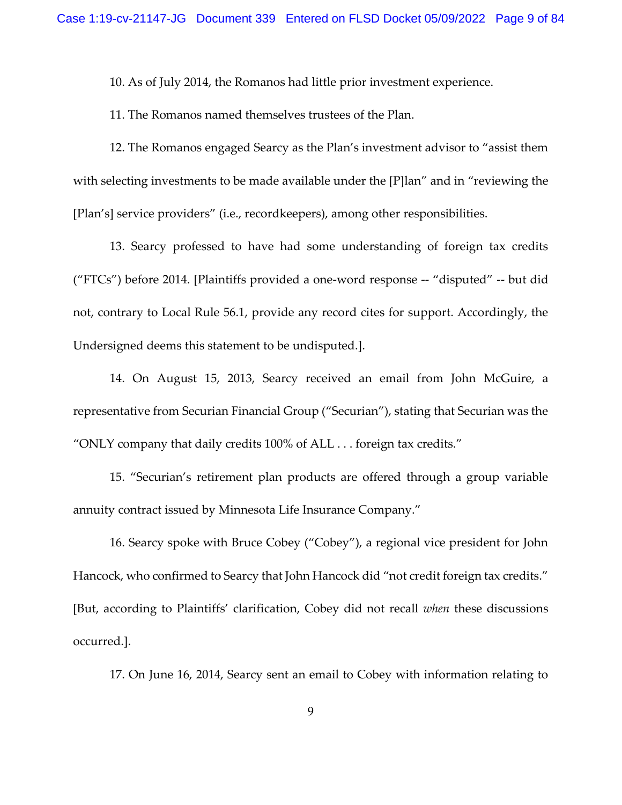10. As of July 2014, the Romanos had little prior investment experience.

11. The Romanos named themselves trustees of the Plan.

12. The Romanos engaged Searcy as the Plan's investment advisor to "assist them with selecting investments to be made available under the [P]lan" and in "reviewing the [Plan's] service providers" (i.e., recordkeepers), among other responsibilities.

13. Searcy professed to have had some understanding of foreign tax credits ("FTCs") before 2014. [Plaintiffs provided a one-word response -- "disputed" -- but did not, contrary to Local Rule 56.1, provide any record cites for support. Accordingly, the Undersigned deems this statement to be undisputed.].

14. On August 15, 2013, Searcy received an email from John McGuire, a representative from Securian Financial Group ("Securian"), stating that Securian was the "ONLY company that daily credits 100% of ALL . . . foreign tax credits."

15. "Securian's retirement plan products are offered through a group variable annuity contract issued by Minnesota Life Insurance Company."

16. Searcy spoke with Bruce Cobey ("Cobey"), a regional vice president for John Hancock, who confirmed to Searcy that John Hancock did "not credit foreign tax credits." [But, according to Plaintiffs' clarification, Cobey did not recall *when* these discussions occurred.].

17. On June 16, 2014, Searcy sent an email to Cobey with information relating to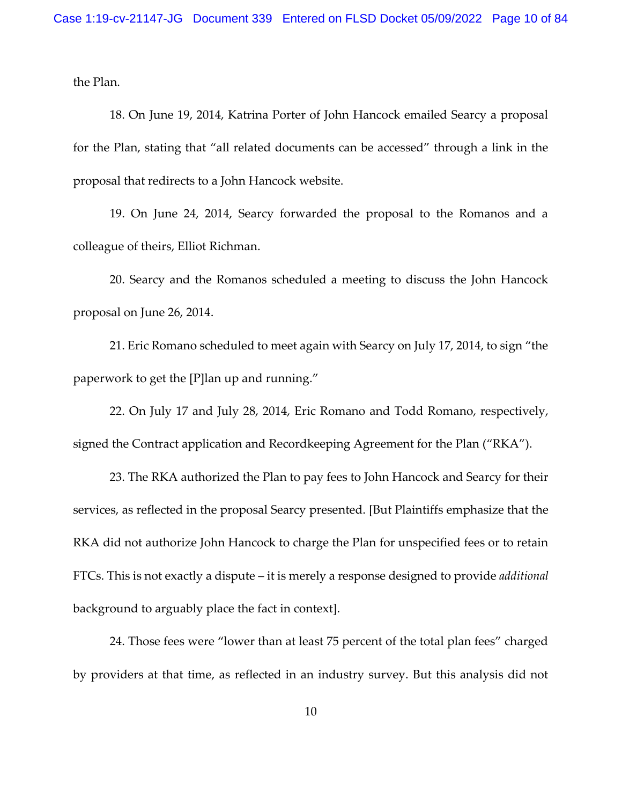the Plan.

18. On June 19, 2014, Katrina Porter of John Hancock emailed Searcy a proposal for the Plan, stating that "all related documents can be accessed" through a link in the proposal that redirects to a John Hancock website.

19. On June 24, 2014, Searcy forwarded the proposal to the Romanos and a colleague of theirs, Elliot Richman.

20. Searcy and the Romanos scheduled a meeting to discuss the John Hancock proposal on June 26, 2014.

21. Eric Romano scheduled to meet again with Searcy on July 17, 2014, to sign "the paperwork to get the [P]lan up and running."

22. On July 17 and July 28, 2014, Eric Romano and Todd Romano, respectively, signed the Contract application and Recordkeeping Agreement for the Plan ("RKA").

23. The RKA authorized the Plan to pay fees to John Hancock and Searcy for their services, as reflected in the proposal Searcy presented. [But Plaintiffs emphasize that the RKA did not authorize John Hancock to charge the Plan for unspecified fees or to retain FTCs. This is not exactly a dispute – it is merely a response designed to provide *additional*  background to arguably place the fact in context].

24. Those fees were "lower than at least 75 percent of the total plan fees" charged by providers at that time, as reflected in an industry survey. But this analysis did not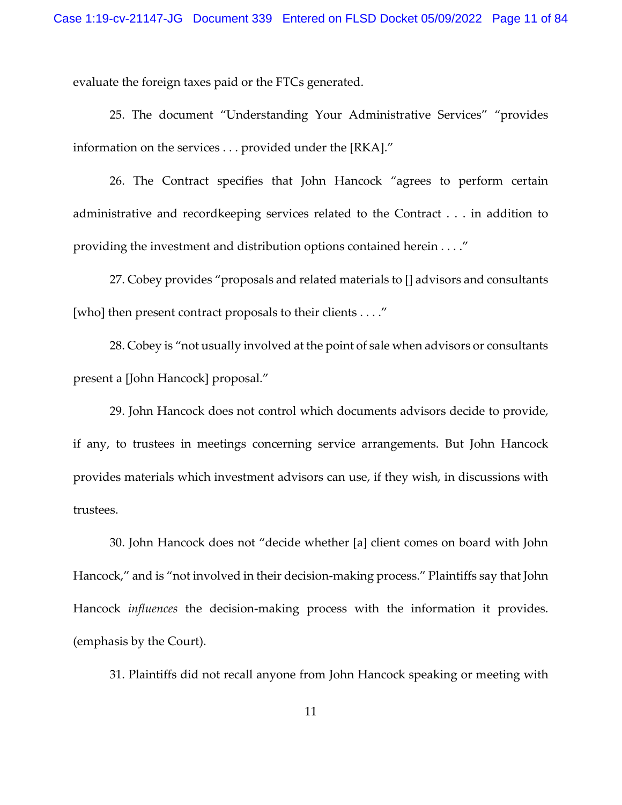evaluate the foreign taxes paid or the FTCs generated.

25. The document "Understanding Your Administrative Services" "provides information on the services . . . provided under the [RKA]."

26. The Contract specifies that John Hancock "agrees to perform certain administrative and recordkeeping services related to the Contract . . . in addition to providing the investment and distribution options contained herein . . . ."

27. Cobey provides "proposals and related materials to [] advisors and consultants [who] then present contract proposals to their clients . . . ."

28. Cobey is "not usually involved at the point of sale when advisors or consultants present a [John Hancock] proposal."

29. John Hancock does not control which documents advisors decide to provide, if any, to trustees in meetings concerning service arrangements. But John Hancock provides materials which investment advisors can use, if they wish, in discussions with trustees.

30. John Hancock does not "decide whether [a] client comes on board with John Hancock," and is "not involved in their decision-making process." Plaintiffs say that John Hancock *influences* the decision-making process with the information it provides. (emphasis by the Court).

31. Plaintiffs did not recall anyone from John Hancock speaking or meeting with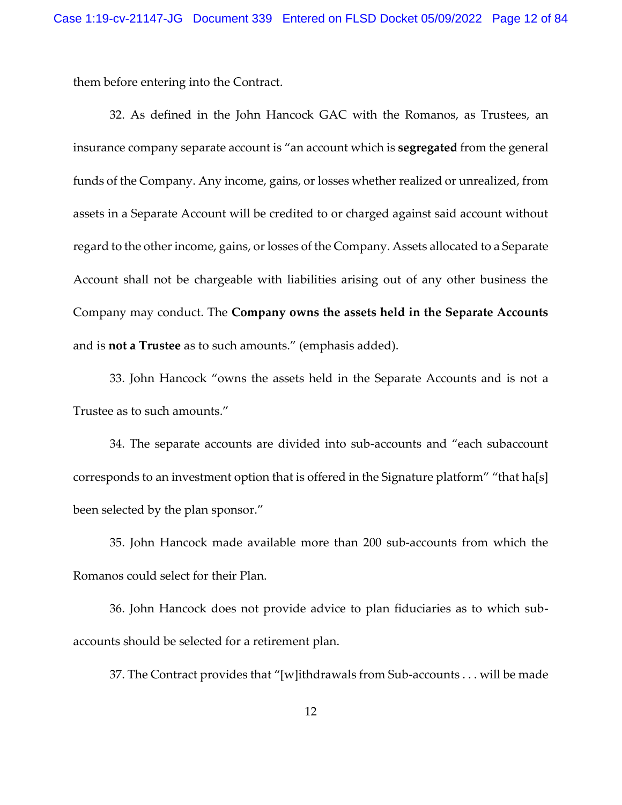them before entering into the Contract.

32. As defined in the John Hancock GAC with the Romanos, as Trustees, an insurance company separate account is "an account which is **segregated** from the general funds of the Company. Any income, gains, or losses whether realized or unrealized, from assets in a Separate Account will be credited to or charged against said account without regard to the other income, gains, or losses of the Company. Assets allocated to a Separate Account shall not be chargeable with liabilities arising out of any other business the Company may conduct. The **Company owns the assets held in the Separate Accounts** and is **not a Trustee** as to such amounts." (emphasis added).

33. John Hancock "owns the assets held in the Separate Accounts and is not a Trustee as to such amounts."

34. The separate accounts are divided into sub-accounts and "each subaccount corresponds to an investment option that is offered in the Signature platform" "that ha[s] been selected by the plan sponsor."

35. John Hancock made available more than 200 sub-accounts from which the Romanos could select for their Plan.

36. John Hancock does not provide advice to plan fiduciaries as to which subaccounts should be selected for a retirement plan.

37. The Contract provides that "[w]ithdrawals from Sub-accounts . . . will be made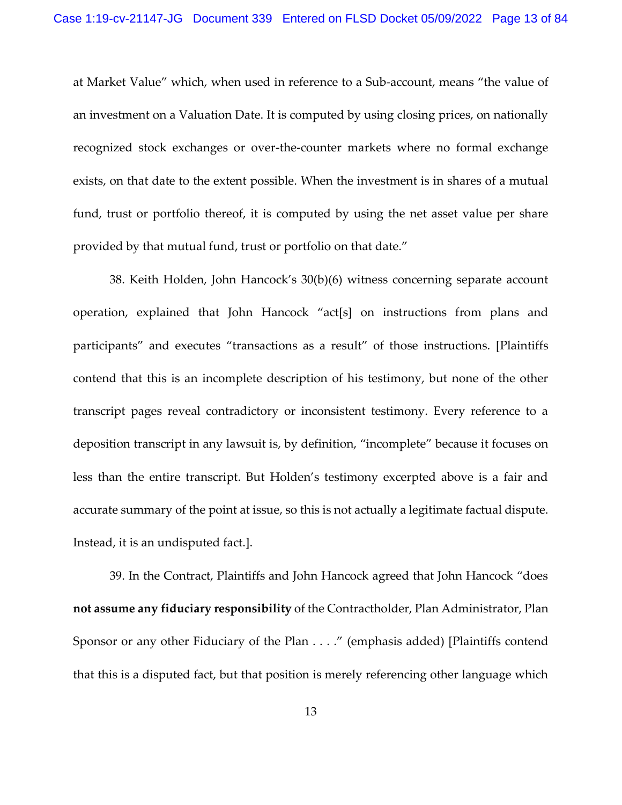at Market Value" which, when used in reference to a Sub-account, means "the value of an investment on a Valuation Date. It is computed by using closing prices, on nationally recognized stock exchanges or over-the-counter markets where no formal exchange exists, on that date to the extent possible. When the investment is in shares of a mutual fund, trust or portfolio thereof, it is computed by using the net asset value per share provided by that mutual fund, trust or portfolio on that date."

38. Keith Holden, John Hancock's 30(b)(6) witness concerning separate account operation, explained that John Hancock "act[s] on instructions from plans and participants" and executes "transactions as a result" of those instructions. [Plaintiffs contend that this is an incomplete description of his testimony, but none of the other transcript pages reveal contradictory or inconsistent testimony. Every reference to a deposition transcript in any lawsuit is, by definition, "incomplete" because it focuses on less than the entire transcript. But Holden's testimony excerpted above is a fair and accurate summary of the point at issue, so this is not actually a legitimate factual dispute. Instead, it is an undisputed fact.].

39. In the Contract, Plaintiffs and John Hancock agreed that John Hancock "does **not assume any fiduciary responsibility** of the Contractholder, Plan Administrator, Plan Sponsor or any other Fiduciary of the Plan . . . ." (emphasis added) [Plaintiffs contend that this is a disputed fact, but that position is merely referencing other language which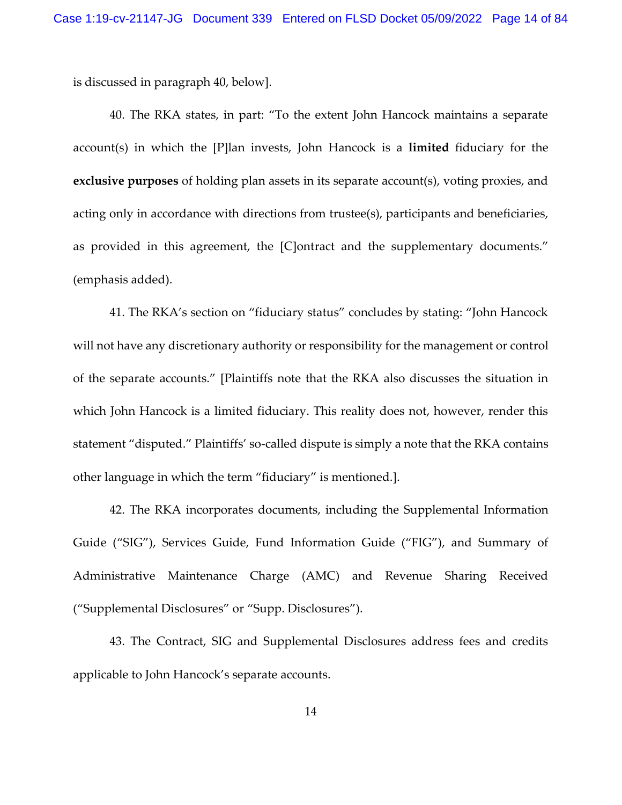is discussed in paragraph 40, below].

40. The RKA states, in part: "To the extent John Hancock maintains a separate account(s) in which the [P]lan invests, John Hancock is a **limited** fiduciary for the **exclusive purposes** of holding plan assets in its separate account(s), voting proxies, and acting only in accordance with directions from trustee(s), participants and beneficiaries, as provided in this agreement, the [C]ontract and the supplementary documents." (emphasis added).

41. The RKA's section on "fiduciary status" concludes by stating: "John Hancock will not have any discretionary authority or responsibility for the management or control of the separate accounts." [Plaintiffs note that the RKA also discusses the situation in which John Hancock is a limited fiduciary. This reality does not, however, render this statement "disputed." Plaintiffs' so-called dispute is simply a note that the RKA contains other language in which the term "fiduciary" is mentioned.].

42. The RKA incorporates documents, including the Supplemental Information Guide ("SIG"), Services Guide, Fund Information Guide ("FIG"), and Summary of Administrative Maintenance Charge (AMC) and Revenue Sharing Received ("Supplemental Disclosures" or "Supp. Disclosures").

43. The Contract, SIG and Supplemental Disclosures address fees and credits applicable to John Hancock's separate accounts.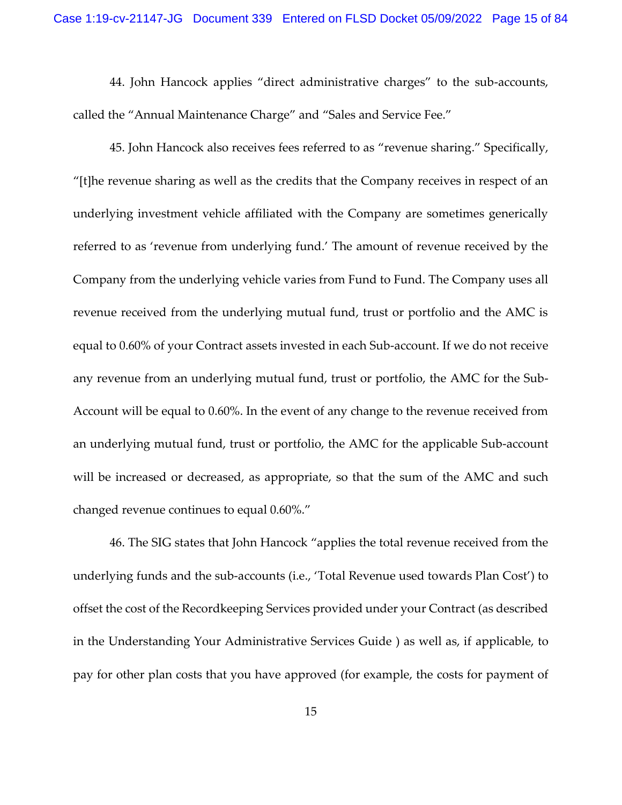44. John Hancock applies "direct administrative charges" to the sub-accounts, called the "Annual Maintenance Charge" and "Sales and Service Fee."

45. John Hancock also receives fees referred to as "revenue sharing." Specifically, "[t]he revenue sharing as well as the credits that the Company receives in respect of an underlying investment vehicle affiliated with the Company are sometimes generically referred to as 'revenue from underlying fund.' The amount of revenue received by the Company from the underlying vehicle varies from Fund to Fund. The Company uses all revenue received from the underlying mutual fund, trust or portfolio and the AMC is equal to 0.60% of your Contract assets invested in each Sub-account. If we do not receive any revenue from an underlying mutual fund, trust or portfolio, the AMC for the Sub-Account will be equal to 0.60%. In the event of any change to the revenue received from an underlying mutual fund, trust or portfolio, the AMC for the applicable Sub-account will be increased or decreased, as appropriate, so that the sum of the AMC and such changed revenue continues to equal 0.60%."

46. The SIG states that John Hancock "applies the total revenue received from the underlying funds and the sub-accounts (i.e., 'Total Revenue used towards Plan Cost') to offset the cost of the Recordkeeping Services provided under your Contract (as described in the Understanding Your Administrative Services Guide ) as well as, if applicable, to pay for other plan costs that you have approved (for example, the costs for payment of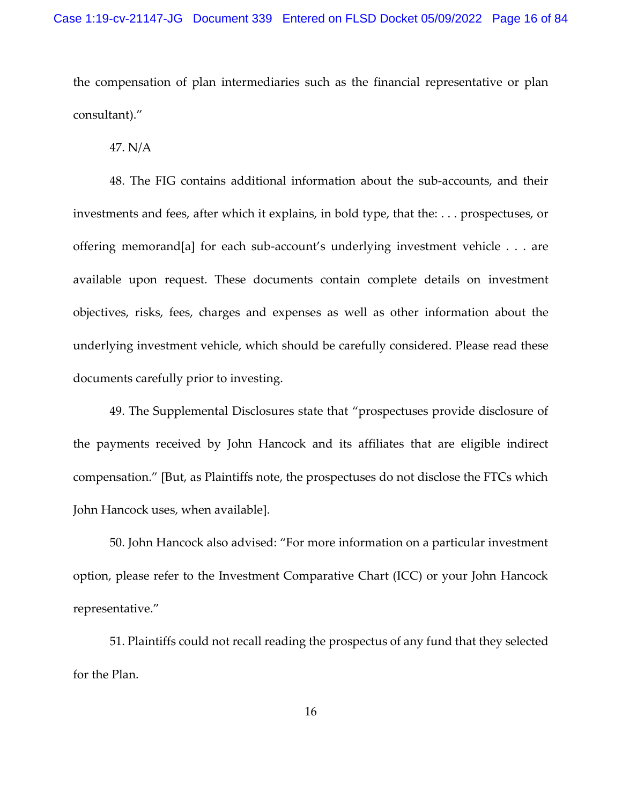the compensation of plan intermediaries such as the financial representative or plan consultant)."

47. N/A

48. The FIG contains additional information about the sub-accounts, and their investments and fees, after which it explains, in bold type, that the: . . . prospectuses, or offering memorand[a] for each sub-account's underlying investment vehicle . . . are available upon request. These documents contain complete details on investment objectives, risks, fees, charges and expenses as well as other information about the underlying investment vehicle, which should be carefully considered. Please read these documents carefully prior to investing.

49. The Supplemental Disclosures state that "prospectuses provide disclosure of the payments received by John Hancock and its affiliates that are eligible indirect compensation." [But, as Plaintiffs note, the prospectuses do not disclose the FTCs which John Hancock uses, when available].

50. John Hancock also advised: "For more information on a particular investment option, please refer to the Investment Comparative Chart (ICC) or your John Hancock representative."

51. Plaintiffs could not recall reading the prospectus of any fund that they selected for the Plan.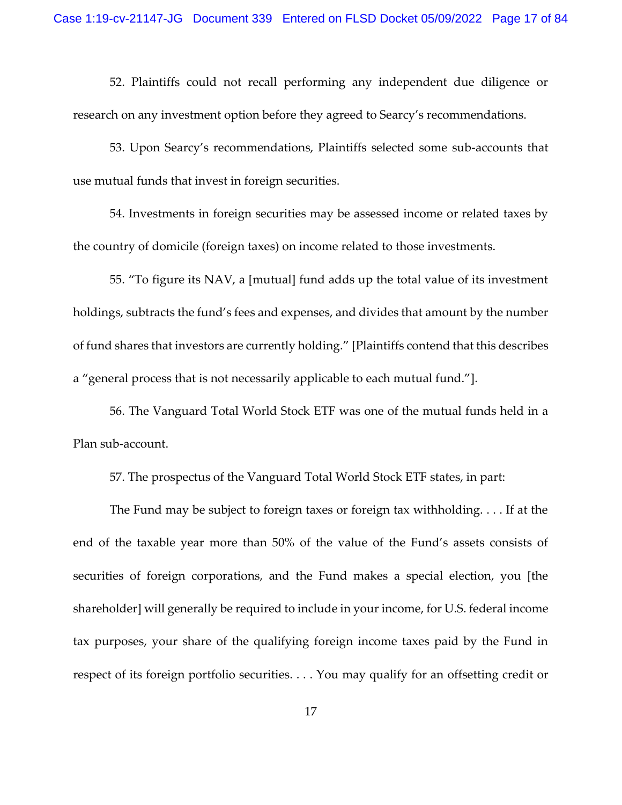52. Plaintiffs could not recall performing any independent due diligence or research on any investment option before they agreed to Searcy's recommendations.

53. Upon Searcy's recommendations, Plaintiffs selected some sub-accounts that use mutual funds that invest in foreign securities.

54. Investments in foreign securities may be assessed income or related taxes by the country of domicile (foreign taxes) on income related to those investments.

55. "To figure its NAV, a [mutual] fund adds up the total value of its investment holdings, subtracts the fund's fees and expenses, and divides that amount by the number of fund shares that investors are currently holding." [Plaintiffs contend that this describes a "general process that is not necessarily applicable to each mutual fund."].

56. The Vanguard Total World Stock ETF was one of the mutual funds held in a Plan sub-account.

57. The prospectus of the Vanguard Total World Stock ETF states, in part:

The Fund may be subject to foreign taxes or foreign tax withholding. . . . If at the end of the taxable year more than 50% of the value of the Fund's assets consists of securities of foreign corporations, and the Fund makes a special election, you [the shareholder] will generally be required to include in your income, for U.S. federal income tax purposes, your share of the qualifying foreign income taxes paid by the Fund in respect of its foreign portfolio securities. . . . You may qualify for an offsetting credit or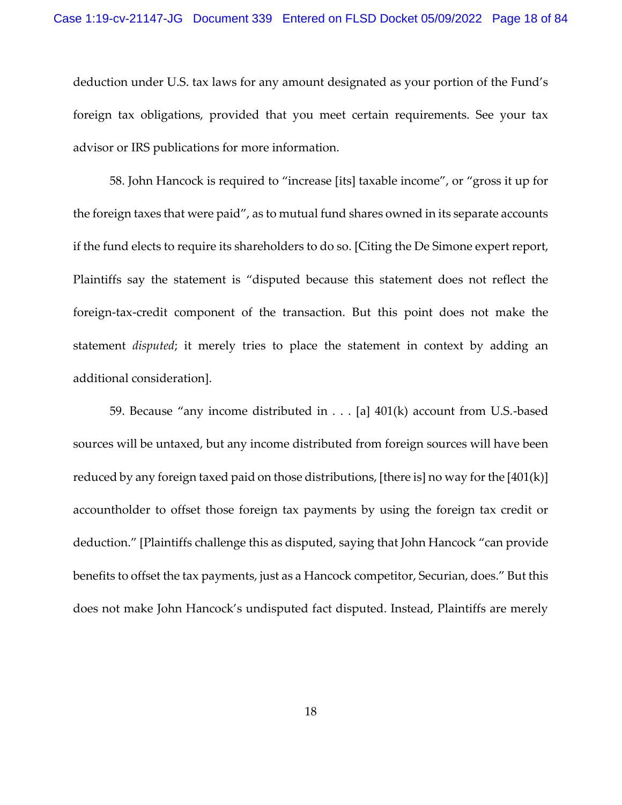deduction under U.S. tax laws for any amount designated as your portion of the Fund's foreign tax obligations, provided that you meet certain requirements. See your tax advisor or IRS publications for more information.

58. John Hancock is required to "increase [its] taxable income", or "gross it up for the foreign taxes that were paid", as to mutual fund shares owned in its separate accounts if the fund elects to require its shareholders to do so. [Citing the De Simone expert report, Plaintiffs say the statement is "disputed because this statement does not reflect the foreign-tax-credit component of the transaction. But this point does not make the statement *disputed*; it merely tries to place the statement in context by adding an additional consideration].

59. Because "any income distributed in . . . [a] 401(k) account from U.S.-based sources will be untaxed, but any income distributed from foreign sources will have been reduced by any foreign taxed paid on those distributions, [there is] no way for the [401(k)] accountholder to offset those foreign tax payments by using the foreign tax credit or deduction." [Plaintiffs challenge this as disputed, saying that John Hancock "can provide benefits to offset the tax payments, just as a Hancock competitor, Securian, does." But this does not make John Hancock's undisputed fact disputed. Instead, Plaintiffs are merely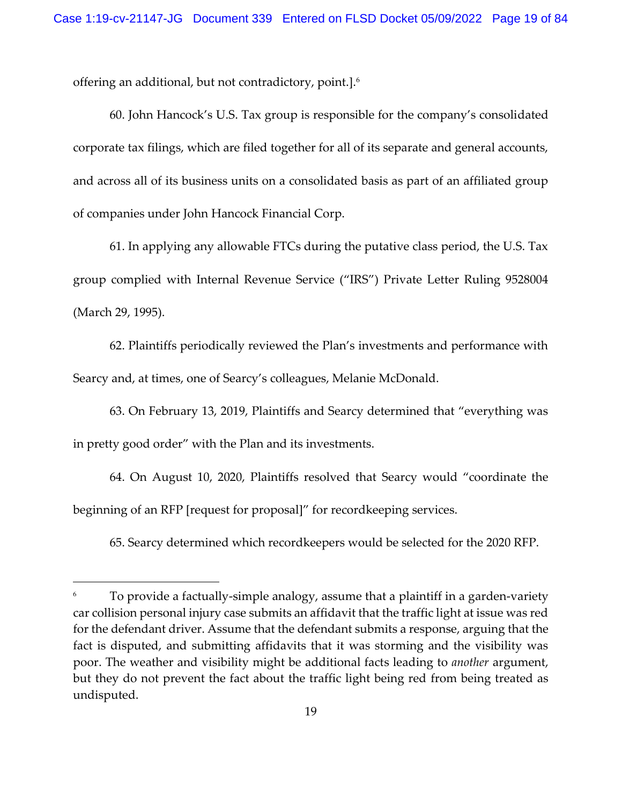offering an additional, but not contradictory, point.].<sup>6</sup>

60. John Hancock's U.S. Tax group is responsible for the company's consolidated corporate tax filings, which are filed together for all of its separate and general accounts, and across all of its business units on a consolidated basis as part of an affiliated group of companies under John Hancock Financial Corp.

61. In applying any allowable FTCs during the putative class period, the U.S. Tax group complied with Internal Revenue Service ("IRS") Private Letter Ruling 9528004 (March 29, 1995).

62. Plaintiffs periodically reviewed the Plan's investments and performance with Searcy and, at times, one of Searcy's colleagues, Melanie McDonald.

63. On February 13, 2019, Plaintiffs and Searcy determined that "everything was in pretty good order" with the Plan and its investments.

64. On August 10, 2020, Plaintiffs resolved that Searcy would "coordinate the beginning of an RFP [request for proposal]" for recordkeeping services.

65. Searcy determined which recordkeepers would be selected for the 2020 RFP.

To provide a factually-simple analogy, assume that a plaintiff in a garden-variety car collision personal injury case submits an affidavit that the traffic light at issue was red for the defendant driver. Assume that the defendant submits a response, arguing that the fact is disputed, and submitting affidavits that it was storming and the visibility was poor. The weather and visibility might be additional facts leading to *another* argument, but they do not prevent the fact about the traffic light being red from being treated as undisputed.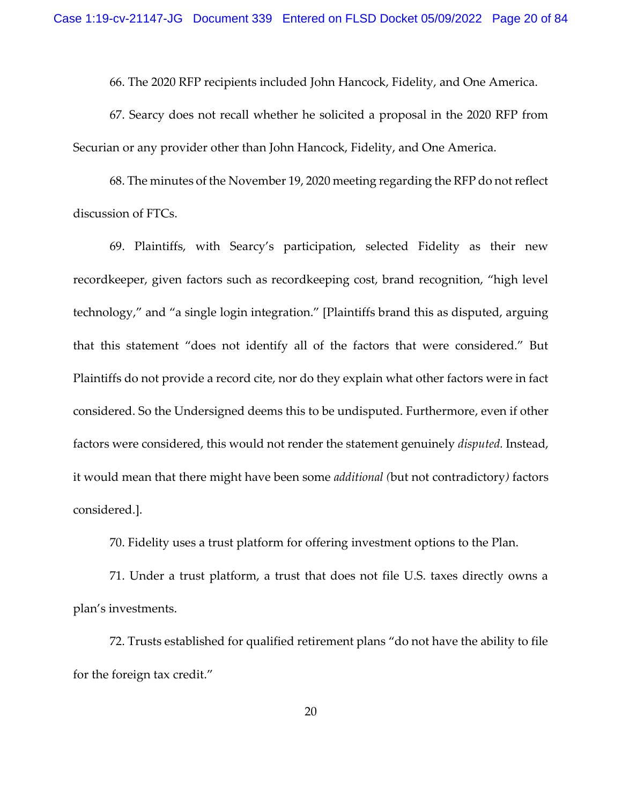66. The 2020 RFP recipients included John Hancock, Fidelity, and One America.

67. Searcy does not recall whether he solicited a proposal in the 2020 RFP from Securian or any provider other than John Hancock, Fidelity, and One America.

68. The minutes of the November 19, 2020 meeting regarding the RFP do not reflect discussion of FTCs.

69. Plaintiffs, with Searcy's participation, selected Fidelity as their new recordkeeper, given factors such as recordkeeping cost, brand recognition, "high level technology," and "a single login integration." [Plaintiffs brand this as disputed, arguing that this statement "does not identify all of the factors that were considered." But Plaintiffs do not provide a record cite, nor do they explain what other factors were in fact considered. So the Undersigned deems this to be undisputed. Furthermore, even if other factors were considered, this would not render the statement genuinely *disputed.* Instead, it would mean that there might have been some *additional (*but not contradictory*)* factors considered.].

70. Fidelity uses a trust platform for offering investment options to the Plan.

71. Under a trust platform, a trust that does not file U.S. taxes directly owns a plan's investments.

72. Trusts established for qualified retirement plans "do not have the ability to file for the foreign tax credit."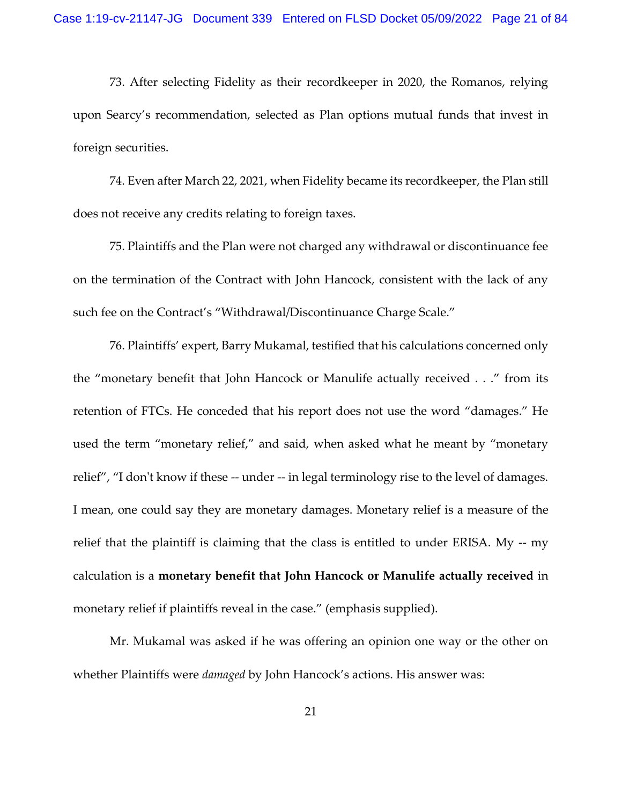73. After selecting Fidelity as their recordkeeper in 2020, the Romanos, relying upon Searcy's recommendation, selected as Plan options mutual funds that invest in foreign securities.

74. Even after March 22, 2021, when Fidelity became its recordkeeper, the Plan still does not receive any credits relating to foreign taxes.

75. Plaintiffs and the Plan were not charged any withdrawal or discontinuance fee on the termination of the Contract with John Hancock, consistent with the lack of any such fee on the Contract's "Withdrawal/Discontinuance Charge Scale."

76. Plaintiffs' expert, Barry Mukamal, testified that his calculations concerned only the "monetary benefit that John Hancock or Manulife actually received . . ." from its retention of FTCs. He conceded that his report does not use the word "damages." He used the term "monetary relief," and said, when asked what he meant by "monetary relief", "I don't know if these -- under -- in legal terminology rise to the level of damages. I mean, one could say they are monetary damages. Monetary relief is a measure of the relief that the plaintiff is claiming that the class is entitled to under ERISA. My -- my calculation is a **monetary benefit that John Hancock or Manulife actually received** in monetary relief if plaintiffs reveal in the case." (emphasis supplied).

Mr. Mukamal was asked if he was offering an opinion one way or the other on whether Plaintiffs were *damaged* by John Hancock's actions. His answer was: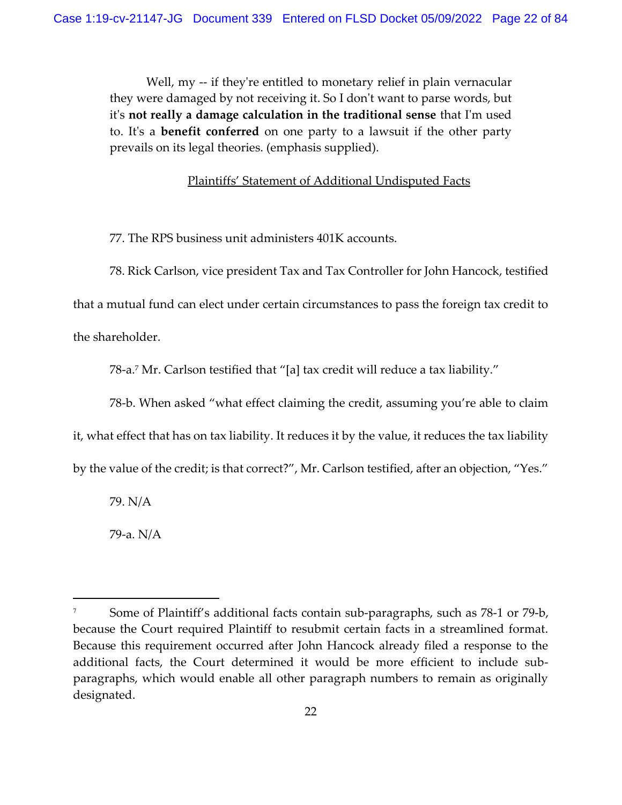Well, my -- if they're entitled to monetary relief in plain vernacular they were damaged by not receiving it. So I don't want to parse words, but it's **not really a damage calculation in the traditional sense** that I'm used to. It's a **benefit conferred** on one party to a lawsuit if the other party prevails on its legal theories. (emphasis supplied).

## Plaintiffs' Statement of Additional Undisputed Facts

77. The RPS business unit administers 401K accounts.

78. Rick Carlson, vice president Tax and Tax Controller for John Hancock, testified

that a mutual fund can elect under certain circumstances to pass the foreign tax credit to

the shareholder.

78-a.<sup>7</sup> Mr. Carlson testified that "[a] tax credit will reduce a tax liability."

78-b. When asked "what effect claiming the credit, assuming you're able to claim

it, what effect that has on tax liability. It reduces it by the value, it reduces the tax liability

by the value of the credit; is that correct?", Mr. Carlson testified, after an objection, "Yes."

79. N/A

79-a. N/A

<sup>&</sup>lt;sup>7</sup> Some of Plaintiff's additional facts contain sub-paragraphs, such as 78-1 or 79-b, because the Court required Plaintiff to resubmit certain facts in a streamlined format. Because this requirement occurred after John Hancock already filed a response to the additional facts, the Court determined it would be more efficient to include subparagraphs, which would enable all other paragraph numbers to remain as originally designated.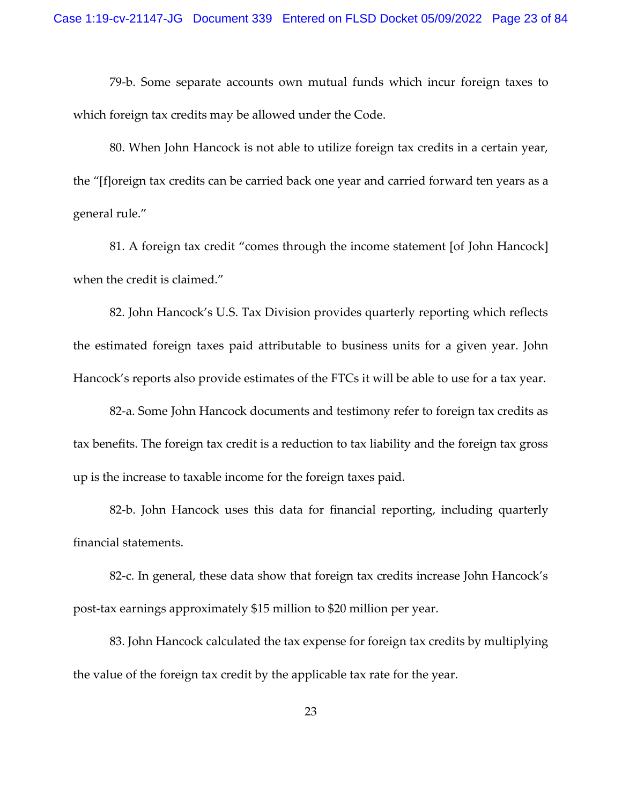79-b. Some separate accounts own mutual funds which incur foreign taxes to which foreign tax credits may be allowed under the Code.

80. When John Hancock is not able to utilize foreign tax credits in a certain year, the "[f]oreign tax credits can be carried back one year and carried forward ten years as a general rule."

81. A foreign tax credit "comes through the income statement [of John Hancock] when the credit is claimed."

82. John Hancock's U.S. Tax Division provides quarterly reporting which reflects the estimated foreign taxes paid attributable to business units for a given year. John Hancock's reports also provide estimates of the FTCs it will be able to use for a tax year.

82-a. Some John Hancock documents and testimony refer to foreign tax credits as tax benefits. The foreign tax credit is a reduction to tax liability and the foreign tax gross up is the increase to taxable income for the foreign taxes paid.

82-b. John Hancock uses this data for financial reporting, including quarterly financial statements.

82-c. In general, these data show that foreign tax credits increase John Hancock's post-tax earnings approximately \$15 million to \$20 million per year.

83. John Hancock calculated the tax expense for foreign tax credits by multiplying the value of the foreign tax credit by the applicable tax rate for the year.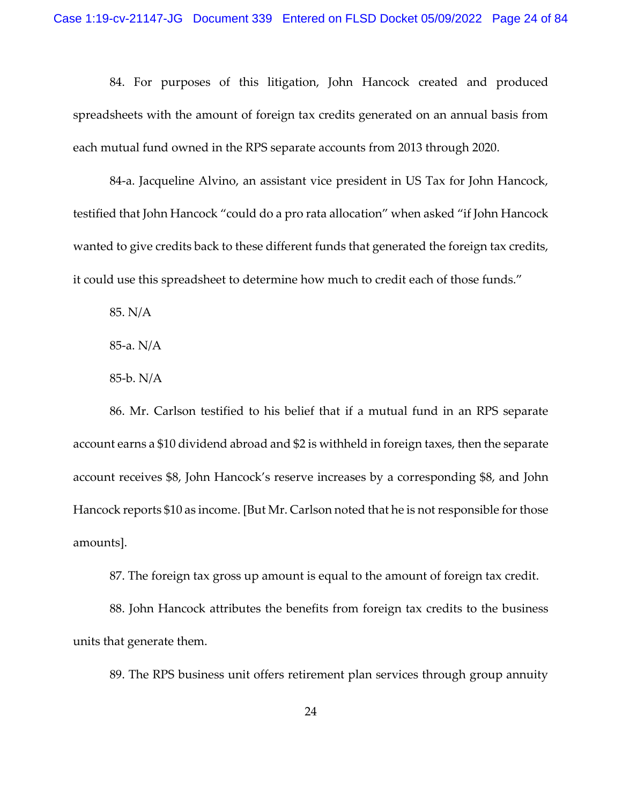84. For purposes of this litigation, John Hancock created and produced spreadsheets with the amount of foreign tax credits generated on an annual basis from each mutual fund owned in the RPS separate accounts from 2013 through 2020.

84-a. Jacqueline Alvino, an assistant vice president in US Tax for John Hancock, testified that John Hancock "could do a pro rata allocation" when asked "if John Hancock wanted to give credits back to these different funds that generated the foreign tax credits, it could use this spreadsheet to determine how much to credit each of those funds."

85. N/A

85-a. N/A

85-b. N/A

86. Mr. Carlson testified to his belief that if a mutual fund in an RPS separate account earns a \$10 dividend abroad and \$2 is withheld in foreign taxes, then the separate account receives \$8, John Hancock's reserve increases by a corresponding \$8, and John Hancock reports \$10 as income. [But Mr. Carlson noted that he is not responsible for those amounts].

87. The foreign tax gross up amount is equal to the amount of foreign tax credit.

88. John Hancock attributes the benefits from foreign tax credits to the business units that generate them.

89. The RPS business unit offers retirement plan services through group annuity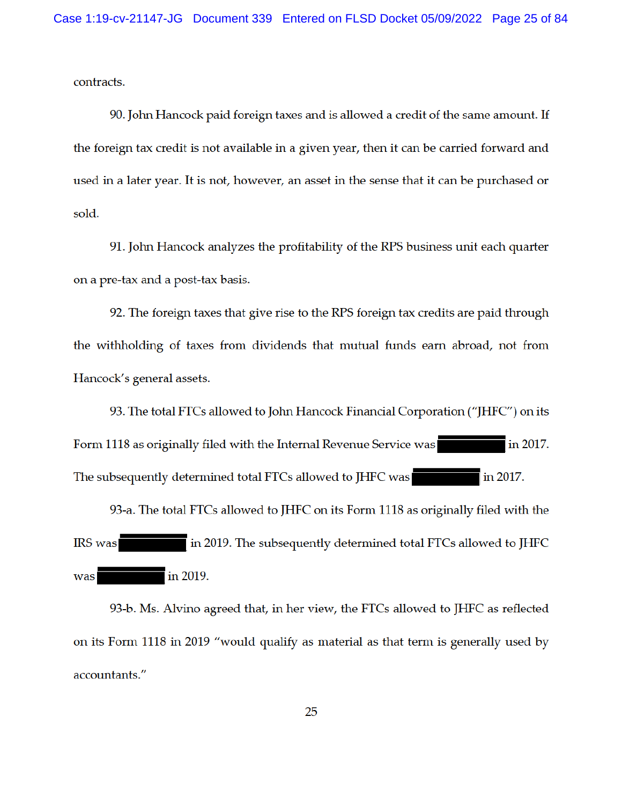contracts.

90. John Hancock paid foreign taxes and is allowed a credit of the same amount. If the foreign tax credit is not available in a given year, then it can be carried forward and used in a later year. It is not, however, an asset in the sense that it can be purchased or sold.

91. John Hancock analyzes the profitability of the RPS business unit each quarter on a pre-tax and a post-tax basis.

92. The foreign taxes that give rise to the RPS foreign tax credits are paid through the withholding of taxes from dividends that mutual funds earn abroad, not from Hancock's general assets.

93. The total FTCs allowed to John Hancock Financial Corporation ("JHFC") on its Form 1118 as originally filed with the Internal Revenue Service was in 2017. The subsequently determined total FTCs allowed to JHFC was in 2017. 93-a. The total FTCs allowed to JHFC on its Form 1118 as originally filed with the

in 2019. The subsequently determined total FTCs allowed to JHFC **IRS** was was in 2019.

93-b. Ms. Alvino agreed that, in her view, the FTCs allowed to JHFC as reflected on its Form 1118 in 2019 "would qualify as material as that term is generally used by accountants."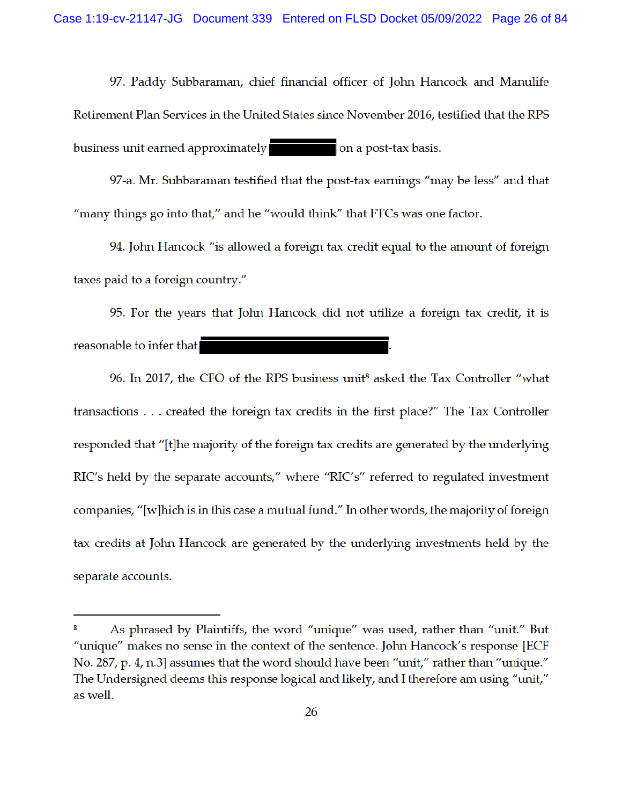97. Paddy Subbaraman, chief financial officer of John Hancock and Manulife Retirement Plan Services in the United States since November 2016, testified that the RPS business unit earned approximately on a post-tax basis.

97-a. Mr. Subbaraman testified that the post-tax earnings "may be less" and that "many things go into that," and he "would think" that FTCs was one factor.

94. John Hancock "is allowed a foreign tax credit equal to the amount of foreign taxes paid to a foreign country."

95. For the years that John Hancock did not utilize a foreign tax credit, it is reasonable to infer that

96. In 2017, the CFO of the RPS business unit<sup>8</sup> asked the Tax Controller "what transactions . . . created the foreign tax credits in the first place?" The Tax Controller responded that "[t] he majority of the foreign tax credits are generated by the underlying RIC's held by the separate accounts," where "RIC's" referred to regulated investment companies, "[w] hich is in this case a mutual fund." In other words, the majority of foreign tax credits at John Hancock are generated by the underlying investments held by the separate accounts.

As phrased by Plaintiffs, the word "unique" was used, rather than "unit." But "unique" makes no sense in the context of the sentence. John Hancock's response [ECF No. 287, p. 4, n.3] assumes that the word should have been "unit," rather than "unique." The Undersigned deems this response logical and likely, and I therefore am using "unit," as well.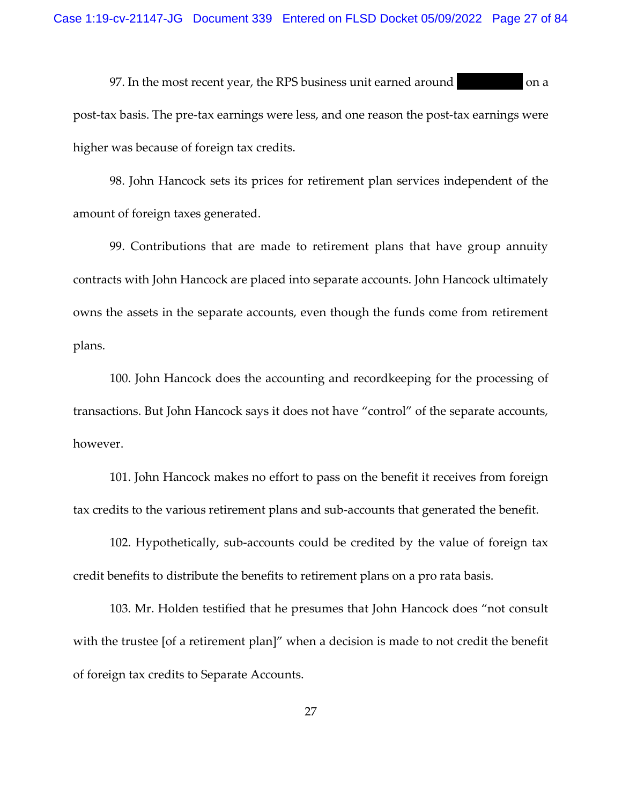97. In the most recent year, the RPS business unit earned around on a post-tax basis. The pre-tax earnings were less, and one reason the post-tax earnings were higher was because of foreign tax credits.

98. John Hancock sets its prices for retirement plan services independent of the amount of foreign taxes generated.

99. Contributions that are made to retirement plans that have group annuity contracts with John Hancock are placed into separate accounts. John Hancock ultimately owns the assets in the separate accounts, even though the funds come from retirement plans.

100. John Hancock does the accounting and recordkeeping for the processing of transactions. But John Hancock says it does not have "control" of the separate accounts, however.

101. John Hancock makes no effort to pass on the benefit it receives from foreign tax credits to the various retirement plans and sub-accounts that generated the benefit.

102. Hypothetically, sub-accounts could be credited by the value of foreign tax credit benefits to distribute the benefits to retirement plans on a pro rata basis.

103. Mr. Holden testified that he presumes that John Hancock does "not consult with the trustee [of a retirement plan]" when a decision is made to not credit the benefit of foreign tax credits to Separate Accounts.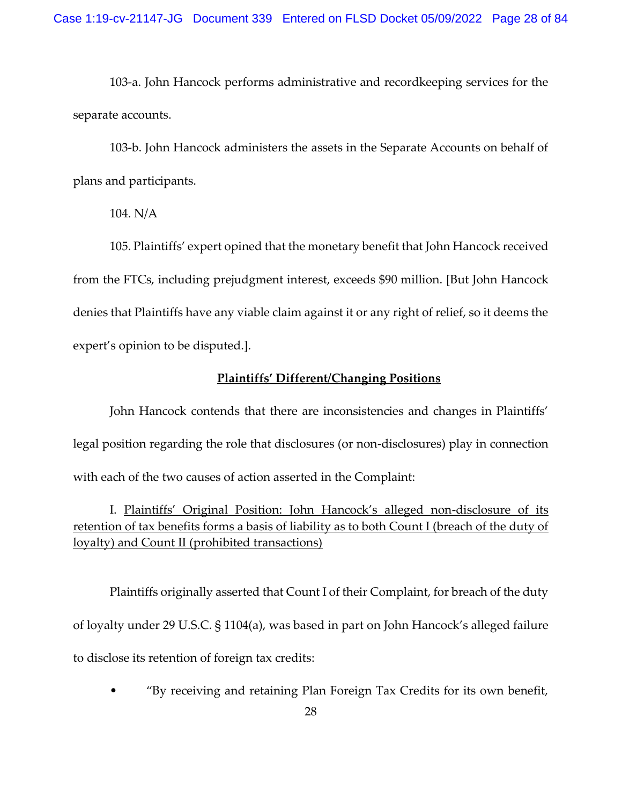103-a. John Hancock performs administrative and recordkeeping services for the separate accounts.

103-b. John Hancock administers the assets in the Separate Accounts on behalf of plans and participants.

104. N/A

105. Plaintiffs' expert opined that the monetary benefit that John Hancock received from the FTCs, including prejudgment interest, exceeds \$90 million. [But John Hancock denies that Plaintiffs have any viable claim against it or any right of relief, so it deems the expert's opinion to be disputed.].

## **Plaintiffs' Different/Changing Positions**

John Hancock contends that there are inconsistencies and changes in Plaintiffs' legal position regarding the role that disclosures (or non-disclosures) play in connection with each of the two causes of action asserted in the Complaint:

I. Plaintiffs' Original Position: John Hancock's alleged non-disclosure of its retention of tax benefits forms a basis of liability as to both Count I (breach of the duty of loyalty) and Count II (prohibited transactions)

Plaintiffs originally asserted that Count I of their Complaint, for breach of the duty of loyalty under 29 U.S.C. § 1104(a), was based in part on John Hancock's alleged failure to disclose its retention of foreign tax credits:

• "By receiving and retaining Plan Foreign Tax Credits for its own benefit,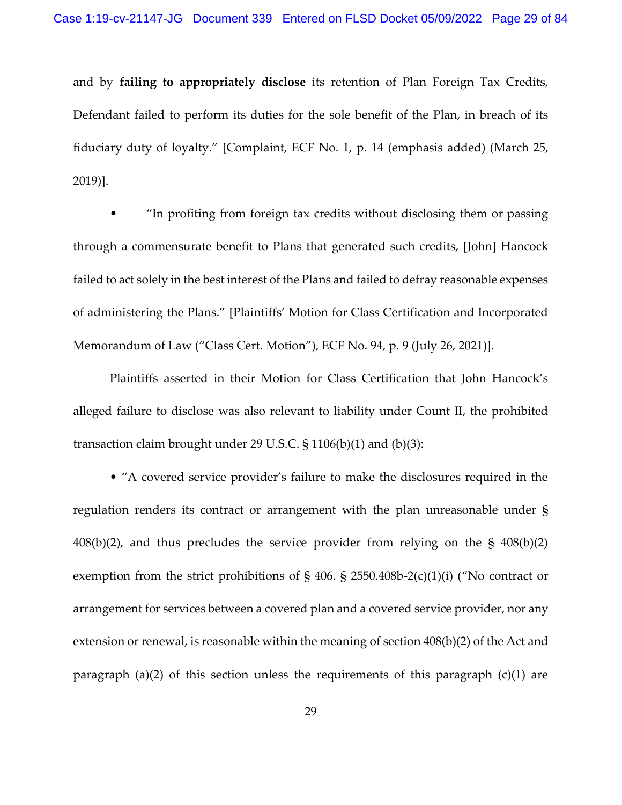and by **failing to appropriately disclose** its retention of Plan Foreign Tax Credits, Defendant failed to perform its duties for the sole benefit of the Plan, in breach of its fiduciary duty of loyalty." [Complaint, ECF No. 1, p. 14 (emphasis added) (March 25, 2019)].

• "In profiting from foreign tax credits without disclosing them or passing through a commensurate benefit to Plans that generated such credits, [John] Hancock failed to act solely in the best interest of the Plans and failed to defray reasonable expenses of administering the Plans." [Plaintiffs' Motion for Class Certification and Incorporated Memorandum of Law ("Class Cert. Motion"), ECF No. 94, p. 9 (July 26, 2021)].

Plaintiffs asserted in their Motion for Class Certification that John Hancock's alleged failure to disclose was also relevant to liability under Count II, the prohibited transaction claim brought under 29 U.S.C. § 1106(b)(1) and (b)(3):

• "A covered service provider's failure to make the disclosures required in the regulation renders its contract or arrangement with the plan unreasonable under § 408(b)(2), and thus precludes the service provider from relying on the § 408(b)(2) exemption from the strict prohibitions of § 406. § 2550.408b-2(c)(1)(i) ("No contract or arrangement for services between a covered plan and a covered service provider, nor any extension or renewal, is reasonable within the meaning of section 408(b)(2) of the Act and paragraph (a)(2) of this section unless the requirements of this paragraph (c)(1) are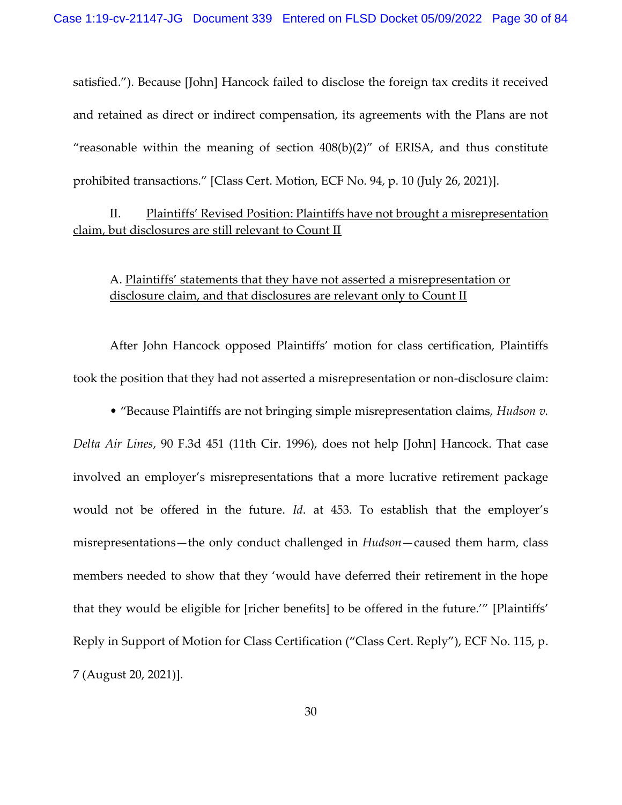satisfied."). Because [John] Hancock failed to disclose the foreign tax credits it received and retained as direct or indirect compensation, its agreements with the Plans are not "reasonable within the meaning of section  $408(b)(2)$ " of ERISA, and thus constitute prohibited transactions." [Class Cert. Motion, ECF No. 94, p. 10 (July 26, 2021)].

# II. Plaintiffs' Revised Position: Plaintiffs have not brought a misrepresentation claim, but disclosures are still relevant to Count II

A. Plaintiffs' statements that they have not asserted a misrepresentation or disclosure claim, and that disclosures are relevant only to Count II

After John Hancock opposed Plaintiffs' motion for class certification, Plaintiffs took the position that they had not asserted a misrepresentation or non-disclosure claim:

• "Because Plaintiffs are not bringing simple misrepresentation claims, *Hudson v.* 

*Delta Air Lines*, 90 F.3d 451 (11th Cir. 1996), does not help [John] Hancock. That case involved an employer's misrepresentations that a more lucrative retirement package would not be offered in the future. *Id*. at 453. To establish that the employer's misrepresentations—the only conduct challenged in *Hudson*—caused them harm, class members needed to show that they 'would have deferred their retirement in the hope that they would be eligible for [richer benefits] to be offered in the future.'" [Plaintiffs' Reply in Support of Motion for Class Certification ("Class Cert. Reply"), ECF No. 115, p. 7 (August 20, 2021)].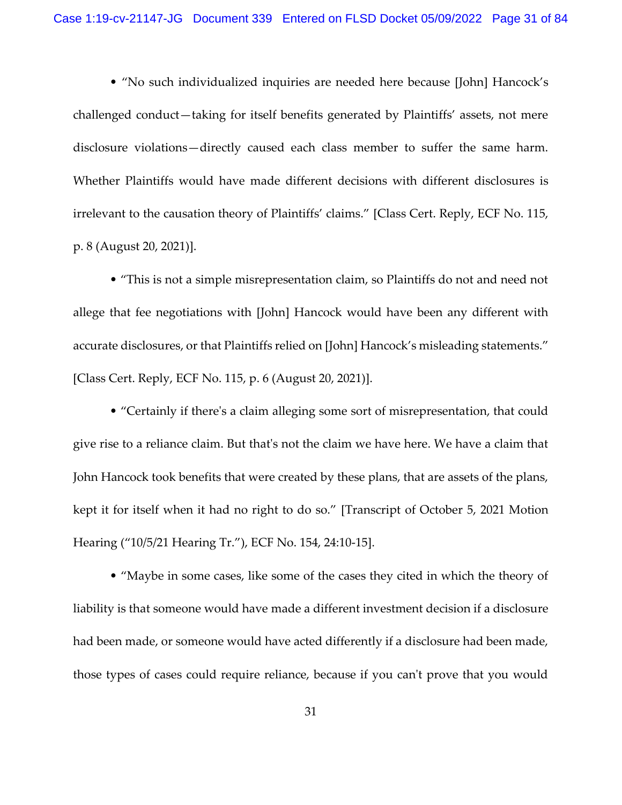• "No such individualized inquiries are needed here because [John] Hancock's challenged conduct—taking for itself benefits generated by Plaintiffs' assets, not mere disclosure violations—directly caused each class member to suffer the same harm. Whether Plaintiffs would have made different decisions with different disclosures is irrelevant to the causation theory of Plaintiffs' claims." [Class Cert. Reply, ECF No. 115, p. 8 (August 20, 2021)].

• "This is not a simple misrepresentation claim, so Plaintiffs do not and need not allege that fee negotiations with [John] Hancock would have been any different with accurate disclosures, or that Plaintiffs relied on [John] Hancock's misleading statements." [Class Cert. Reply, ECF No. 115, p. 6 (August 20, 2021)].

• "Certainly if there's a claim alleging some sort of misrepresentation, that could give rise to a reliance claim. But that's not the claim we have here. We have a claim that John Hancock took benefits that were created by these plans, that are assets of the plans, kept it for itself when it had no right to do so." [Transcript of October 5, 2021 Motion Hearing ("10/5/21 Hearing Tr."), ECF No. 154, 24:10-15].

• "Maybe in some cases, like some of the cases they cited in which the theory of liability is that someone would have made a different investment decision if a disclosure had been made, or someone would have acted differently if a disclosure had been made, those types of cases could require reliance, because if you can't prove that you would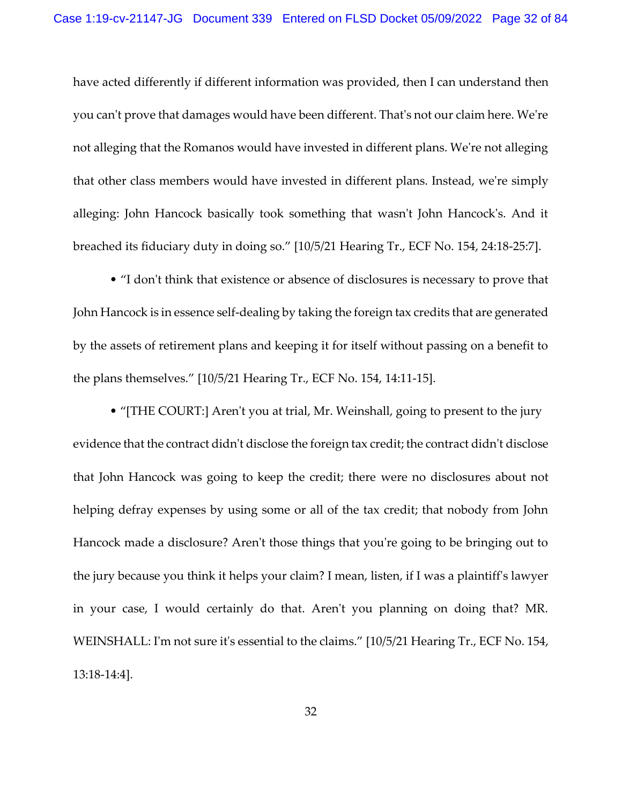have acted differently if different information was provided, then I can understand then you can't prove that damages would have been different. That's not our claim here. We're not alleging that the Romanos would have invested in different plans. We're not alleging that other class members would have invested in different plans. Instead, we're simply alleging: John Hancock basically took something that wasn't John Hancock's. And it breached its fiduciary duty in doing so." [10/5/21 Hearing Tr., ECF No. 154, 24:18-25:7].

• "I don't think that existence or absence of disclosures is necessary to prove that John Hancock is in essence self-dealing by taking the foreign tax credits that are generated by the assets of retirement plans and keeping it for itself without passing on a benefit to the plans themselves." [10/5/21 Hearing Tr., ECF No. 154, 14:11-15].

• "[THE COURT:] Aren't you at trial, Mr. Weinshall, going to present to the jury evidence that the contract didn't disclose the foreign tax credit; the contract didn't disclose that John Hancock was going to keep the credit; there were no disclosures about not helping defray expenses by using some or all of the tax credit; that nobody from John Hancock made a disclosure? Aren't those things that you're going to be bringing out to the jury because you think it helps your claim? I mean, listen, if I was a plaintiff's lawyer in your case, I would certainly do that. Aren't you planning on doing that? MR. WEINSHALL: I'm not sure it's essential to the claims." [10/5/21 Hearing Tr., ECF No. 154, 13:18-14:4].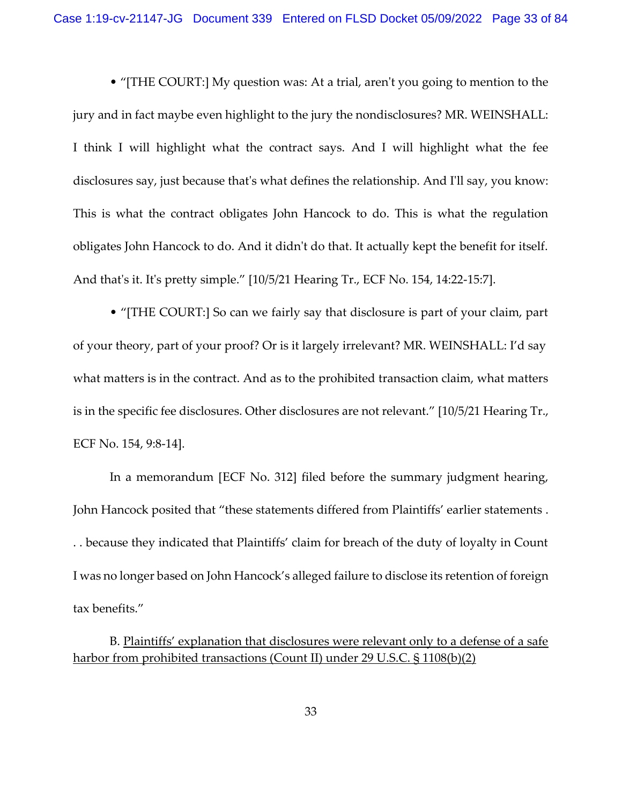• "[THE COURT:] My question was: At a trial, aren't you going to mention to the jury and in fact maybe even highlight to the jury the nondisclosures? MR. WEINSHALL: I think I will highlight what the contract says. And I will highlight what the fee disclosures say, just because that's what defines the relationship. And I'll say, you know: This is what the contract obligates John Hancock to do. This is what the regulation obligates John Hancock to do. And it didn't do that. It actually kept the benefit for itself. And that's it. It's pretty simple." [10/5/21 Hearing Tr., ECF No. 154, 14:22-15:7].

• "[THE COURT:] So can we fairly say that disclosure is part of your claim, part of your theory, part of your proof? Or is it largely irrelevant? MR. WEINSHALL: I'd say what matters is in the contract. And as to the prohibited transaction claim, what matters is in the specific fee disclosures. Other disclosures are not relevant." [10/5/21 Hearing Tr., ECF No. 154, 9:8-14].

In a memorandum [ECF No. 312] filed before the summary judgment hearing, John Hancock posited that "these statements differed from Plaintiffs' earlier statements . . . because they indicated that Plaintiffs' claim for breach of the duty of loyalty in Count I was no longer based on John Hancock's alleged failure to disclose its retention of foreign tax benefits."

B. Plaintiffs' explanation that disclosures were relevant only to a defense of a safe harbor from prohibited transactions (Count II) under 29 U.S.C. § 1108(b)(2)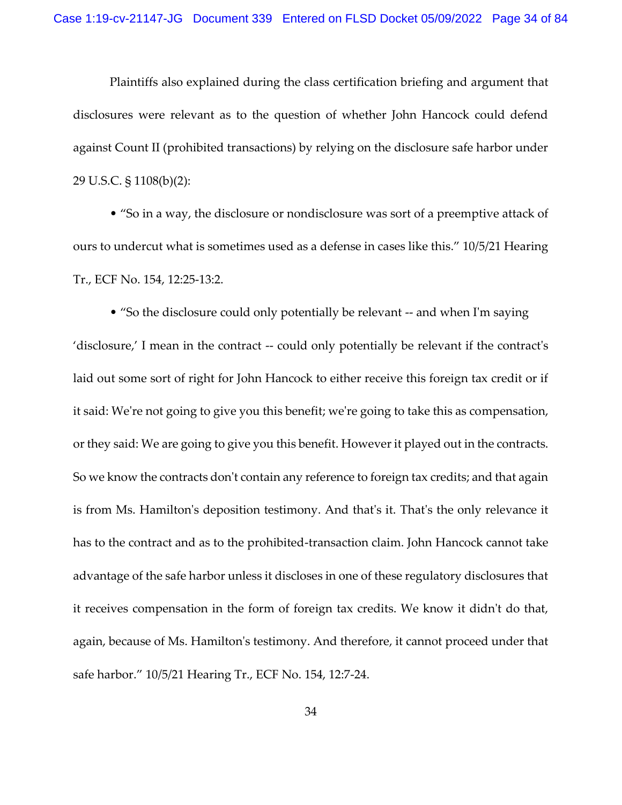Plaintiffs also explained during the class certification briefing and argument that disclosures were relevant as to the question of whether John Hancock could defend against Count II (prohibited transactions) by relying on the disclosure safe harbor under 29 U.S.C. § 1108(b)(2):

• "So in a way, the disclosure or nondisclosure was sort of a preemptive attack of ours to undercut what is sometimes used as a defense in cases like this." 10/5/21 Hearing Tr., ECF No. 154, 12:25-13:2.

• "So the disclosure could only potentially be relevant -- and when I'm saying 'disclosure,' I mean in the contract -- could only potentially be relevant if the contract's laid out some sort of right for John Hancock to either receive this foreign tax credit or if it said: We're not going to give you this benefit; we're going to take this as compensation, or they said: We are going to give you this benefit. However it played out in the contracts. So we know the contracts don't contain any reference to foreign tax credits; and that again is from Ms. Hamilton's deposition testimony. And that's it. That's the only relevance it has to the contract and as to the prohibited-transaction claim. John Hancock cannot take advantage of the safe harbor unless it discloses in one of these regulatory disclosures that it receives compensation in the form of foreign tax credits. We know it didn't do that, again, because of Ms. Hamilton's testimony. And therefore, it cannot proceed under that safe harbor." 10/5/21 Hearing Tr., ECF No. 154, 12:7-24.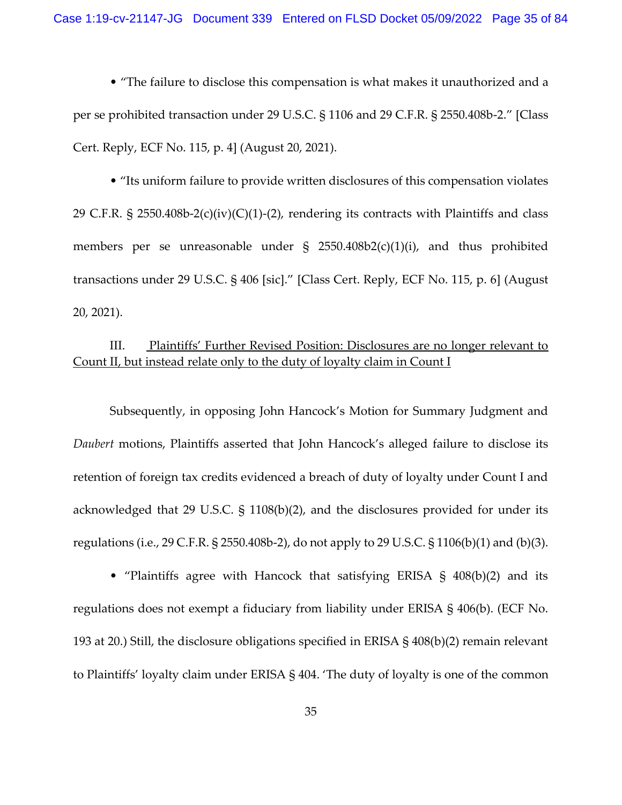• "The failure to disclose this compensation is what makes it unauthorized and a per se prohibited transaction under 29 U.S.C. § 1106 and 29 C.F.R. § 2550.408b-2." [Class Cert. Reply, ECF No. 115, p. 4] (August 20, 2021).

• "Its uniform failure to provide written disclosures of this compensation violates 29 C.F.R. § 2550.408b-2(c)(iv)(C)(1)-(2), rendering its contracts with Plaintiffs and class members per se unreasonable under § 2550.408b2(c)(1)(i), and thus prohibited transactions under 29 U.S.C. § 406 [sic]." [Class Cert. Reply, ECF No. 115, p. 6] (August 20, 2021).

# III. Plaintiffs' Further Revised Position: Disclosures are no longer relevant to Count II, but instead relate only to the duty of loyalty claim in Count I

Subsequently, in opposing John Hancock's Motion for Summary Judgment and *Daubert* motions, Plaintiffs asserted that John Hancock's alleged failure to disclose its retention of foreign tax credits evidenced a breach of duty of loyalty under Count I and acknowledged that 29 U.S.C. § 1108(b)(2), and the disclosures provided for under its regulations (i.e., 29 C.F.R. § 2550.408b-2), do not apply to 29 U.S.C. § 1106(b)(1) and (b)(3).

• "Plaintiffs agree with Hancock that satisfying ERISA § 408(b)(2) and its regulations does not exempt a fiduciary from liability under ERISA § 406(b). (ECF No. 193 at 20.) Still, the disclosure obligations specified in ERISA § 408(b)(2) remain relevant to Plaintiffs' loyalty claim under ERISA § 404. 'The duty of loyalty is one of the common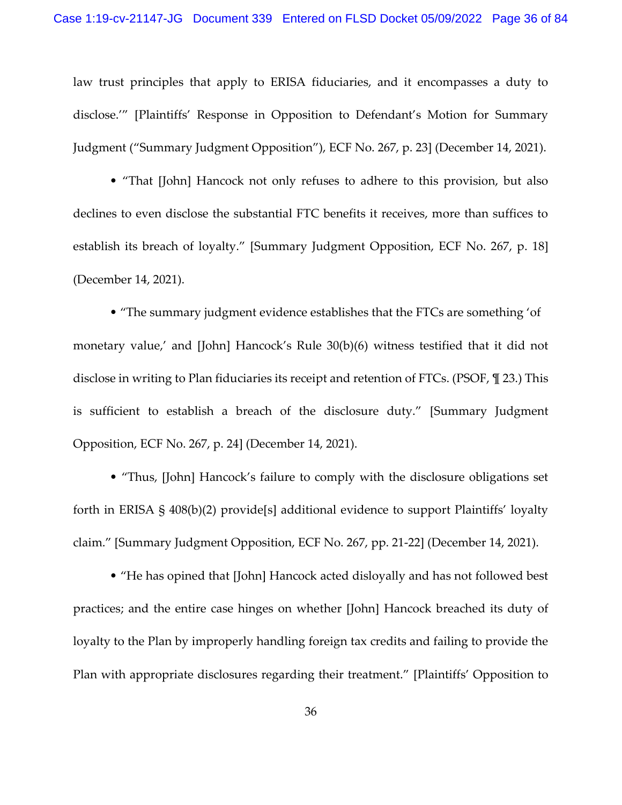law trust principles that apply to ERISA fiduciaries, and it encompasses a duty to disclose.'" [Plaintiffs' Response in Opposition to Defendant's Motion for Summary Judgment ("Summary Judgment Opposition"), ECF No. 267, p. 23] (December 14, 2021).

• "That [John] Hancock not only refuses to adhere to this provision, but also declines to even disclose the substantial FTC benefits it receives, more than suffices to establish its breach of loyalty." [Summary Judgment Opposition, ECF No. 267, p. 18] (December 14, 2021).

• "The summary judgment evidence establishes that the FTCs are something 'of monetary value,' and [John] Hancock's Rule 30(b)(6) witness testified that it did not disclose in writing to Plan fiduciaries its receipt and retention of FTCs. (PSOF, ¶ 23.) This is sufficient to establish a breach of the disclosure duty." [Summary Judgment Opposition, ECF No. 267, p. 24] (December 14, 2021).

• "Thus, [John] Hancock's failure to comply with the disclosure obligations set forth in ERISA § 408(b)(2) provide[s] additional evidence to support Plaintiffs' loyalty claim." [Summary Judgment Opposition, ECF No. 267, pp. 21-22] (December 14, 2021).

• "He has opined that [John] Hancock acted disloyally and has not followed best practices; and the entire case hinges on whether [John] Hancock breached its duty of loyalty to the Plan by improperly handling foreign tax credits and failing to provide the Plan with appropriate disclosures regarding their treatment." [Plaintiffs' Opposition to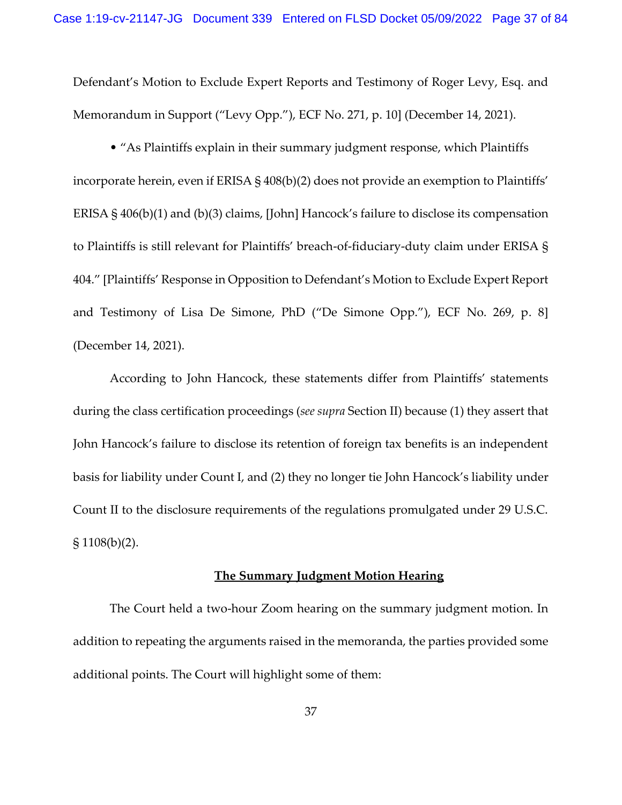Defendant's Motion to Exclude Expert Reports and Testimony of Roger Levy, Esq. and Memorandum in Support ("Levy Opp."), ECF No. 271, p. 10] (December 14, 2021).

• "As Plaintiffs explain in their summary judgment response, which Plaintiffs incorporate herein, even if ERISA § 408(b)(2) does not provide an exemption to Plaintiffs' ERISA § 406(b)(1) and (b)(3) claims, [John] Hancock's failure to disclose its compensation to Plaintiffs is still relevant for Plaintiffs' breach-of-fiduciary-duty claim under ERISA § 404." [Plaintiffs' Response in Opposition to Defendant's Motion to Exclude Expert Report and Testimony of Lisa De Simone, PhD ("De Simone Opp."), ECF No. 269, p. 8] (December 14, 2021).

According to John Hancock, these statements differ from Plaintiffs' statements during the class certification proceedings (*see supra* Section II) because (1) they assert that John Hancock's failure to disclose its retention of foreign tax benefits is an independent basis for liability under Count I, and (2) they no longer tie John Hancock's liability under Count II to the disclosure requirements of the regulations promulgated under 29 U.S.C.  $$1108(b)(2).$ 

## **The Summary Judgment Motion Hearing**

The Court held a two-hour Zoom hearing on the summary judgment motion. In addition to repeating the arguments raised in the memoranda, the parties provided some additional points. The Court will highlight some of them: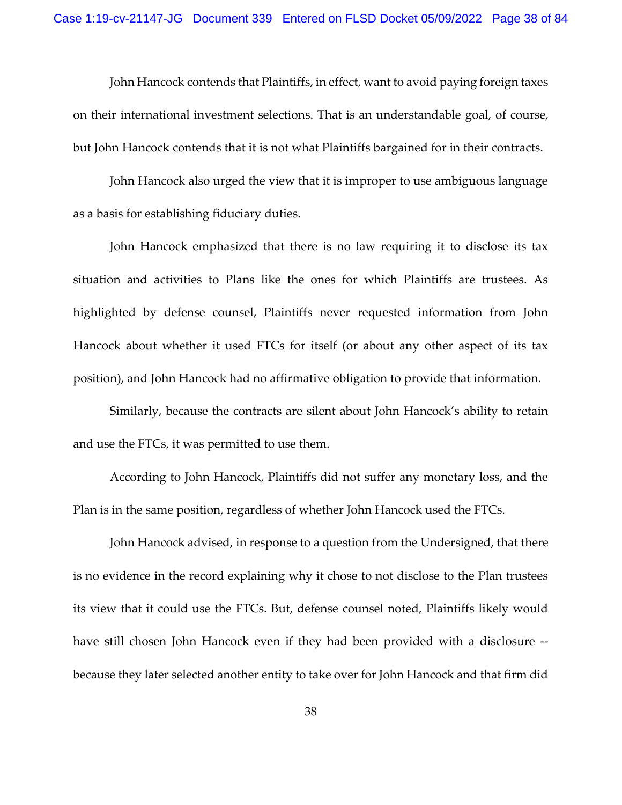John Hancock contends that Plaintiffs, in effect, want to avoid paying foreign taxes on their international investment selections. That is an understandable goal, of course, but John Hancock contends that it is not what Plaintiffs bargained for in their contracts.

John Hancock also urged the view that it is improper to use ambiguous language as a basis for establishing fiduciary duties.

John Hancock emphasized that there is no law requiring it to disclose its tax situation and activities to Plans like the ones for which Plaintiffs are trustees. As highlighted by defense counsel, Plaintiffs never requested information from John Hancock about whether it used FTCs for itself (or about any other aspect of its tax position), and John Hancock had no affirmative obligation to provide that information.

Similarly, because the contracts are silent about John Hancock's ability to retain and use the FTCs, it was permitted to use them.

According to John Hancock, Plaintiffs did not suffer any monetary loss, and the Plan is in the same position, regardless of whether John Hancock used the FTCs.

John Hancock advised, in response to a question from the Undersigned, that there is no evidence in the record explaining why it chose to not disclose to the Plan trustees its view that it could use the FTCs. But, defense counsel noted, Plaintiffs likely would have still chosen John Hancock even if they had been provided with a disclosure - because they later selected another entity to take over for John Hancock and that firm did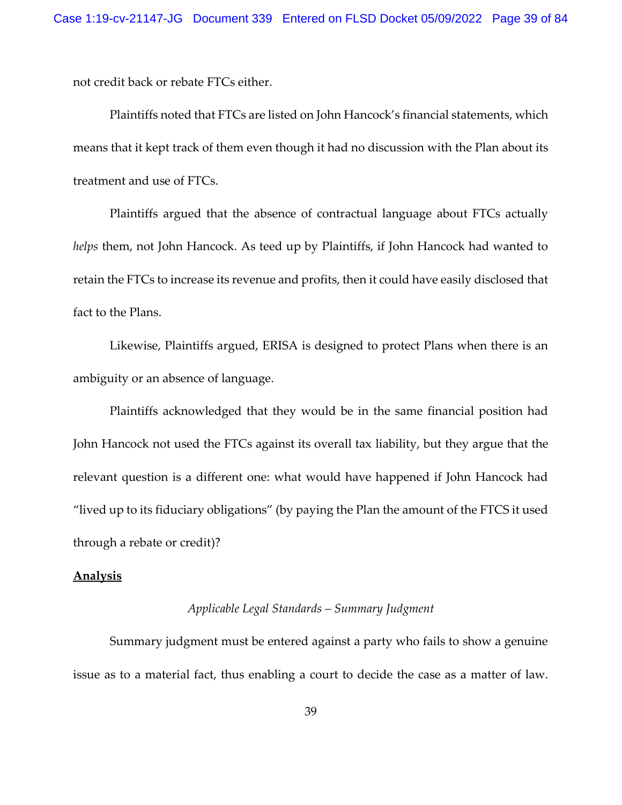not credit back or rebate FTCs either.

Plaintiffs noted that FTCs are listed on John Hancock's financial statements, which means that it kept track of them even though it had no discussion with the Plan about its treatment and use of FTCs.

Plaintiffs argued that the absence of contractual language about FTCs actually *helps* them, not John Hancock. As teed up by Plaintiffs, if John Hancock had wanted to retain the FTCs to increase its revenue and profits, then it could have easily disclosed that fact to the Plans.

Likewise, Plaintiffs argued, ERISA is designed to protect Plans when there is an ambiguity or an absence of language.

Plaintiffs acknowledged that they would be in the same financial position had John Hancock not used the FTCs against its overall tax liability, but they argue that the relevant question is a different one: what would have happened if John Hancock had "lived up to its fiduciary obligations" (by paying the Plan the amount of the FTCS it used through a rebate or credit)?

# **Analysis**

## *Applicable Legal Standards – Summary Judgment*

Summary judgment must be entered against a party who fails to show a genuine issue as to a material fact, thus enabling a court to decide the case as a matter of law.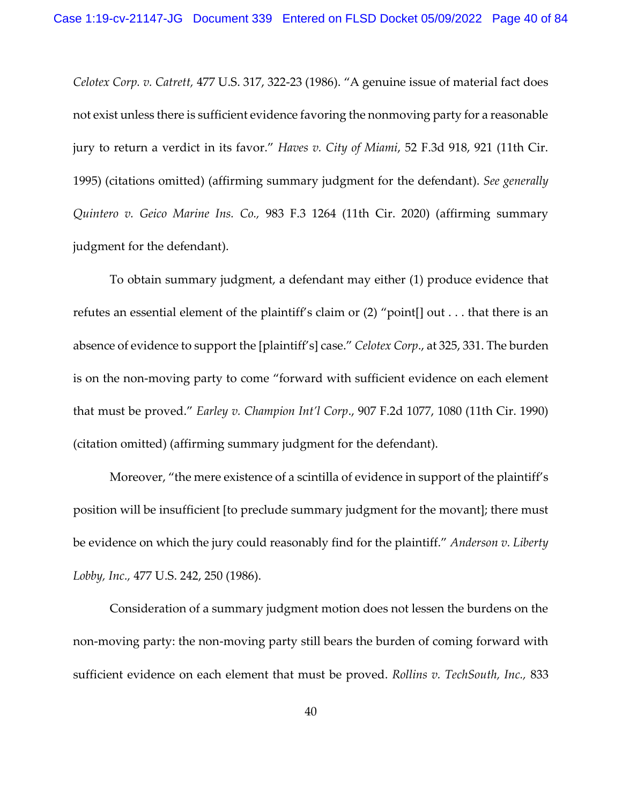*Celotex Corp. v. Catrett,* 477 U.S. 317, 322-23 (1986). "A genuine issue of material fact does not exist unless there is sufficient evidence favoring the nonmoving party for a reasonable jury to return a verdict in its favor." *Haves v. City of Miami*, 52 F.3d 918, 921 (11th Cir. 1995) (citations omitted) (affirming summary judgment for the defendant). *See generally Quintero v. Geico Marine Ins. Co.,* 983 F.3 1264 (11th Cir. 2020) (affirming summary judgment for the defendant).

To obtain summary judgment, a defendant may either (1) produce evidence that refutes an essential element of the plaintiff's claim or (2) "point[] out . . . that there is an absence of evidence to support the [plaintiff's] case." *Celotex Corp*., at 325, 331. The burden is on the non-moving party to come "forward with sufficient evidence on each element that must be proved." *Earley v. Champion Int'l Corp*., 907 F.2d 1077, 1080 (11th Cir. 1990) (citation omitted) (affirming summary judgment for the defendant).

Moreover, "the mere existence of a scintilla of evidence in support of the plaintiff's position will be insufficient [to preclude summary judgment for the movant]; there must be evidence on which the jury could reasonably find for the plaintiff." *Anderson v. Liberty Lobby, Inc.,* 477 U.S. 242, 250 (1986).

Consideration of a summary judgment motion does not lessen the burdens on the non-moving party: the non-moving party still bears the burden of coming forward with sufficient evidence on each element that must be proved. *Rollins v. TechSouth, Inc.,* 833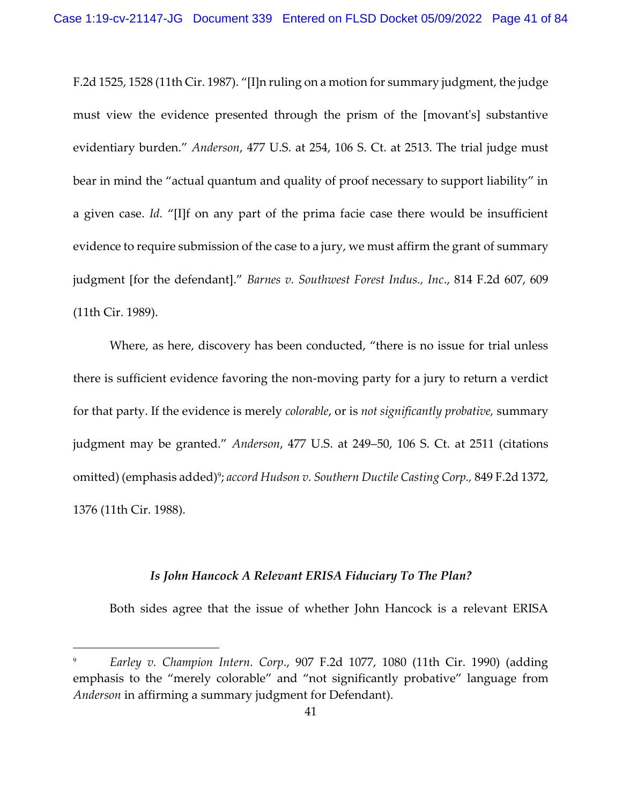F.2d 1525, 1528 (11th Cir. 1987). "[I]n ruling on a motion for summary judgment, the judge must view the evidence presented through the prism of the [movant's] substantive evidentiary burden." *Anderson*, 477 U.S. at 254, 106 S. Ct. at 2513. The trial judge must bear in mind the "actual quantum and quality of proof necessary to support liability" in a given case. *Id.* "[I]f on any part of the prima facie case there would be insufficient evidence to require submission of the case to a jury, we must affirm the grant of summary judgment [for the defendant]." *Barnes v. Southwest Forest Indus., Inc*., 814 F.2d 607, 609 (11th Cir. 1989).

Where, as here, discovery has been conducted, "there is no issue for trial unless there is sufficient evidence favoring the non-moving party for a jury to return a verdict for that party. If the evidence is merely *colorable*, or is *not significantly probative,* summary judgment may be granted." *Anderson*, 477 U.S. at 249–50, 106 S. Ct. at 2511 (citations omitted) (emphasis added)<sup>9</sup>; accord Hudson v. Southern Ductile Casting Corp., 849 F.2d 1372, 1376 (11th Cir. 1988).

# *Is John Hancock A Relevant ERISA Fiduciary To The Plan?*

Both sides agree that the issue of whether John Hancock is a relevant ERISA

<sup>9</sup> *Earley v. Champion Intern. Corp*., 907 F.2d 1077, 1080 (11th Cir. 1990) (adding emphasis to the "merely colorable" and "not significantly probative" language from *Anderson* in affirming a summary judgment for Defendant).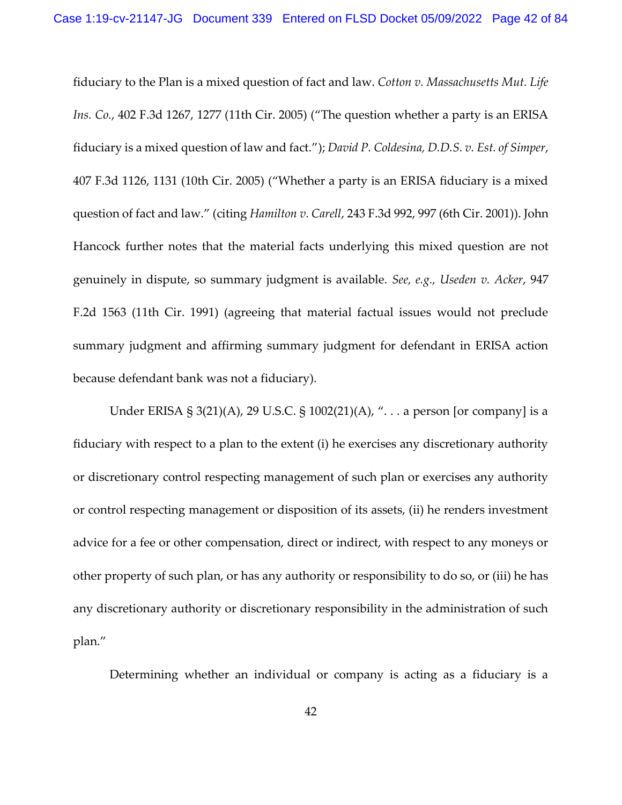fiduciary to the Plan is a mixed question of fact and law. *Cotton v. Massachusetts Mut. Life Ins. Co.*, 402 F.3d 1267, 1277 (11th Cir. 2005) ("The question whether a party is an ERISA fiduciary is a mixed question of law and fact."); *David P. Coldesina, D.D.S. v. Est. of Simper*, 407 F.3d 1126, 1131 (10th Cir. 2005) ("Whether a party is an ERISA fiduciary is a mixed question of fact and law." (citing *Hamilton v. Carell*, 243 F.3d 992, 997 (6th Cir. 2001)). John Hancock further notes that the material facts underlying this mixed question are not genuinely in dispute, so summary judgment is available. *See, e.g., Useden v. Acker*, 947 F.2d 1563 (11th Cir. 1991) (agreeing that material factual issues would not preclude summary judgment and affirming summary judgment for defendant in ERISA action because defendant bank was not a fiduciary).

Under ERISA § 3(21)(A), 29 U.S.C. § 1002(21)(A), ". . . a person [or company] is a fiduciary with respect to a plan to the extent (i) he exercises any discretionary authority or discretionary control respecting management of such plan or exercises any authority or control respecting management or disposition of its assets, (ii) he renders investment advice for a fee or other compensation, direct or indirect, with respect to any moneys or other property of such plan, or has any authority or responsibility to do so, or (iii) he has any discretionary authority or discretionary responsibility in the administration of such plan."

Determining whether an individual or company is acting as a fiduciary is a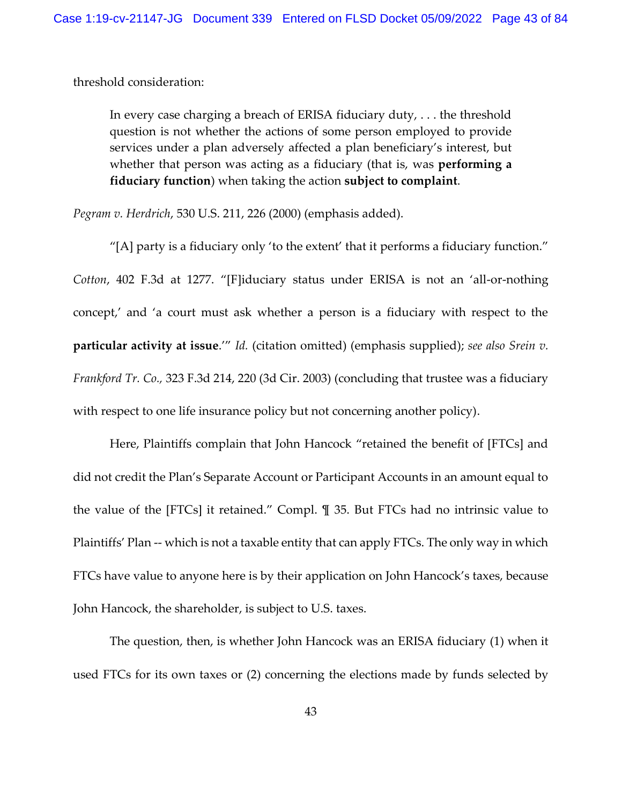threshold consideration:

In every case charging a breach of ERISA fiduciary duty, . . . the threshold question is not whether the actions of some person employed to provide services under a plan adversely affected a plan beneficiary's interest, but whether that person was acting as a fiduciary (that is, was **performing a fiduciary function**) when taking the action **subject to complaint**.

*Pegram v. Herdrich*, 530 U.S. 211, 226 (2000) (emphasis added).

"[A] party is a fiduciary only 'to the extent' that it performs a fiduciary function." *Cotton*, 402 F.3d at 1277. "[F]iduciary status under ERISA is not an 'all-or-nothing concept,' and 'a court must ask whether a person is a fiduciary with respect to the **particular activity at issue**.'" *Id.* (citation omitted) (emphasis supplied); *see also Srein v. Frankford Tr. Co.,* 323 F.3d 214, 220 (3d Cir. 2003) (concluding that trustee was a fiduciary with respect to one life insurance policy but not concerning another policy).

Here, Plaintiffs complain that John Hancock "retained the benefit of [FTCs] and did not credit the Plan's Separate Account or Participant Accounts in an amount equal to the value of the [FTCs] it retained." Compl. ¶ 35. But FTCs had no intrinsic value to Plaintiffs' Plan -- which is not a taxable entity that can apply FTCs. The only way in which FTCs have value to anyone here is by their application on John Hancock's taxes, because John Hancock, the shareholder, is subject to U.S. taxes.

The question, then, is whether John Hancock was an ERISA fiduciary (1) when it used FTCs for its own taxes or (2) concerning the elections made by funds selected by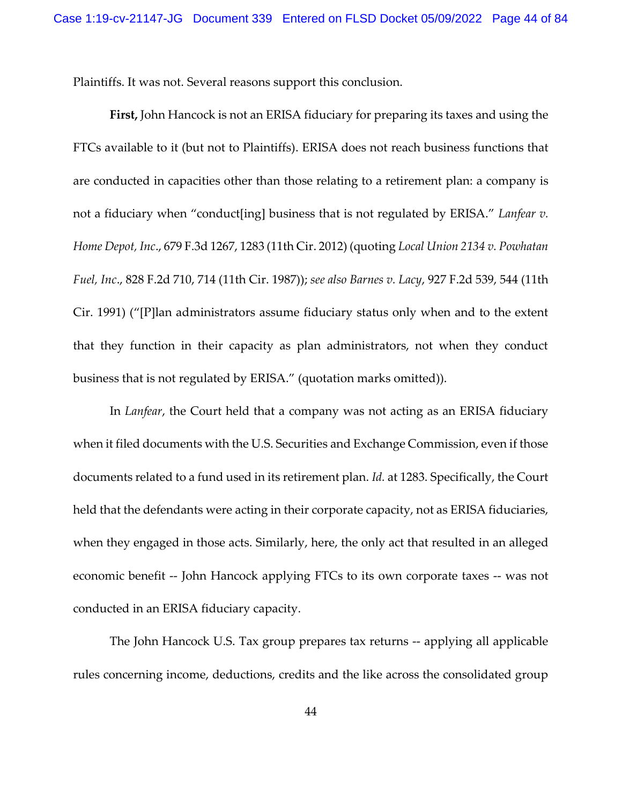Plaintiffs. It was not. Several reasons support this conclusion.

**First,** John Hancock is not an ERISA fiduciary for preparing its taxes and using the FTCs available to it (but not to Plaintiffs). ERISA does not reach business functions that are conducted in capacities other than those relating to a retirement plan: a company is not a fiduciary when "conduct[ing] business that is not regulated by ERISA." *Lanfear v. Home Depot, Inc*., 679 F.3d 1267, 1283 (11th Cir. 2012) (quoting *Local Union 2134 v. Powhatan Fuel, Inc*., 828 F.2d 710, 714 (11th Cir. 1987)); *see also Barnes v. Lacy*, 927 F.2d 539, 544 (11th Cir. 1991) ("[P]lan administrators assume fiduciary status only when and to the extent that they function in their capacity as plan administrators, not when they conduct business that is not regulated by ERISA." (quotation marks omitted)).

In *Lanfear*, the Court held that a company was not acting as an ERISA fiduciary when it filed documents with the U.S. Securities and Exchange Commission, even if those documents related to a fund used in its retirement plan. *Id.* at 1283. Specifically, the Court held that the defendants were acting in their corporate capacity, not as ERISA fiduciaries, when they engaged in those acts. Similarly, here, the only act that resulted in an alleged economic benefit -- John Hancock applying FTCs to its own corporate taxes -- was not conducted in an ERISA fiduciary capacity.

The John Hancock U.S. Tax group prepares tax returns -- applying all applicable rules concerning income, deductions, credits and the like across the consolidated group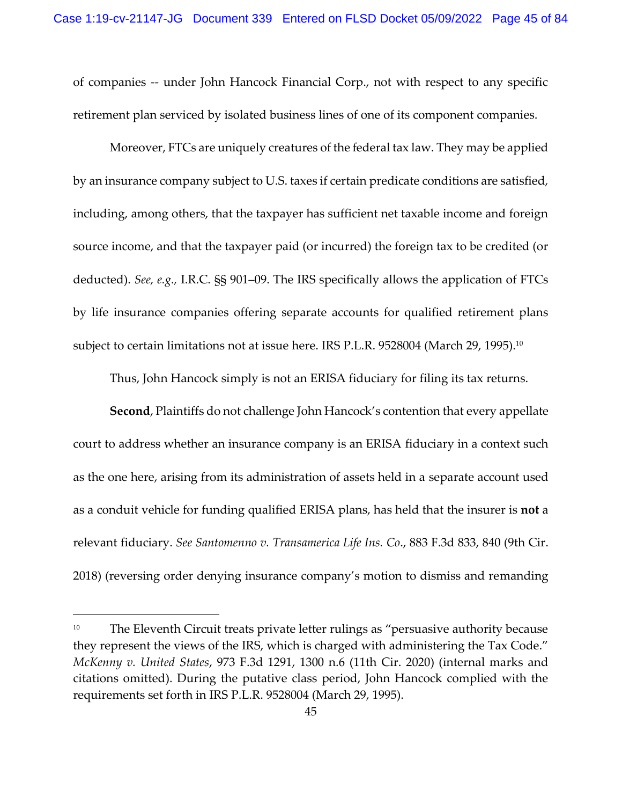of companies -- under John Hancock Financial Corp., not with respect to any specific retirement plan serviced by isolated business lines of one of its component companies.

Moreover, FTCs are uniquely creatures of the federal tax law. They may be applied by an insurance company subject to U.S. taxes if certain predicate conditions are satisfied, including, among others, that the taxpayer has sufficient net taxable income and foreign source income, and that the taxpayer paid (or incurred) the foreign tax to be credited (or deducted). *See, e.g.,* I.R.C. §§ 901–09. The IRS specifically allows the application of FTCs by life insurance companies offering separate accounts for qualified retirement plans subject to certain limitations not at issue here. IRS P.L.R. 9528004 (March 29, 1995). $^{\rm 10}$ 

Thus, John Hancock simply is not an ERISA fiduciary for filing its tax returns.

**Second**, Plaintiffs do not challenge John Hancock's contention that every appellate court to address whether an insurance company is an ERISA fiduciary in a context such as the one here, arising from its administration of assets held in a separate account used as a conduit vehicle for funding qualified ERISA plans, has held that the insurer is **not** a relevant fiduciary. *See Santomenno v. Transamerica Life Ins. Co*., 883 F.3d 833, 840 (9th Cir. 2018) (reversing order denying insurance company's motion to dismiss and remanding

<sup>&</sup>lt;sup>10</sup> The Eleventh Circuit treats private letter rulings as "persuasive authority because they represent the views of the IRS, which is charged with administering the Tax Code." *McKenny v. United States*, 973 F.3d 1291, 1300 n.6 (11th Cir. 2020) (internal marks and citations omitted). During the putative class period, John Hancock complied with the requirements set forth in IRS P.L.R. 9528004 (March 29, 1995).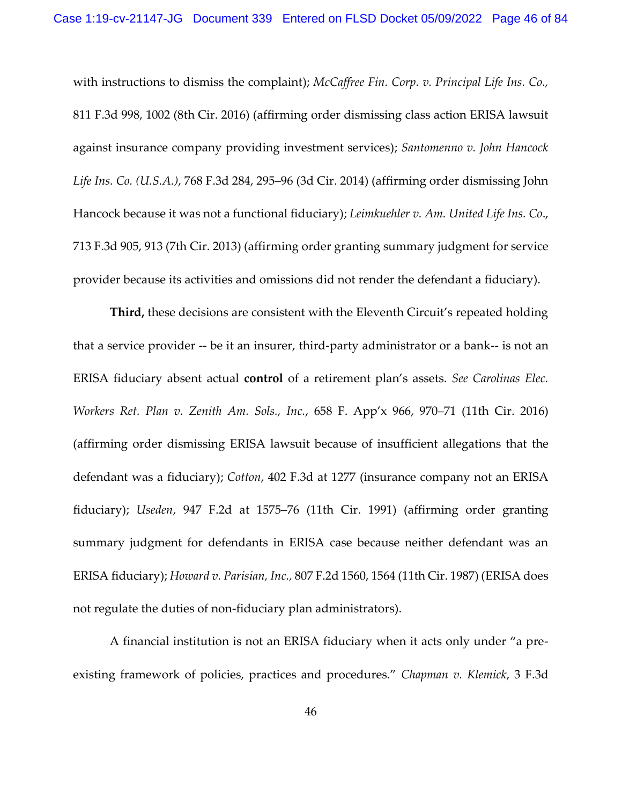with instructions to dismiss the complaint); *McCaffree Fin. Corp. v. Principal Life Ins. Co.,* 811 F.3d 998, 1002 (8th Cir. 2016) (affirming order dismissing class action ERISA lawsuit against insurance company providing investment services); *Santomenno v. John Hancock Life Ins. Co. (U.S.A.)*, 768 F.3d 284, 295–96 (3d Cir. 2014) (affirming order dismissing John Hancock because it was not a functional fiduciary); *Leimkuehler v. Am. United Life Ins. Co*., 713 F.3d 905, 913 (7th Cir. 2013) (affirming order granting summary judgment for service provider because its activities and omissions did not render the defendant a fiduciary).

**Third,** these decisions are consistent with the Eleventh Circuit's repeated holding that a service provider -- be it an insurer, third-party administrator or a bank-- is not an ERISA fiduciary absent actual **control** of a retirement plan's assets. *See Carolinas Elec. Workers Ret. Plan v. Zenith Am. Sols., Inc.*, 658 F. App'x 966, 970–71 (11th Cir. 2016) (affirming order dismissing ERISA lawsuit because of insufficient allegations that the defendant was a fiduciary); *Cotton*, 402 F.3d at 1277 (insurance company not an ERISA fiduciary); *Useden*, 947 F.2d at 1575–76 (11th Cir. 1991) (affirming order granting summary judgment for defendants in ERISA case because neither defendant was an ERISA fiduciary); *Howard v. Parisian, Inc.,* 807 F.2d 1560, 1564 (11th Cir. 1987) (ERISA does not regulate the duties of non-fiduciary plan administrators).

A financial institution is not an ERISA fiduciary when it acts only under "a preexisting framework of policies, practices and procedures." *Chapman v. Klemick*, 3 F.3d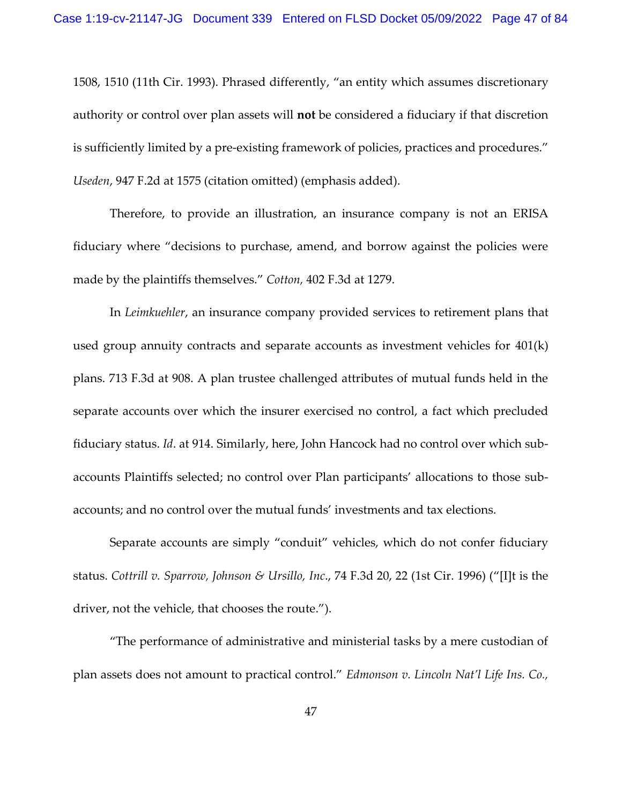1508, 1510 (11th Cir. 1993). Phrased differently, "an entity which assumes discretionary authority or control over plan assets will **not** be considered a fiduciary if that discretion is sufficiently limited by a pre-existing framework of policies, practices and procedures." *Useden*, 947 F.2d at 1575 (citation omitted) (emphasis added).

Therefore, to provide an illustration, an insurance company is not an ERISA fiduciary where "decisions to purchase, amend, and borrow against the policies were made by the plaintiffs themselves." *Cotton,* 402 F.3d at 1279.

In *Leimkuehler*, an insurance company provided services to retirement plans that used group annuity contracts and separate accounts as investment vehicles for 401(k) plans. 713 F.3d at 908. A plan trustee challenged attributes of mutual funds held in the separate accounts over which the insurer exercised no control, a fact which precluded fiduciary status. *Id*. at 914. Similarly, here, John Hancock had no control over which subaccounts Plaintiffs selected; no control over Plan participants' allocations to those subaccounts; and no control over the mutual funds' investments and tax elections.

Separate accounts are simply "conduit" vehicles, which do not confer fiduciary status. *Cottrill v. Sparrow, Johnson & Ursillo, Inc*., 74 F.3d 20, 22 (1st Cir. 1996) ("[I]t is the driver, not the vehicle, that chooses the route.").

"The performance of administrative and ministerial tasks by a mere custodian of plan assets does not amount to practical control." *Edmonson v. Lincoln Nat'l Life Ins. Co.,*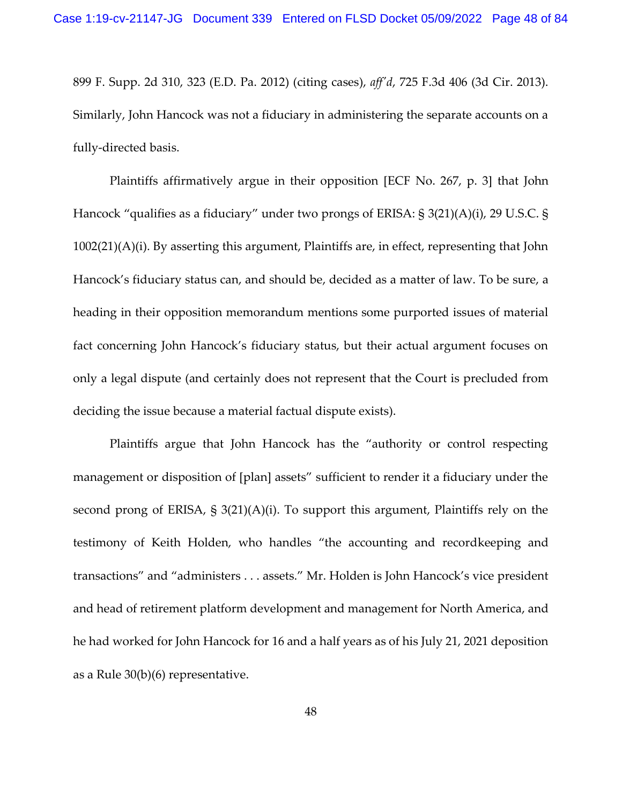899 F. Supp. 2d 310, 323 (E.D. Pa. 2012) (citing cases), *aff'd*, 725 F.3d 406 (3d Cir. 2013). Similarly, John Hancock was not a fiduciary in administering the separate accounts on a fully-directed basis.

Plaintiffs affirmatively argue in their opposition [ECF No. 267, p. 3] that John Hancock "qualifies as a fiduciary" under two prongs of ERISA: § 3(21)(A)(i), 29 U.S.C. § 1002(21)(A)(i). By asserting this argument, Plaintiffs are, in effect, representing that John Hancock's fiduciary status can, and should be, decided as a matter of law. To be sure, a heading in their opposition memorandum mentions some purported issues of material fact concerning John Hancock's fiduciary status, but their actual argument focuses on only a legal dispute (and certainly does not represent that the Court is precluded from deciding the issue because a material factual dispute exists).

Plaintiffs argue that John Hancock has the "authority or control respecting management or disposition of [plan] assets" sufficient to render it a fiduciary under the second prong of ERISA, § 3(21)(A)(i). To support this argument, Plaintiffs rely on the testimony of Keith Holden, who handles "the accounting and recordkeeping and transactions" and "administers . . . assets." Mr. Holden is John Hancock's vice president and head of retirement platform development and management for North America, and he had worked for John Hancock for 16 and a half years as of his July 21, 2021 deposition as a Rule 30(b)(6) representative.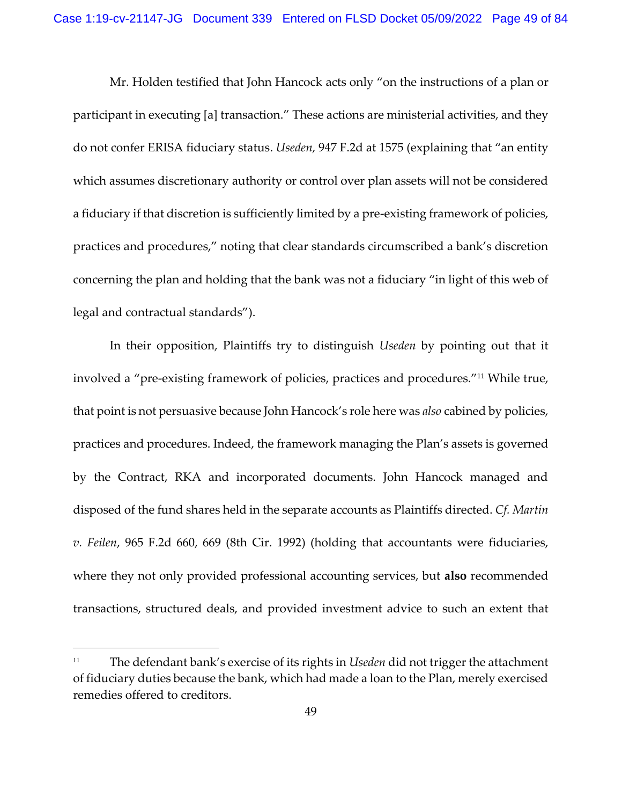Mr. Holden testified that John Hancock acts only "on the instructions of a plan or participant in executing [a] transaction." These actions are ministerial activities, and they do not confer ERISA fiduciary status. *Useden,* 947 F.2d at 1575 (explaining that "an entity which assumes discretionary authority or control over plan assets will not be considered a fiduciary if that discretion is sufficiently limited by a pre-existing framework of policies, practices and procedures," noting that clear standards circumscribed a bank's discretion concerning the plan and holding that the bank was not a fiduciary "in light of this web of legal and contractual standards").

In their opposition, Plaintiffs try to distinguish *Useden* by pointing out that it involved a "pre-existing framework of policies, practices and procedures."11 While true, that point is not persuasive because John Hancock's role here was *also* cabined by policies, practices and procedures. Indeed, the framework managing the Plan's assets is governed by the Contract, RKA and incorporated documents. John Hancock managed and disposed of the fund shares held in the separate accounts as Plaintiffs directed. *Cf. Martin v. Feilen*, 965 F.2d 660, 669 (8th Cir. 1992) (holding that accountants were fiduciaries, where they not only provided professional accounting services, but **also** recommended transactions, structured deals, and provided investment advice to such an extent that

<sup>11</sup> The defendant bank's exercise of its rights in *Useden* did not trigger the attachment of fiduciary duties because the bank, which had made a loan to the Plan, merely exercised remedies offered to creditors.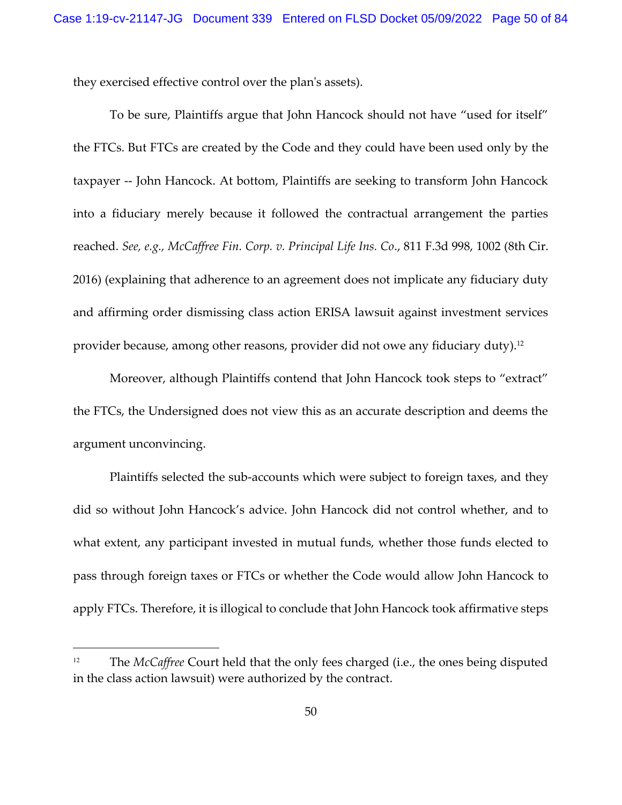they exercised effective control over the plan's assets).

To be sure, Plaintiffs argue that John Hancock should not have "used for itself" the FTCs. But FTCs are created by the Code and they could have been used only by the taxpayer -- John Hancock. At bottom, Plaintiffs are seeking to transform John Hancock into a fiduciary merely because it followed the contractual arrangement the parties reached. *See, e.g., McCaffree Fin. Corp. v. Principal Life Ins. Co*., 811 F.3d 998, 1002 (8th Cir. 2016) (explaining that adherence to an agreement does not implicate any fiduciary duty and affirming order dismissing class action ERISA lawsuit against investment services provider because, among other reasons, provider did not owe any fiduciary duty).<sup>12</sup>

Moreover, although Plaintiffs contend that John Hancock took steps to "extract" the FTCs, the Undersigned does not view this as an accurate description and deems the argument unconvincing.

Plaintiffs selected the sub-accounts which were subject to foreign taxes, and they did so without John Hancock's advice. John Hancock did not control whether, and to what extent, any participant invested in mutual funds, whether those funds elected to pass through foreign taxes or FTCs or whether the Code would allow John Hancock to apply FTCs. Therefore, it is illogical to conclude that John Hancock took affirmative steps

<sup>&</sup>lt;sup>12</sup> The *McCaffree* Court held that the only fees charged (i.e., the ones being disputed in the class action lawsuit) were authorized by the contract.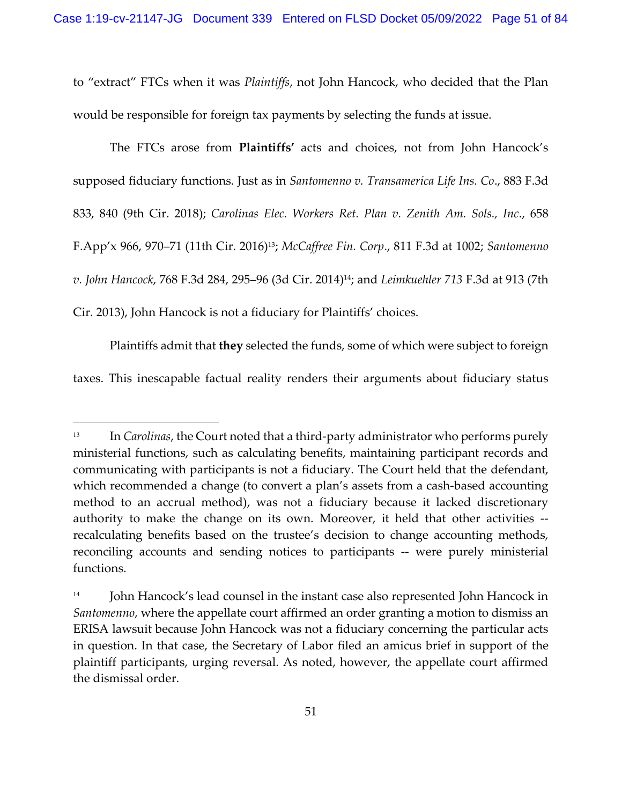to "extract" FTCs when it was *Plaintiffs*, not John Hancock, who decided that the Plan would be responsible for foreign tax payments by selecting the funds at issue.

The FTCs arose from **Plaintiffs'** acts and choices, not from John Hancock's supposed fiduciary functions. Just as in *Santomenno v. Transamerica Life Ins. Co*., 883 F.3d 833, 840 (9th Cir. 2018); *Carolinas Elec. Workers Ret. Plan v. Zenith Am. Sols., Inc*., 658 F.App'x 966, 970–71 (11th Cir. 2016)13; *McCaffree Fin. Corp*., 811 F.3d at 1002; *Santomenno v. John Hancock*, 768 F.3d 284, 295–96 (3d Cir. 2014)14; and *Leimkuehler 713* F.3d at 913 (7th Cir. 2013), John Hancock is not a fiduciary for Plaintiffs' choices.

Plaintiffs admit that **they** selected the funds, some of which were subject to foreign taxes. This inescapable factual reality renders their arguments about fiduciary status

<sup>&</sup>lt;sup>13</sup> In *Carolinas*, the Court noted that a third-party administrator who performs purely ministerial functions, such as calculating benefits, maintaining participant records and communicating with participants is not a fiduciary. The Court held that the defendant, which recommended a change (to convert a plan's assets from a cash-based accounting method to an accrual method), was not a fiduciary because it lacked discretionary authority to make the change on its own. Moreover, it held that other activities - recalculating benefits based on the trustee's decision to change accounting methods, reconciling accounts and sending notices to participants -- were purely ministerial functions.

 $14$  John Hancock's lead counsel in the instant case also represented John Hancock in *Santomenno*, where the appellate court affirmed an order granting a motion to dismiss an ERISA lawsuit because John Hancock was not a fiduciary concerning the particular acts in question. In that case, the Secretary of Labor filed an amicus brief in support of the plaintiff participants, urging reversal. As noted, however, the appellate court affirmed the dismissal order.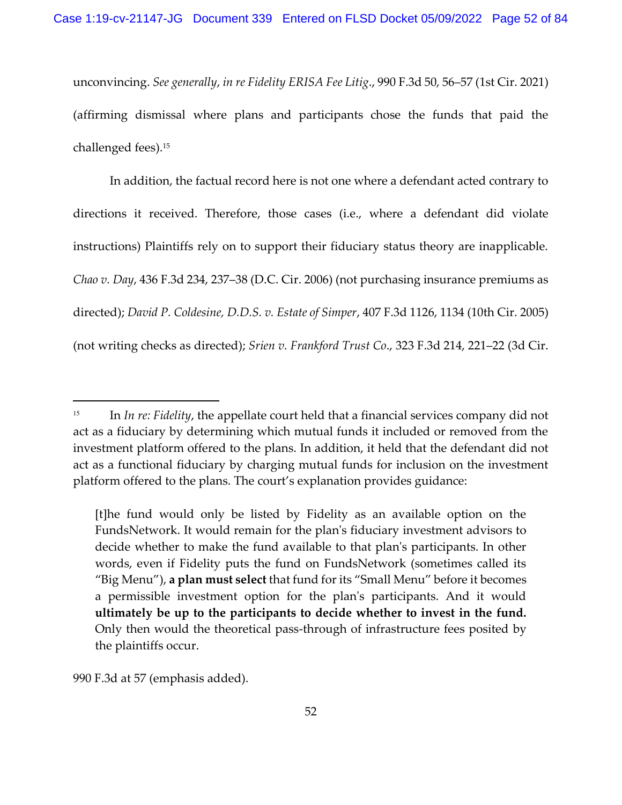unconvincing. *See generally*, *in re Fidelity ERISA Fee Litig*., 990 F.3d 50, 56–57 (1st Cir. 2021) (affirming dismissal where plans and participants chose the funds that paid the challenged fees).<sup>15</sup>

In addition, the factual record here is not one where a defendant acted contrary to directions it received. Therefore, those cases (i.e., where a defendant did violate instructions) Plaintiffs rely on to support their fiduciary status theory are inapplicable. *Chao v. Day*, 436 F.3d 234, 237–38 (D.C. Cir. 2006) (not purchasing insurance premiums as directed); *David P. Coldesine, D.D.S. v. Estate of Simper*, 407 F.3d 1126, 1134 (10th Cir. 2005) (not writing checks as directed); *Srien v. Frankford Trust Co*., 323 F.3d 214, 221–22 (3d Cir.

[t]he fund would only be listed by Fidelity as an available option on the FundsNetwork. It would remain for the plan's fiduciary investment advisors to decide whether to make the fund available to that plan's participants. In other words, even if Fidelity puts the fund on FundsNetwork (sometimes called its "Big Menu"), **a plan must select** that fund for its "Small Menu" before it becomes a permissible investment option for the plan's participants. And it would **ultimately be up to the participants to decide whether to invest in the fund.** Only then would the theoretical pass-through of infrastructure fees posited by the plaintiffs occur.

990 F.3d at 57 (emphasis added).

<sup>&</sup>lt;sup>15</sup> In *In re: Fidelity*, the appellate court held that a financial services company did not act as a fiduciary by determining which mutual funds it included or removed from the investment platform offered to the plans. In addition, it held that the defendant did not act as a functional fiduciary by charging mutual funds for inclusion on the investment platform offered to the plans. The court's explanation provides guidance: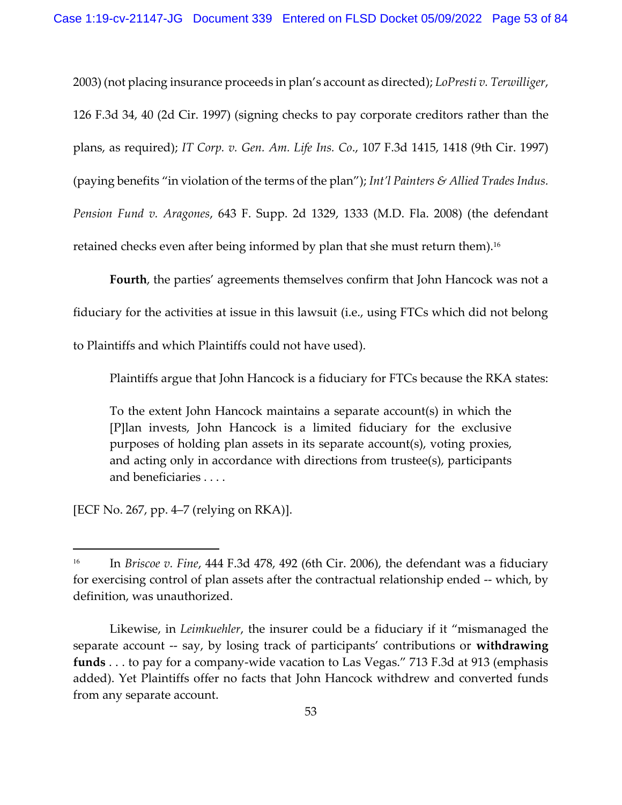2003) (not placing insurance proceeds in plan's account as directed); *LoPresti v. Terwilliger*, 126 F.3d 34, 40 (2d Cir. 1997) (signing checks to pay corporate creditors rather than the plans, as required); *IT Corp. v. Gen. Am. Life Ins. Co*., 107 F.3d 1415, 1418 (9th Cir. 1997) (paying benefits "in violation of the terms of the plan"); *Int'l Painters & Allied Trades Indus. Pension Fund v. Aragones*, 643 F. Supp. 2d 1329, 1333 (M.D. Fla. 2008) (the defendant retained checks even after being informed by plan that she must return them). $^{\rm 16}$ 

**Fourth**, the parties' agreements themselves confirm that John Hancock was not a fiduciary for the activities at issue in this lawsuit (i.e., using FTCs which did not belong to Plaintiffs and which Plaintiffs could not have used).

Plaintiffs argue that John Hancock is a fiduciary for FTCs because the RKA states:

To the extent John Hancock maintains a separate account(s) in which the [P]lan invests, John Hancock is a limited fiduciary for the exclusive purposes of holding plan assets in its separate account(s), voting proxies, and acting only in accordance with directions from trustee(s), participants and beneficiaries . . . .

[ECF No. 267, pp. 4–7 (relying on RKA)].

<sup>&</sup>lt;sup>16</sup> In *Briscoe v. Fine*, 444 F.3d 478, 492 (6th Cir. 2006), the defendant was a fiduciary for exercising control of plan assets after the contractual relationship ended -- which, by definition, was unauthorized.

Likewise, in *Leimkuehler*, the insurer could be a fiduciary if it "mismanaged the separate account -- say, by losing track of participants' contributions or **withdrawing funds** . . . to pay for a company-wide vacation to Las Vegas." 713 F.3d at 913 (emphasis added). Yet Plaintiffs offer no facts that John Hancock withdrew and converted funds from any separate account.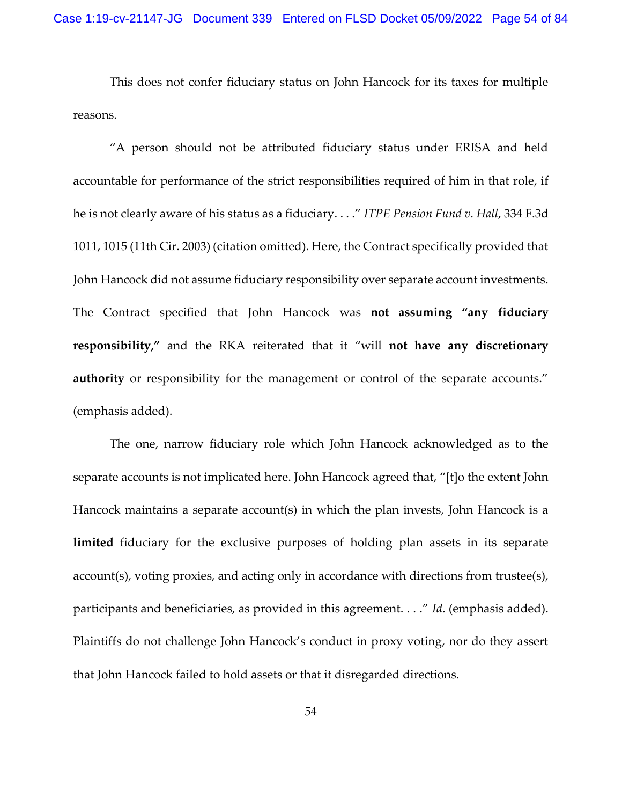This does not confer fiduciary status on John Hancock for its taxes for multiple reasons.

"A person should not be attributed fiduciary status under ERISA and held accountable for performance of the strict responsibilities required of him in that role, if he is not clearly aware of his status as a fiduciary. . . ." *ITPE Pension Fund v. Hall*, 334 F.3d 1011, 1015 (11th Cir. 2003) (citation omitted). Here, the Contract specifically provided that John Hancock did not assume fiduciary responsibility over separate account investments. The Contract specified that John Hancock was **not assuming "any fiduciary responsibility,"** and the RKA reiterated that it "will **not have any discretionary authority** or responsibility for the management or control of the separate accounts." (emphasis added).

The one, narrow fiduciary role which John Hancock acknowledged as to the separate accounts is not implicated here. John Hancock agreed that, "[t]o the extent John Hancock maintains a separate account(s) in which the plan invests, John Hancock is a **limited** fiduciary for the exclusive purposes of holding plan assets in its separate account(s), voting proxies, and acting only in accordance with directions from trustee(s), participants and beneficiaries, as provided in this agreement. . . ." *Id*. (emphasis added). Plaintiffs do not challenge John Hancock's conduct in proxy voting, nor do they assert that John Hancock failed to hold assets or that it disregarded directions.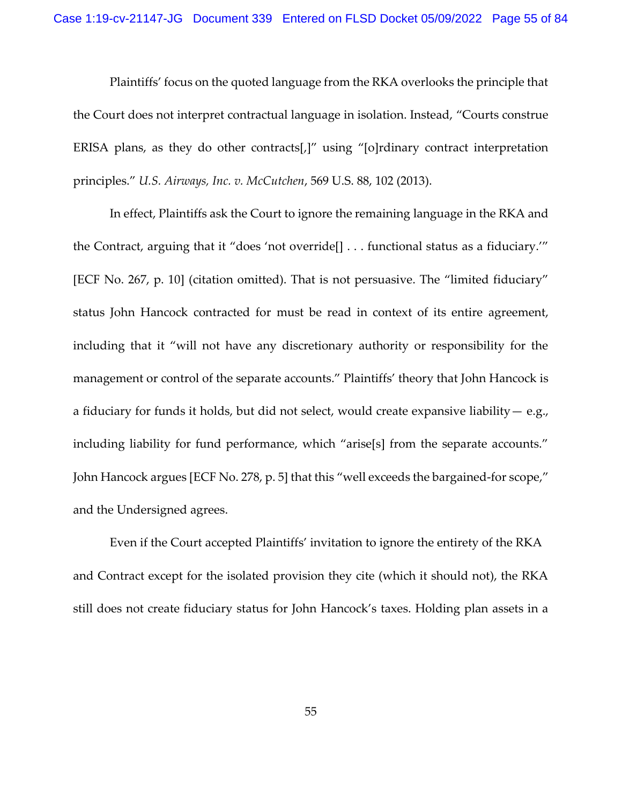Plaintiffs' focus on the quoted language from the RKA overlooks the principle that the Court does not interpret contractual language in isolation. Instead, "Courts construe ERISA plans, as they do other contracts[,]" using "[o]rdinary contract interpretation principles." *U.S. Airways, Inc. v. McCutchen*, 569 U.S. 88, 102 (2013).

In effect, Plaintiffs ask the Court to ignore the remaining language in the RKA and the Contract, arguing that it "does 'not override[] . . . functional status as a fiduciary.'" [ECF No. 267, p. 10] (citation omitted). That is not persuasive. The "limited fiduciary" status John Hancock contracted for must be read in context of its entire agreement, including that it "will not have any discretionary authority or responsibility for the management or control of the separate accounts." Plaintiffs' theory that John Hancock is a fiduciary for funds it holds, but did not select, would create expansive liability— e.g., including liability for fund performance, which "arise[s] from the separate accounts." John Hancock argues [ECF No. 278, p. 5] that this "well exceeds the bargained-for scope," and the Undersigned agrees.

Even if the Court accepted Plaintiffs' invitation to ignore the entirety of the RKA and Contract except for the isolated provision they cite (which it should not), the RKA still does not create fiduciary status for John Hancock's taxes. Holding plan assets in a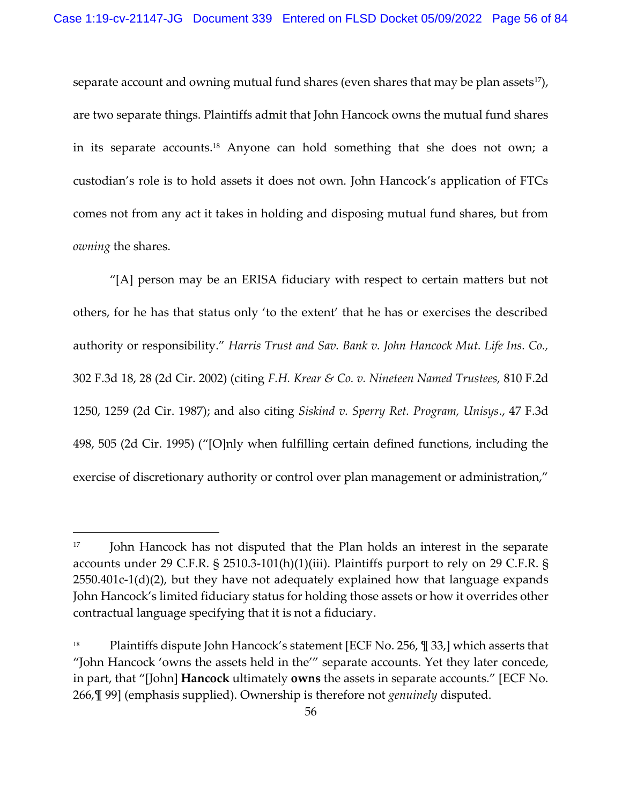separate account and owning mutual fund shares (even shares that may be plan assets<sup>17</sup>), are two separate things. Plaintiffs admit that John Hancock owns the mutual fund shares in its separate accounts.18 Anyone can hold something that she does not own; a custodian's role is to hold assets it does not own. John Hancock's application of FTCs comes not from any act it takes in holding and disposing mutual fund shares, but from *owning* the shares.

"[A] person may be an ERISA fiduciary with respect to certain matters but not others, for he has that status only 'to the extent' that he has or exercises the described authority or responsibility." *Harris Trust and Sav. Bank v. John Hancock Mut. Life Ins. Co.,* 302 F.3d 18, 28 (2d Cir. 2002) (citing *F.H. Krear & Co. v. Nineteen Named Trustees,* 810 F.2d 1250, 1259 (2d Cir. 1987); and also citing *Siskind v. Sperry Ret. Program, Unisys*., 47 F.3d 498, 505 (2d Cir. 1995) ("[O]nly when fulfilling certain defined functions, including the exercise of discretionary authority or control over plan management or administration,"

<sup>&</sup>lt;sup>17</sup> John Hancock has not disputed that the Plan holds an interest in the separate accounts under 29 C.F.R. § 2510.3-101(h)(1)(iii). Plaintiffs purport to rely on 29 C.F.R. § 2550.401c-1(d)(2), but they have not adequately explained how that language expands John Hancock's limited fiduciary status for holding those assets or how it overrides other contractual language specifying that it is not a fiduciary.

<sup>&</sup>lt;sup>18</sup> Plaintiffs dispute John Hancock's statement [ECF No. 256,  $\frac{m}{2}$  33,] which asserts that "John Hancock 'owns the assets held in the'" separate accounts. Yet they later concede, in part, that "[John] **Hancock** ultimately **owns** the assets in separate accounts." [ECF No. 266,¶ 99] (emphasis supplied). Ownership is therefore not *genuinely* disputed.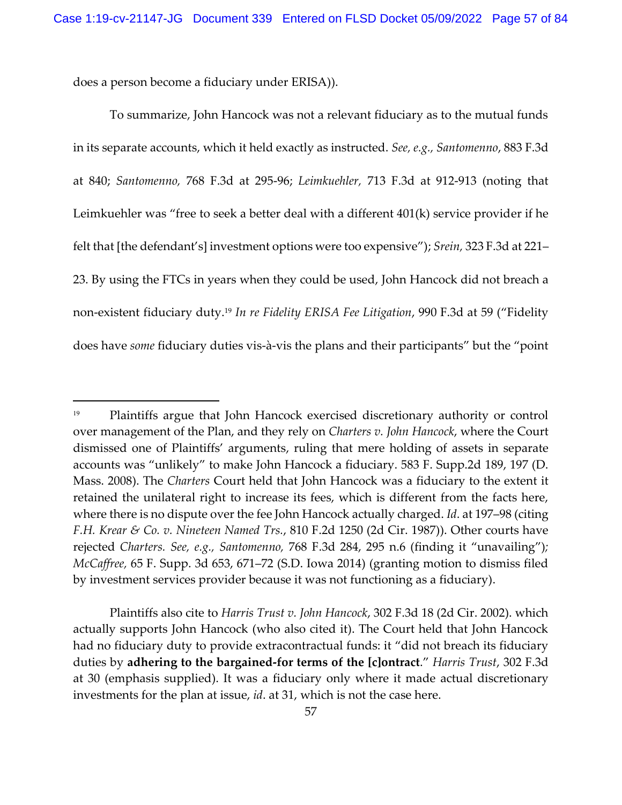does a person become a fiduciary under ERISA)).

To summarize, John Hancock was not a relevant fiduciary as to the mutual funds in its separate accounts, which it held exactly as instructed. *See, e.g., Santomenno*, 883 F.3d at 840; *Santomenno,* 768 F.3d at 295-96; *Leimkuehler,* 713 F.3d at 912-913 (noting that Leimkuehler was "free to seek a better deal with a different 401(k) service provider if he felt that [the defendant's] investment options were too expensive"); *Srein,* 323 F.3d at 221– 23. By using the FTCs in years when they could be used, John Hancock did not breach a non-existent fiduciary duty.<sup>19</sup> *In re Fidelity ERISA Fee Litigation*, 990 F.3d at 59 ("Fidelity does have *some* fiduciary duties vis-à-vis the plans and their participants" but the "point

Plaintiffs also cite to *Harris Trust v. John Hancock*, 302 F.3d 18 (2d Cir. 2002). which actually supports John Hancock (who also cited it). The Court held that John Hancock had no fiduciary duty to provide extracontractual funds: it "did not breach its fiduciary duties by **adhering to the bargained-for terms of the [c]ontract**." *Harris Trust*, 302 F.3d at 30 (emphasis supplied). It was a fiduciary only where it made actual discretionary investments for the plan at issue, *id*. at 31, which is not the case here.

<sup>19</sup> Plaintiffs argue that John Hancock exercised discretionary authority or control over management of the Plan, and they rely on *Charters v. John Hancock*, where the Court dismissed one of Plaintiffs' arguments, ruling that mere holding of assets in separate accounts was "unlikely" to make John Hancock a fiduciary. 583 F. Supp.2d 189, 197 (D. Mass. 2008). The *Charters* Court held that John Hancock was a fiduciary to the extent it retained the unilateral right to increase its fees, which is different from the facts here, where there is no dispute over the fee John Hancock actually charged. *Id*. at 197–98 (citing *F.H. Krear & Co. v. Nineteen Named Trs.*, 810 F.2d 1250 (2d Cir. 1987)). Other courts have rejected *Charters. See, e.g., Santomenno,* 768 F.3d 284, 295 n.6 (finding it "unavailing")*; McCaffree,* 65 F. Supp. 3d 653, 671–72 (S.D. Iowa 2014) (granting motion to dismiss filed by investment services provider because it was not functioning as a fiduciary).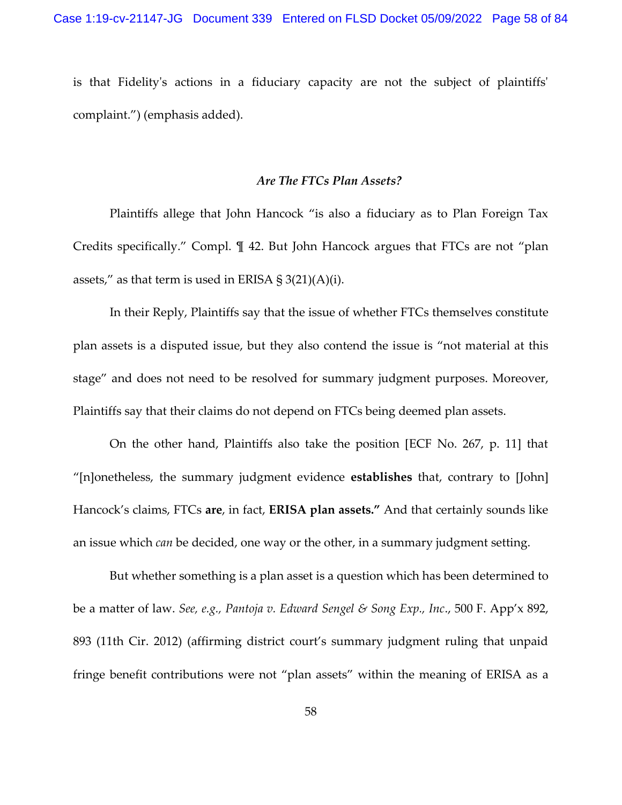is that Fidelity's actions in a fiduciary capacity are not the subject of plaintiffs' complaint.") (emphasis added).

#### *Are The FTCs Plan Assets?*

Plaintiffs allege that John Hancock "is also a fiduciary as to Plan Foreign Tax Credits specifically." Compl. ¶ 42. But John Hancock argues that FTCs are not "plan assets," as that term is used in ERISA  $\S 3(21)(A)(i)$ .

In their Reply, Plaintiffs say that the issue of whether FTCs themselves constitute plan assets is a disputed issue, but they also contend the issue is "not material at this stage" and does not need to be resolved for summary judgment purposes. Moreover, Plaintiffs say that their claims do not depend on FTCs being deemed plan assets.

On the other hand, Plaintiffs also take the position [ECF No. 267, p. 11] that "[n]onetheless, the summary judgment evidence **establishes** that, contrary to [John] Hancock's claims, FTCs **are**, in fact, **ERISA plan assets."** And that certainly sounds like an issue which *can* be decided, one way or the other, in a summary judgment setting.

But whether something is a plan asset is a question which has been determined to be a matter of law. *See, e.g., Pantoja v. Edward Sengel & Song Exp., Inc*., 500 F. App'x 892, 893 (11th Cir. 2012) (affirming district court's summary judgment ruling that unpaid fringe benefit contributions were not "plan assets" within the meaning of ERISA as a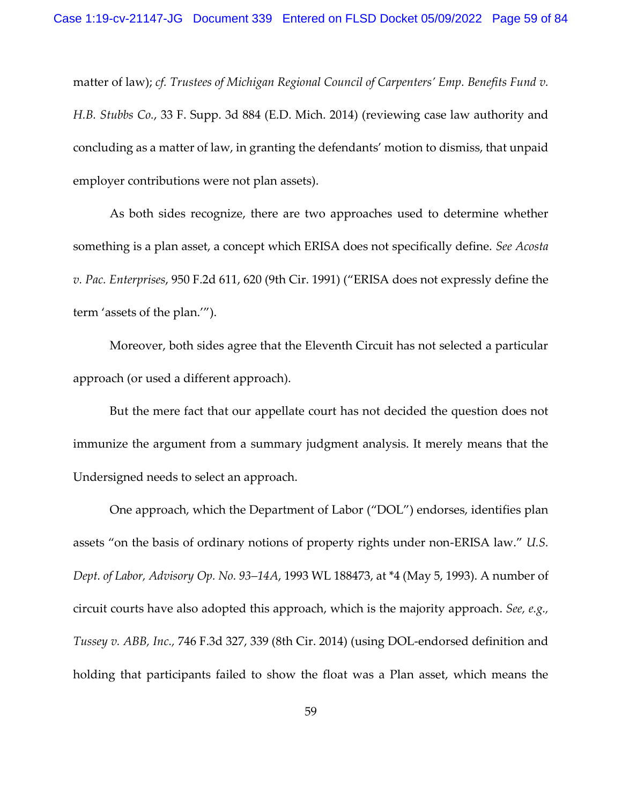matter of law); *cf. Trustees of Michigan Regional Council of Carpenters' Emp. Benefits Fund v. H.B. Stubbs Co.*, 33 F. Supp. 3d 884 (E.D. Mich. 2014) (reviewing case law authority and concluding as a matter of law, in granting the defendants' motion to dismiss, that unpaid employer contributions were not plan assets).

As both sides recognize, there are two approaches used to determine whether something is a plan asset, a concept which ERISA does not specifically define. *See Acosta v. Pac. Enterprises*, 950 F.2d 611, 620 (9th Cir. 1991) ("ERISA does not expressly define the term 'assets of the plan.'").

Moreover, both sides agree that the Eleventh Circuit has not selected a particular approach (or used a different approach).

But the mere fact that our appellate court has not decided the question does not immunize the argument from a summary judgment analysis. It merely means that the Undersigned needs to select an approach.

One approach, which the Department of Labor ("DOL") endorses, identifies plan assets "on the basis of ordinary notions of property rights under non-ERISA law." *U.S. Dept. of Labor, Advisory Op. No. 93–14A*, 1993 WL 188473, at \*4 (May 5, 1993). A number of circuit courts have also adopted this approach, which is the majority approach. *See, e.g., Tussey v. ABB, Inc.,* 746 F.3d 327, 339 (8th Cir. 2014) (using DOL-endorsed definition and holding that participants failed to show the float was a Plan asset, which means the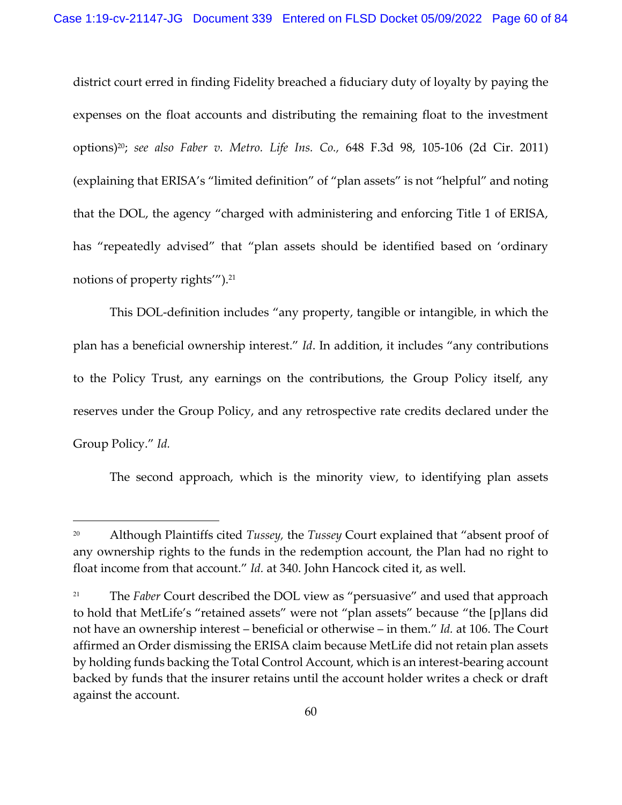district court erred in finding Fidelity breached a fiduciary duty of loyalty by paying the expenses on the float accounts and distributing the remaining float to the investment options)20; *see also Faber v. Metro. Life Ins. Co.,* 648 F.3d 98, 105-106 (2d Cir. 2011) (explaining that ERISA's "limited definition" of "plan assets" is not "helpful" and noting that the DOL, the agency "charged with administering and enforcing Title 1 of ERISA, has "repeatedly advised" that "plan assets should be identified based on 'ordinary notions of property rights'").<sup>21</sup>

This DOL-definition includes "any property, tangible or intangible, in which the plan has a beneficial ownership interest." *Id*. In addition, it includes "any contributions to the Policy Trust, any earnings on the contributions, the Group Policy itself, any reserves under the Group Policy, and any retrospective rate credits declared under the Group Policy." *Id.*

The second approach, which is the minority view, to identifying plan assets

<sup>20</sup> Although Plaintiffs cited *Tussey,* the *Tussey* Court explained that "absent proof of any ownership rights to the funds in the redemption account, the Plan had no right to float income from that account." *Id.* at 340. John Hancock cited it, as well.

<sup>&</sup>lt;sup>21</sup> The *Faber* Court described the DOL view as "persuasive" and used that approach to hold that MetLife's "retained assets" were not "plan assets" because "the [p]lans did not have an ownership interest – beneficial or otherwise – in them." *Id.* at 106. The Court affirmed an Order dismissing the ERISA claim because MetLife did not retain plan assets by holding funds backing the Total Control Account, which is an interest-bearing account backed by funds that the insurer retains until the account holder writes a check or draft against the account.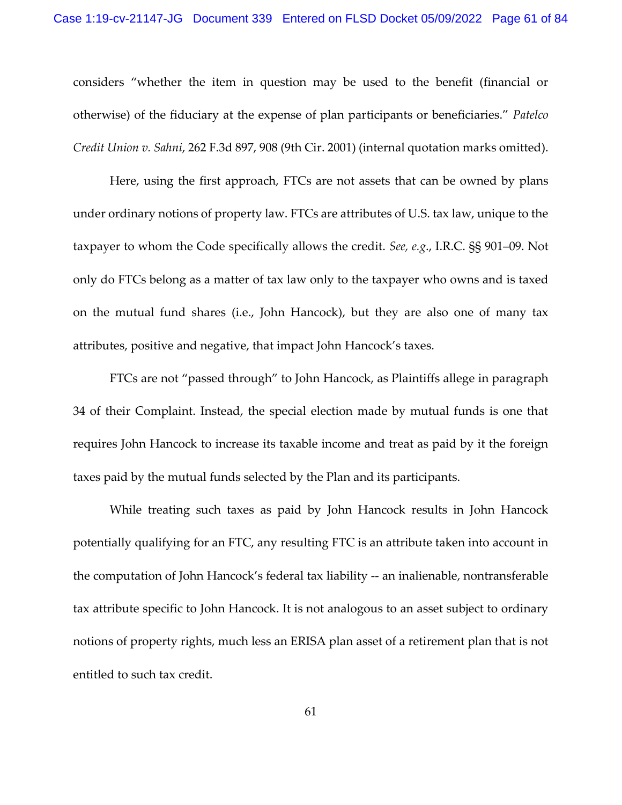considers "whether the item in question may be used to the benefit (financial or otherwise) of the fiduciary at the expense of plan participants or beneficiaries." *Patelco Credit Union v. Sahni*, 262 F.3d 897, 908 (9th Cir. 2001) (internal quotation marks omitted).

Here, using the first approach, FTCs are not assets that can be owned by plans under ordinary notions of property law. FTCs are attributes of U.S. tax law, unique to the taxpayer to whom the Code specifically allows the credit. *See, e.g*., I.R.C. §§ 901–09. Not only do FTCs belong as a matter of tax law only to the taxpayer who owns and is taxed on the mutual fund shares (i.e., John Hancock), but they are also one of many tax attributes, positive and negative, that impact John Hancock's taxes.

FTCs are not "passed through" to John Hancock, as Plaintiffs allege in paragraph 34 of their Complaint. Instead, the special election made by mutual funds is one that requires John Hancock to increase its taxable income and treat as paid by it the foreign taxes paid by the mutual funds selected by the Plan and its participants.

While treating such taxes as paid by John Hancock results in John Hancock potentially qualifying for an FTC, any resulting FTC is an attribute taken into account in the computation of John Hancock's federal tax liability -- an inalienable, nontransferable tax attribute specific to John Hancock. It is not analogous to an asset subject to ordinary notions of property rights, much less an ERISA plan asset of a retirement plan that is not entitled to such tax credit.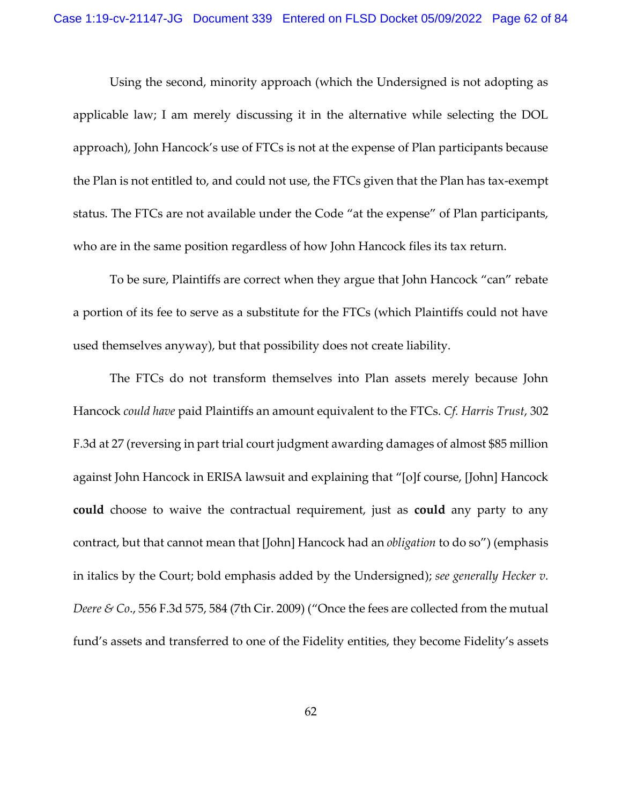Using the second, minority approach (which the Undersigned is not adopting as applicable law; I am merely discussing it in the alternative while selecting the DOL approach), John Hancock's use of FTCs is not at the expense of Plan participants because the Plan is not entitled to, and could not use, the FTCs given that the Plan has tax-exempt status. The FTCs are not available under the Code "at the expense" of Plan participants, who are in the same position regardless of how John Hancock files its tax return.

To be sure, Plaintiffs are correct when they argue that John Hancock "can" rebate a portion of its fee to serve as a substitute for the FTCs (which Plaintiffs could not have used themselves anyway), but that possibility does not create liability.

The FTCs do not transform themselves into Plan assets merely because John Hancock *could have* paid Plaintiffs an amount equivalent to the FTCs. *Cf. Harris Trust*, 302 F.3d at 27 (reversing in part trial court judgment awarding damages of almost \$85 million against John Hancock in ERISA lawsuit and explaining that "[o]f course, [John] Hancock **could** choose to waive the contractual requirement, just as **could** any party to any contract, but that cannot mean that [John] Hancock had an *obligation* to do so") (emphasis in italics by the Court; bold emphasis added by the Undersigned); *see generally Hecker v. Deere & Co.,* 556 F.3d 575, 584 (7th Cir. 2009) ("Once the fees are collected from the mutual fund's assets and transferred to one of the Fidelity entities, they become Fidelity's assets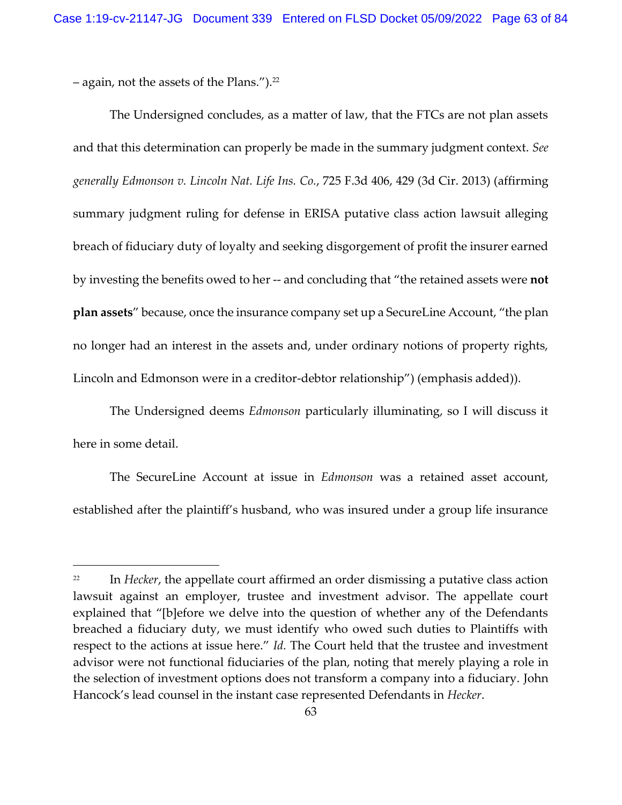– again, not the assets of the Plans."). 22

The Undersigned concludes, as a matter of law, that the FTCs are not plan assets and that this determination can properly be made in the summary judgment context. *See generally Edmonson v. Lincoln Nat. Life Ins. Co.*, 725 F.3d 406, 429 (3d Cir. 2013) (affirming summary judgment ruling for defense in ERISA putative class action lawsuit alleging breach of fiduciary duty of loyalty and seeking disgorgement of profit the insurer earned by investing the benefits owed to her -- and concluding that "the retained assets were **not plan assets**" because, once the insurance company set up a SecureLine Account, "the plan no longer had an interest in the assets and, under ordinary notions of property rights, Lincoln and Edmonson were in a creditor-debtor relationship") (emphasis added)).

The Undersigned deems *Edmonson* particularly illuminating, so I will discuss it here in some detail.

The SecureLine Account at issue in *Edmonson* was a retained asset account, established after the plaintiff's husband, who was insured under a group life insurance

<sup>&</sup>lt;sup>22</sup> In *Hecker*, the appellate court affirmed an order dismissing a putative class action lawsuit against an employer, trustee and investment advisor. The appellate court explained that "[b]efore we delve into the question of whether any of the Defendants breached a fiduciary duty, we must identify who owed such duties to Plaintiffs with respect to the actions at issue here." *Id.* The Court held that the trustee and investment advisor were not functional fiduciaries of the plan, noting that merely playing a role in the selection of investment options does not transform a company into a fiduciary. John Hancock's lead counsel in the instant case represented Defendants in *Hecker*.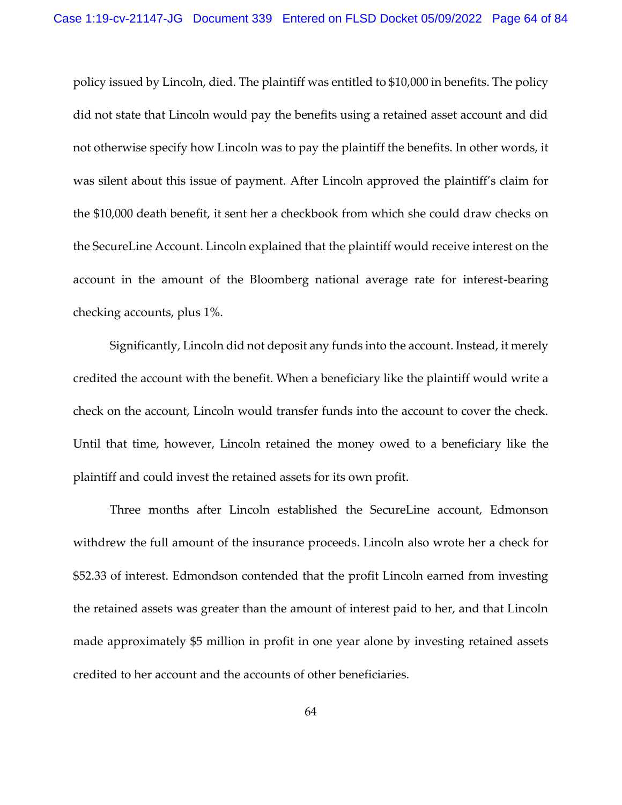policy issued by Lincoln, died. The plaintiff was entitled to \$10,000 in benefits. The policy did not state that Lincoln would pay the benefits using a retained asset account and did not otherwise specify how Lincoln was to pay the plaintiff the benefits. In other words, it was silent about this issue of payment. After Lincoln approved the plaintiff's claim for the \$10,000 death benefit, it sent her a checkbook from which she could draw checks on the SecureLine Account. Lincoln explained that the plaintiff would receive interest on the account in the amount of the Bloomberg national average rate for interest-bearing checking accounts, plus 1%.

Significantly, Lincoln did not deposit any funds into the account. Instead, it merely credited the account with the benefit. When a beneficiary like the plaintiff would write a check on the account, Lincoln would transfer funds into the account to cover the check. Until that time, however, Lincoln retained the money owed to a beneficiary like the plaintiff and could invest the retained assets for its own profit.

Three months after Lincoln established the SecureLine account, Edmonson withdrew the full amount of the insurance proceeds. Lincoln also wrote her a check for \$52.33 of interest. Edmondson contended that the profit Lincoln earned from investing the retained assets was greater than the amount of interest paid to her, and that Lincoln made approximately \$5 million in profit in one year alone by investing retained assets credited to her account and the accounts of other beneficiaries.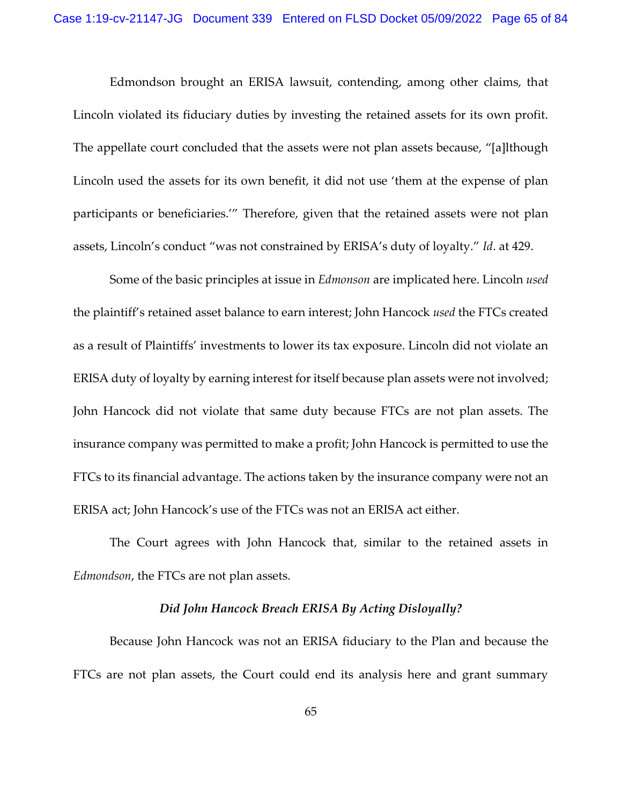Edmondson brought an ERISA lawsuit, contending, among other claims, that Lincoln violated its fiduciary duties by investing the retained assets for its own profit. The appellate court concluded that the assets were not plan assets because, "[a]lthough Lincoln used the assets for its own benefit, it did not use 'them at the expense of plan participants or beneficiaries.'" Therefore, given that the retained assets were not plan assets, Lincoln's conduct "was not constrained by ERISA's duty of loyalty." *Id*. at 429.

Some of the basic principles at issue in *Edmonson* are implicated here. Lincoln *used* the plaintiff's retained asset balance to earn interest; John Hancock *used* the FTCs created as a result of Plaintiffs' investments to lower its tax exposure. Lincoln did not violate an ERISA duty of loyalty by earning interest for itself because plan assets were not involved; John Hancock did not violate that same duty because FTCs are not plan assets. The insurance company was permitted to make a profit; John Hancock is permitted to use the FTCs to its financial advantage. The actions taken by the insurance company were not an ERISA act; John Hancock's use of the FTCs was not an ERISA act either.

The Court agrees with John Hancock that, similar to the retained assets in *Edmondson*, the FTCs are not plan assets.

### *Did John Hancock Breach ERISA By Acting Disloyally?*

 Because John Hancock was not an ERISA fiduciary to the Plan and because the FTCs are not plan assets, the Court could end its analysis here and grant summary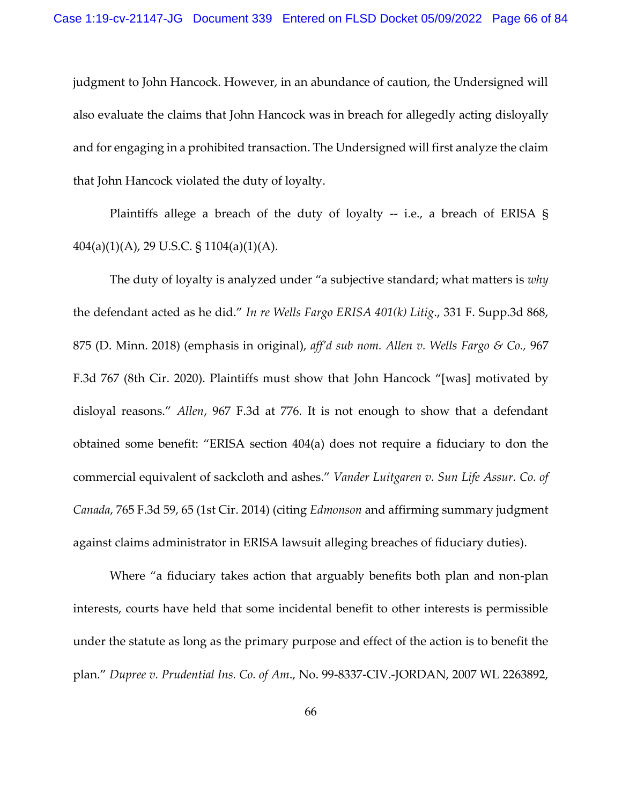judgment to John Hancock. However, in an abundance of caution, the Undersigned will also evaluate the claims that John Hancock was in breach for allegedly acting disloyally and for engaging in a prohibited transaction. The Undersigned will first analyze the claim that John Hancock violated the duty of loyalty.

Plaintiffs allege a breach of the duty of loyalty  $-$  i.e., a breach of ERISA § 404(a)(1)(A), 29 U.S.C. § 1104(a)(1)(A).

The duty of loyalty is analyzed under "a subjective standard; what matters is *why* the defendant acted as he did." *In re Wells Fargo ERISA 401(k) Litig*., 331 F. Supp.3d 868, 875 (D. Minn. 2018) (emphasis in original), *aff'd sub nom. Allen v. Wells Fargo & Co.,* 967 F.3d 767 (8th Cir. 2020). Plaintiffs must show that John Hancock "[was] motivated by disloyal reasons." *Allen*, 967 F.3d at 776. It is not enough to show that a defendant obtained some benefit: "ERISA section 404(a) does not require a fiduciary to don the commercial equivalent of sackcloth and ashes." *Vander Luitgaren v. Sun Life Assur. Co. of Canada*, 765 F.3d 59, 65 (1st Cir. 2014) (citing *Edmonson* and affirming summary judgment against claims administrator in ERISA lawsuit alleging breaches of fiduciary duties).

Where "a fiduciary takes action that arguably benefits both plan and non-plan interests, courts have held that some incidental benefit to other interests is permissible under the statute as long as the primary purpose and effect of the action is to benefit the plan." *Dupree v. Prudential Ins. Co. of Am*., No. 99-8337-CIV.-JORDAN, 2007 WL 2263892,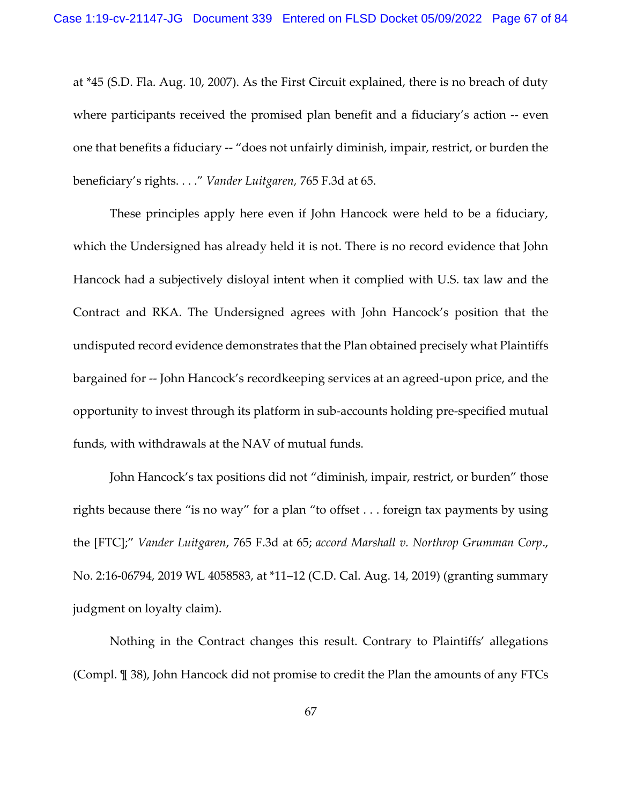at \*45 (S.D. Fla. Aug. 10, 2007). As the First Circuit explained, there is no breach of duty where participants received the promised plan benefit and a fiduciary's action -- even one that benefits a fiduciary -- "does not unfairly diminish, impair, restrict, or burden the beneficiary's rights. . . ." *Vander Luitgaren,* 765 F.3d at 65.

These principles apply here even if John Hancock were held to be a fiduciary, which the Undersigned has already held it is not. There is no record evidence that John Hancock had a subjectively disloyal intent when it complied with U.S. tax law and the Contract and RKA. The Undersigned agrees with John Hancock's position that the undisputed record evidence demonstrates that the Plan obtained precisely what Plaintiffs bargained for -- John Hancock's recordkeeping services at an agreed-upon price, and the opportunity to invest through its platform in sub-accounts holding pre-specified mutual funds, with withdrawals at the NAV of mutual funds.

John Hancock's tax positions did not "diminish, impair, restrict, or burden" those rights because there "is no way" for a plan "to offset . . . foreign tax payments by using the [FTC];" *Vander Luitgaren*, 765 F.3d at 65; *accord Marshall v. Northrop Grumman Corp*., No. 2:16-06794, 2019 WL 4058583, at \*11–12 (C.D. Cal. Aug. 14, 2019) (granting summary judgment on loyalty claim).

Nothing in the Contract changes this result. Contrary to Plaintiffs' allegations (Compl. ¶ 38), John Hancock did not promise to credit the Plan the amounts of any FTCs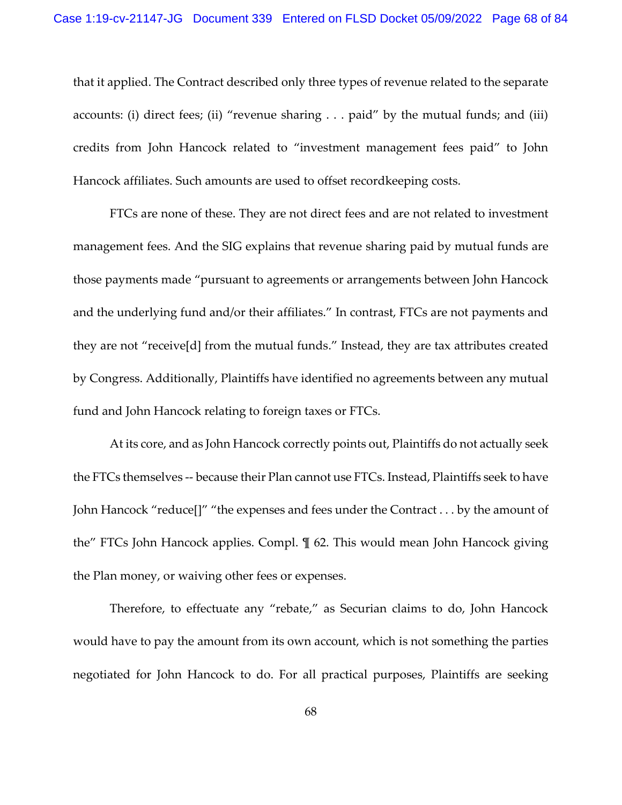that it applied. The Contract described only three types of revenue related to the separate accounts: (i) direct fees; (ii) "revenue sharing  $\ldots$  paid" by the mutual funds; and (iii) credits from John Hancock related to "investment management fees paid" to John Hancock affiliates. Such amounts are used to offset recordkeeping costs.

FTCs are none of these. They are not direct fees and are not related to investment management fees. And the SIG explains that revenue sharing paid by mutual funds are those payments made "pursuant to agreements or arrangements between John Hancock and the underlying fund and/or their affiliates." In contrast, FTCs are not payments and they are not "receive[d] from the mutual funds." Instead, they are tax attributes created by Congress. Additionally, Plaintiffs have identified no agreements between any mutual fund and John Hancock relating to foreign taxes or FTCs.

At its core, and as John Hancock correctly points out, Plaintiffs do not actually seek the FTCs themselves -- because their Plan cannot use FTCs. Instead, Plaintiffs seek to have John Hancock "reduce[]" "the expenses and fees under the Contract . . . by the amount of the" FTCs John Hancock applies. Compl. ¶ 62. This would mean John Hancock giving the Plan money, or waiving other fees or expenses.

Therefore, to effectuate any "rebate," as Securian claims to do, John Hancock would have to pay the amount from its own account, which is not something the parties negotiated for John Hancock to do. For all practical purposes, Plaintiffs are seeking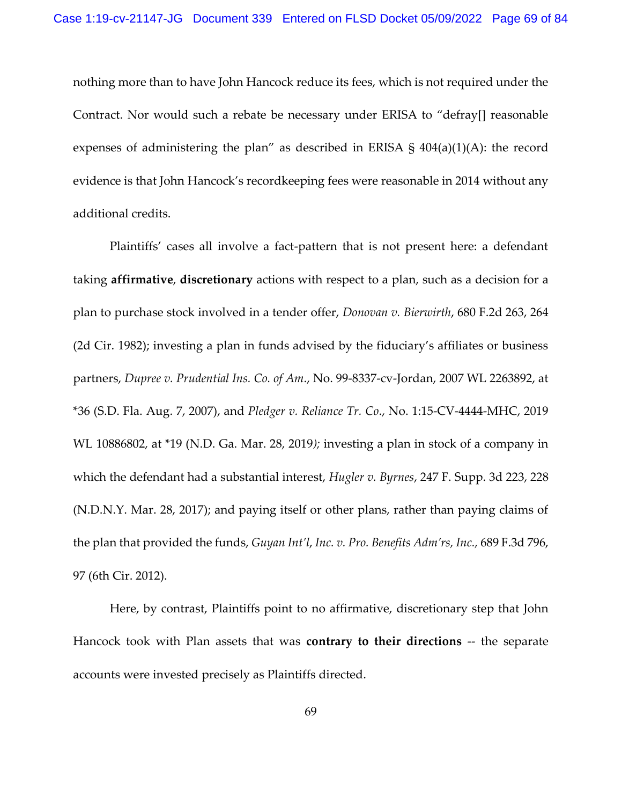nothing more than to have John Hancock reduce its fees, which is not required under the Contract. Nor would such a rebate be necessary under ERISA to "defray[] reasonable expenses of administering the plan" as described in ERISA  $\S$  404(a)(1)(A): the record evidence is that John Hancock's recordkeeping fees were reasonable in 2014 without any additional credits.

Plaintiffs' cases all involve a fact-pattern that is not present here: a defendant taking **affirmative**, **discretionary** actions with respect to a plan, such as a decision for a plan to purchase stock involved in a tender offer, *Donovan v. Bierwirth*, 680 F.2d 263, 264 (2d Cir. 1982); investing a plan in funds advised by the fiduciary's affiliates or business partners, *Dupree v. Prudential Ins. Co. of Am*., No. 99-8337-cv-Jordan, 2007 WL 2263892, at \*36 (S.D. Fla. Aug. 7, 2007), and *Pledger v. Reliance Tr. Co*., No. 1:15-CV-4444-MHC, 2019 WL 10886802, at \*19 (N.D. Ga. Mar. 28, 2019*);* investing a plan in stock of a company in which the defendant had a substantial interest, *Hugler v. Byrnes*, 247 F. Supp. 3d 223, 228 (N.D.N.Y. Mar. 28, 2017); and paying itself or other plans, rather than paying claims of the plan that provided the funds, *Guyan Int'l*, *Inc. v. Pro. Benefits Adm'rs, Inc.,* 689 F.3d 796, 97 (6th Cir. 2012).

Here, by contrast, Plaintiffs point to no affirmative, discretionary step that John Hancock took with Plan assets that was **contrary to their directions** -- the separate accounts were invested precisely as Plaintiffs directed.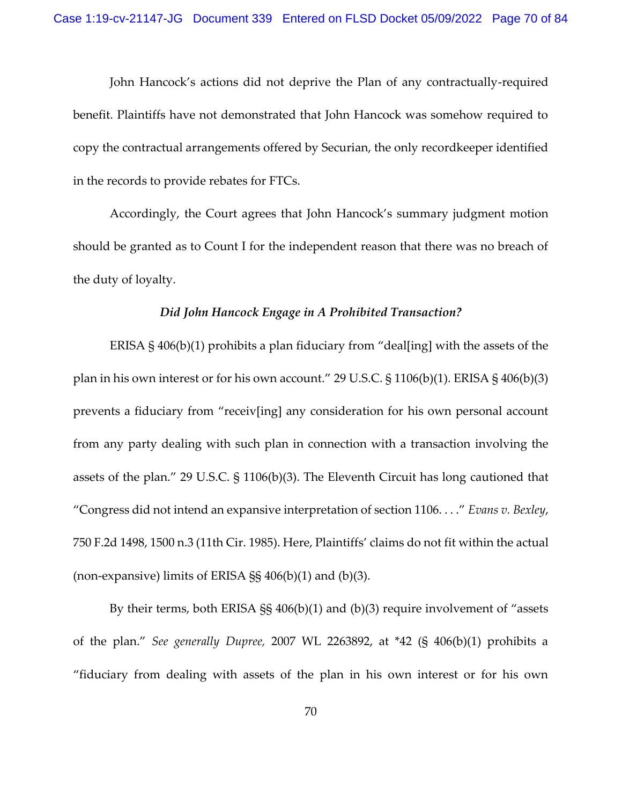John Hancock's actions did not deprive the Plan of any contractually-required benefit. Plaintiffs have not demonstrated that John Hancock was somehow required to copy the contractual arrangements offered by Securian, the only recordkeeper identified in the records to provide rebates for FTCs.

Accordingly, the Court agrees that John Hancock's summary judgment motion should be granted as to Count I for the independent reason that there was no breach of the duty of loyalty.

## *Did John Hancock Engage in A Prohibited Transaction?*

ERISA § 406(b)(1) prohibits a plan fiduciary from "deal[ing] with the assets of the plan in his own interest or for his own account." 29 U.S.C. § 1106(b)(1). ERISA § 406(b)(3) prevents a fiduciary from "receiv[ing] any consideration for his own personal account from any party dealing with such plan in connection with a transaction involving the assets of the plan." 29 U.S.C. § 1106(b)(3). The Eleventh Circuit has long cautioned that "Congress did not intend an expansive interpretation of section 1106. . . ." *Evans v. Bexley*, 750 F.2d 1498, 1500 n.3 (11th Cir. 1985). Here, Plaintiffs' claims do not fit within the actual (non-expansive) limits of ERISA  $\S$ § 406(b)(1) and (b)(3).

By their terms, both ERISA §§ 406(b)(1) and (b)(3) require involvement of "assets of the plan." *See generally Dupree,* 2007 WL 2263892, at \*42 (§ 406(b)(1) prohibits a "fiduciary from dealing with assets of the plan in his own interest or for his own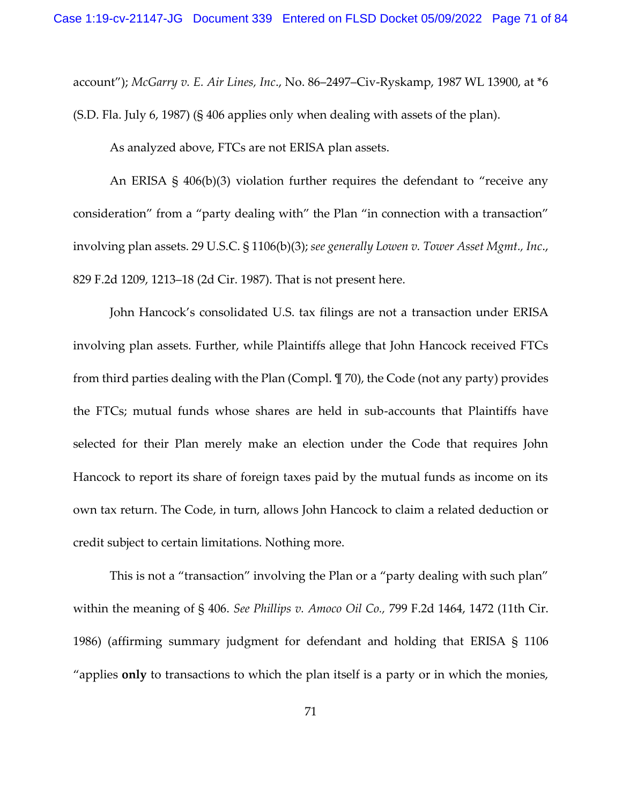account"); *McGarry v. E. Air Lines, Inc*., No. 86–2497–Civ-Ryskamp, 1987 WL 13900, at \*6

(S.D. Fla. July 6, 1987) (§ 406 applies only when dealing with assets of the plan).

As analyzed above, FTCs are not ERISA plan assets.

An ERISA § 406(b)(3) violation further requires the defendant to "receive any consideration" from a "party dealing with" the Plan "in connection with a transaction" involving plan assets. 29 U.S.C. § 1106(b)(3); *see generally Lowen v. Tower Asset Mgmt., Inc*., 829 F.2d 1209, 1213–18 (2d Cir. 1987). That is not present here.

John Hancock's consolidated U.S. tax filings are not a transaction under ERISA involving plan assets. Further, while Plaintiffs allege that John Hancock received FTCs from third parties dealing with the Plan (Compl. ¶ 70), the Code (not any party) provides the FTCs; mutual funds whose shares are held in sub-accounts that Plaintiffs have selected for their Plan merely make an election under the Code that requires John Hancock to report its share of foreign taxes paid by the mutual funds as income on its own tax return. The Code, in turn, allows John Hancock to claim a related deduction or credit subject to certain limitations. Nothing more.

This is not a "transaction" involving the Plan or a "party dealing with such plan" within the meaning of § 406. *See Phillips v. Amoco Oil Co.,* 799 F.2d 1464, 1472 (11th Cir. 1986) (affirming summary judgment for defendant and holding that ERISA § 1106 "applies **only** to transactions to which the plan itself is a party or in which the monies,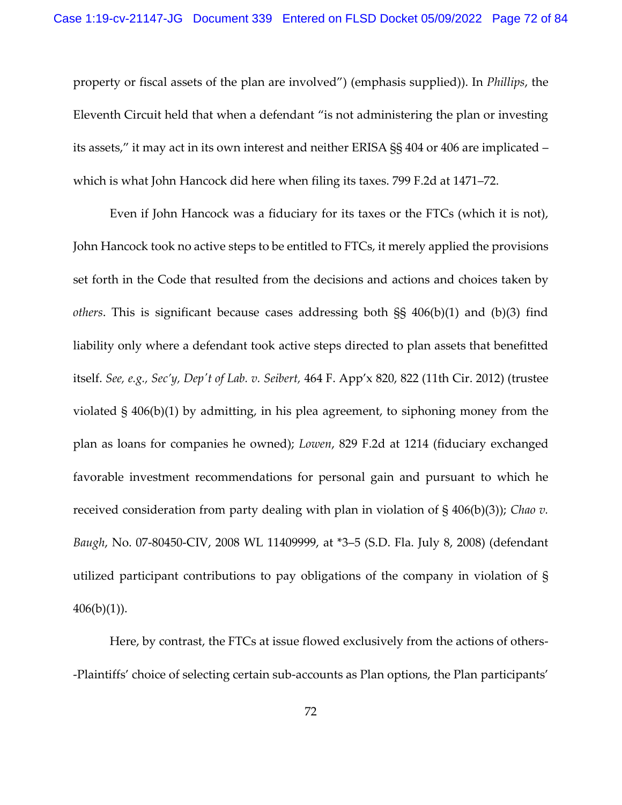property or fiscal assets of the plan are involved") (emphasis supplied)). In *Phillips*, the Eleventh Circuit held that when a defendant "is not administering the plan or investing its assets," it may act in its own interest and neither ERISA §§ 404 or 406 are implicated – which is what John Hancock did here when filing its taxes. 799 F.2d at 1471–72.

Even if John Hancock was a fiduciary for its taxes or the FTCs (which it is not), John Hancock took no active steps to be entitled to FTCs, it merely applied the provisions set forth in the Code that resulted from the decisions and actions and choices taken by *others*. This is significant because cases addressing both §§ 406(b)(1) and (b)(3) find liability only where a defendant took active steps directed to plan assets that benefitted itself. *See, e.g., Sec'y, Dep't of Lab. v. Seibert,* 464 F. App'x 820, 822 (11th Cir. 2012) (trustee violated § 406(b)(1) by admitting, in his plea agreement, to siphoning money from the plan as loans for companies he owned); *Lowen*, 829 F.2d at 1214 (fiduciary exchanged favorable investment recommendations for personal gain and pursuant to which he received consideration from party dealing with plan in violation of § 406(b)(3)); *Chao v. Baugh*, No. 07-80450-CIV, 2008 WL 11409999, at \*3–5 (S.D. Fla. July 8, 2008) (defendant utilized participant contributions to pay obligations of the company in violation of §  $406(b)(1)$ ).

Here, by contrast, the FTCs at issue flowed exclusively from the actions of others- -Plaintiffs' choice of selecting certain sub-accounts as Plan options, the Plan participants'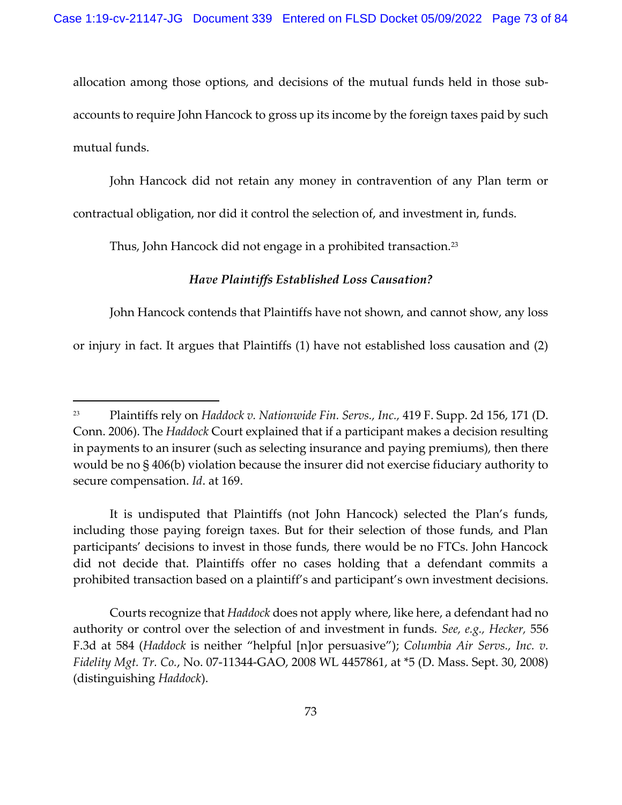allocation among those options, and decisions of the mutual funds held in those subaccounts to require John Hancock to gross up its income by the foreign taxes paid by such mutual funds.

John Hancock did not retain any money in contravention of any Plan term or contractual obligation, nor did it control the selection of, and investment in, funds.

Thus, John Hancock did not engage in a prohibited transaction.<sup>23</sup>

## *Have Plaintiffs Established Loss Causation?*

John Hancock contends that Plaintiffs have not shown, and cannot show, any loss or injury in fact. It argues that Plaintiffs (1) have not established loss causation and (2)

It is undisputed that Plaintiffs (not John Hancock) selected the Plan's funds, including those paying foreign taxes. But for their selection of those funds, and Plan participants' decisions to invest in those funds, there would be no FTCs. John Hancock did not decide that. Plaintiffs offer no cases holding that a defendant commits a prohibited transaction based on a plaintiff's and participant's own investment decisions.

Courts recognize that *Haddock* does not apply where, like here, a defendant had no authority or control over the selection of and investment in funds. *See, e.g., Hecker,* 556 F.3d at 584 (*Haddock* is neither "helpful [n]or persuasive"); *Columbia Air Servs., Inc. v. Fidelity Mgt. Tr. Co.*, No. 07-11344-GAO, 2008 WL 4457861, at \*5 (D. Mass. Sept. 30, 2008) (distinguishing *Haddock*).

<sup>23</sup> Plaintiffs rely on *Haddock v. Nationwide Fin. Servs., Inc.,* 419 F. Supp. 2d 156, 171 (D. Conn. 2006). The *Haddock* Court explained that if a participant makes a decision resulting in payments to an insurer (such as selecting insurance and paying premiums), then there would be no § 406(b) violation because the insurer did not exercise fiduciary authority to secure compensation. *Id*. at 169.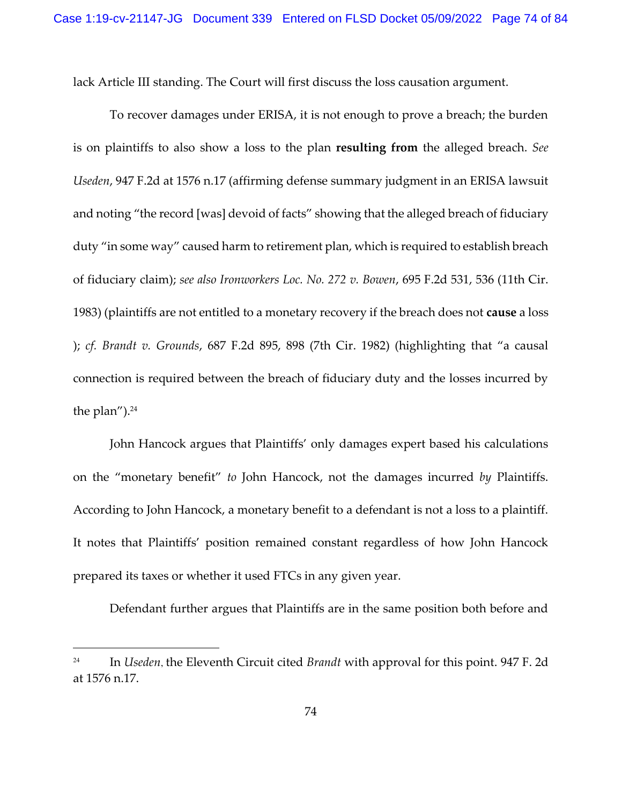lack Article III standing. The Court will first discuss the loss causation argument.

To recover damages under ERISA, it is not enough to prove a breach; the burden is on plaintiffs to also show a loss to the plan **resulting from** the alleged breach. *See Useden*, 947 F.2d at 1576 n.17 (affirming defense summary judgment in an ERISA lawsuit and noting "the record [was] devoid of facts" showing that the alleged breach of fiduciary duty "in some way" caused harm to retirement plan, which is required to establish breach of fiduciary claim); *see also Ironworkers Loc. No. 272 v. Bowen*, 695 F.2d 531, 536 (11th Cir. 1983) (plaintiffs are not entitled to a monetary recovery if the breach does not **cause** a loss ); *cf. Brandt v. Grounds*, 687 F.2d 895, 898 (7th Cir. 1982) (highlighting that "a causal connection is required between the breach of fiduciary duty and the losses incurred by the plan"). $24$ 

John Hancock argues that Plaintiffs' only damages expert based his calculations on the "monetary benefit" *to* John Hancock, not the damages incurred *by* Plaintiffs. According to John Hancock, a monetary benefit to a defendant is not a loss to a plaintiff. It notes that Plaintiffs' position remained constant regardless of how John Hancock prepared its taxes or whether it used FTCs in any given year.

Defendant further argues that Plaintiffs are in the same position both before and

<sup>24</sup> In *Useden*, the Eleventh Circuit cited *Brandt* with approval for this point. 947 F. 2d at 1576 n.17.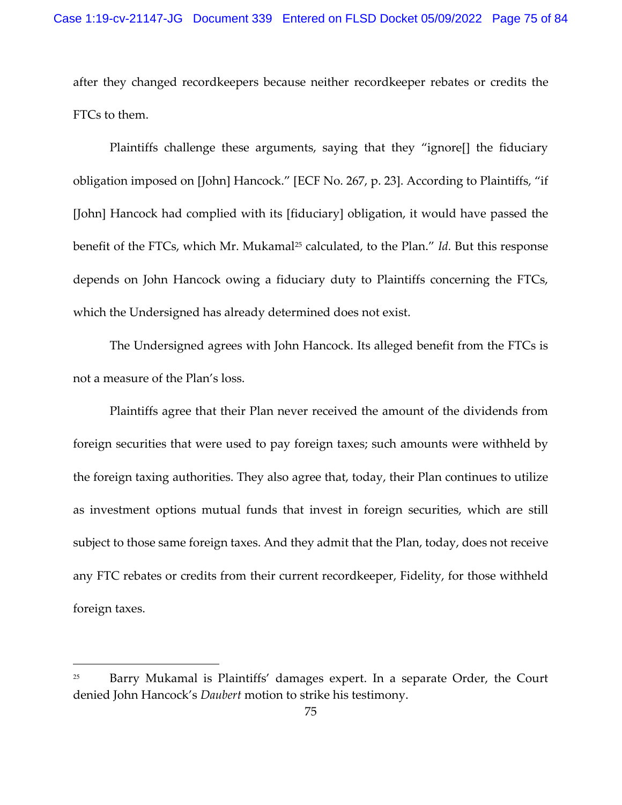after they changed recordkeepers because neither recordkeeper rebates or credits the FTCs to them.

Plaintiffs challenge these arguments, saying that they "ignore[] the fiduciary obligation imposed on [John] Hancock." [ECF No. 267, p. 23]. According to Plaintiffs, "if [John] Hancock had complied with its [fiduciary] obligation, it would have passed the benefit of the FTCs, which Mr. Mukamal<sup>25</sup> calculated, to the Plan." *Id*. But this response depends on John Hancock owing a fiduciary duty to Plaintiffs concerning the FTCs, which the Undersigned has already determined does not exist.

The Undersigned agrees with John Hancock. Its alleged benefit from the FTCs is not a measure of the Plan's loss.

Plaintiffs agree that their Plan never received the amount of the dividends from foreign securities that were used to pay foreign taxes; such amounts were withheld by the foreign taxing authorities. They also agree that, today, their Plan continues to utilize as investment options mutual funds that invest in foreign securities, which are still subject to those same foreign taxes. And they admit that the Plan, today, does not receive any FTC rebates or credits from their current recordkeeper, Fidelity, for those withheld foreign taxes.

<sup>&</sup>lt;sup>25</sup> Barry Mukamal is Plaintiffs' damages expert. In a separate Order, the Court denied John Hancock's *Daubert* motion to strike his testimony.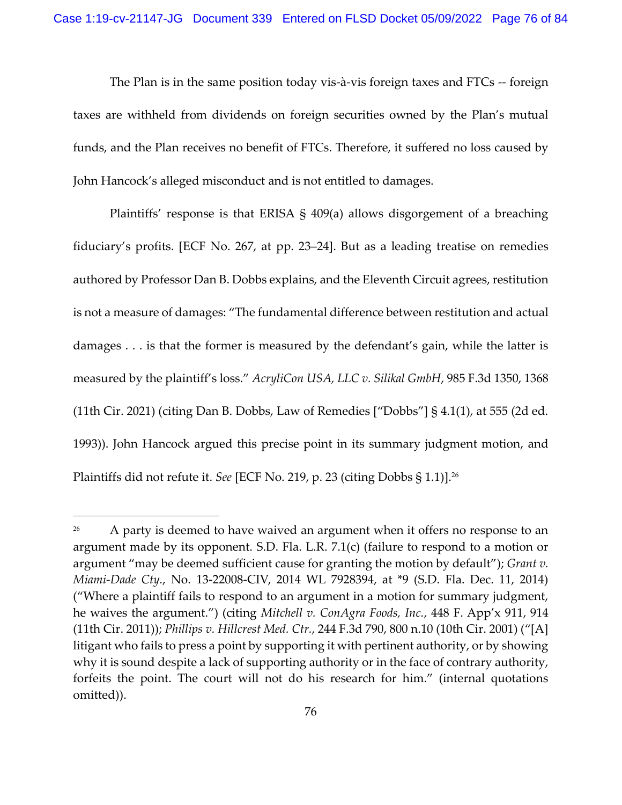The Plan is in the same position today vis-à-vis foreign taxes and FTCs -- foreign taxes are withheld from dividends on foreign securities owned by the Plan's mutual funds, and the Plan receives no benefit of FTCs. Therefore, it suffered no loss caused by John Hancock's alleged misconduct and is not entitled to damages.

Plaintiffs' response is that ERISA § 409(a) allows disgorgement of a breaching fiduciary's profits. [ECF No. 267, at pp. 23–24]. But as a leading treatise on remedies authored by Professor Dan B. Dobbs explains, and the Eleventh Circuit agrees, restitution is not a measure of damages: "The fundamental difference between restitution and actual damages . . . is that the former is measured by the defendant's gain, while the latter is measured by the plaintiff's loss." *AcryliCon USA, LLC v. Silikal GmbH*, 985 F.3d 1350, 1368 (11th Cir. 2021) (citing Dan B. Dobbs, Law of Remedies ["Dobbs"] § 4.1(1), at 555 (2d ed. 1993)). John Hancock argued this precise point in its summary judgment motion, and Plaintiffs did not refute it. *See* [ECF No. 219, p. 23 (citing Dobbs § 1.1)].<sup>26</sup>

<sup>&</sup>lt;sup>26</sup> A party is deemed to have waived an argument when it offers no response to an argument made by its opponent. S.D. Fla. L.R. 7.1(c) (failure to respond to a motion or argument "may be deemed sufficient cause for granting the motion by default"); *Grant v. Miami-Dade Cty.*, No. 13-22008-CIV, 2014 WL 7928394, at \*9 (S.D. Fla. Dec. 11, 2014) ("Where a plaintiff fails to respond to an argument in a motion for summary judgment, he waives the argument.") (citing *Mitchell v. ConAgra Foods, Inc.*, 448 F. App'x 911, 914 (11th Cir. 2011)); *Phillips v. Hillcrest Med. Ctr.*, 244 F.3d 790, 800 n.10 (10th Cir. 2001) ("[A] litigant who fails to press a point by supporting it with pertinent authority, or by showing why it is sound despite a lack of supporting authority or in the face of contrary authority, forfeits the point. The court will not do his research for him." (internal quotations omitted)).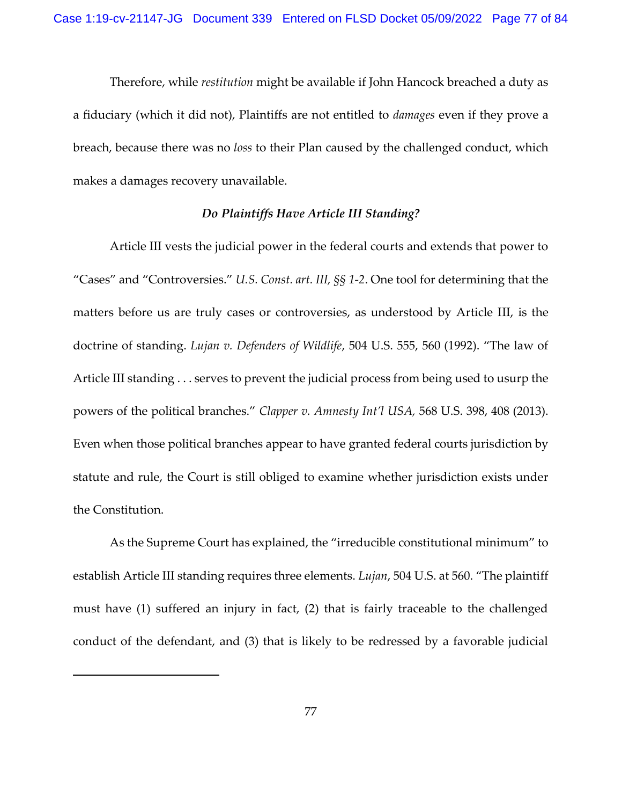Therefore, while *restitution* might be available if John Hancock breached a duty as a fiduciary (which it did not), Plaintiffs are not entitled to *damages* even if they prove a breach, because there was no *loss* to their Plan caused by the challenged conduct, which makes a damages recovery unavailable.

## *Do Plaintiffs Have Article III Standing?*

Article III vests the judicial power in the federal courts and extends that power to "Cases" and "Controversies." *U.S. Const. art. III, §§ 1-2*. One tool for determining that the matters before us are truly cases or controversies, as understood by Article III, is the doctrine of standing. *Lujan v. Defenders of Wildlife*, 504 U.S. 555, 560 (1992). "The law of Article III standing . . . serves to prevent the judicial process from being used to usurp the powers of the political branches." *Clapper v. Amnesty Int'l USA,* 568 U.S. 398, 408 (2013). Even when those political branches appear to have granted federal courts jurisdiction by statute and rule, the Court is still obliged to examine whether jurisdiction exists under the Constitution.

As the Supreme Court has explained, the "irreducible constitutional minimum" to establish Article III standing requires three elements. *Lujan*, 504 U.S. at 560. "The plaintiff must have (1) suffered an injury in fact, (2) that is fairly traceable to the challenged conduct of the defendant, and (3) that is likely to be redressed by a favorable judicial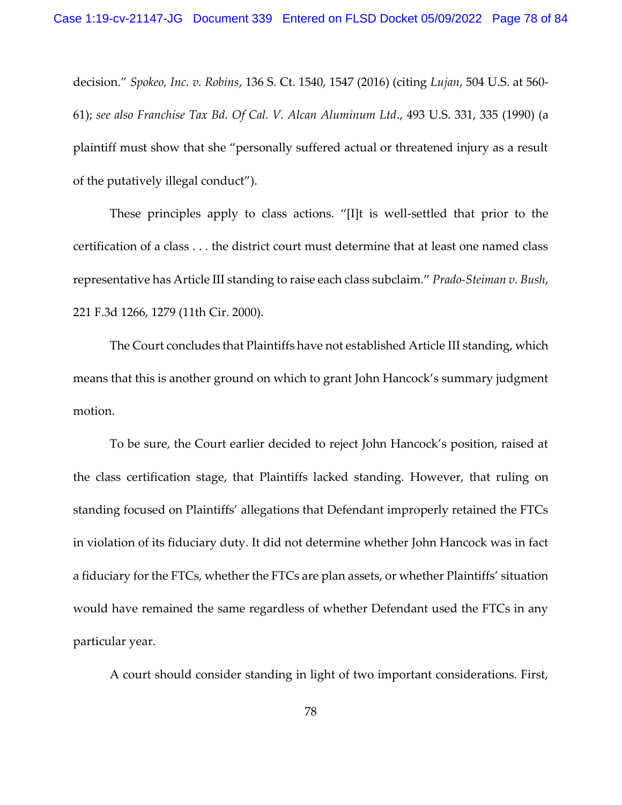decision." *Spokeo, Inc. v. Robins*, 136 S. Ct. 1540, 1547 (2016) (citing *Lujan*, 504 U.S. at 560- 61); *see also Franchise Tax Bd. Of Cal. V. Alcan Aluminum Ltd*., 493 U.S. 331, 335 (1990) (a plaintiff must show that she "personally suffered actual or threatened injury as a result of the putatively illegal conduct").

These principles apply to class actions. "[I]t is well-settled that prior to the certification of a class . . . the district court must determine that at least one named class representative has Article III standing to raise each class subclaim." *Prado-Steiman v. Bush*, 221 F.3d 1266, 1279 (11th Cir. 2000).

The Court concludes that Plaintiffs have not established Article III standing, which means that this is another ground on which to grant John Hancock's summary judgment motion.

To be sure, the Court earlier decided to reject John Hancock's position, raised at the class certification stage, that Plaintiffs lacked standing. However, that ruling on standing focused on Plaintiffs' allegations that Defendant improperly retained the FTCs in violation of its fiduciary duty. It did not determine whether John Hancock was in fact a fiduciary for the FTCs, whether the FTCs are plan assets, or whether Plaintiffs' situation would have remained the same regardless of whether Defendant used the FTCs in any particular year.

A court should consider standing in light of two important considerations. First,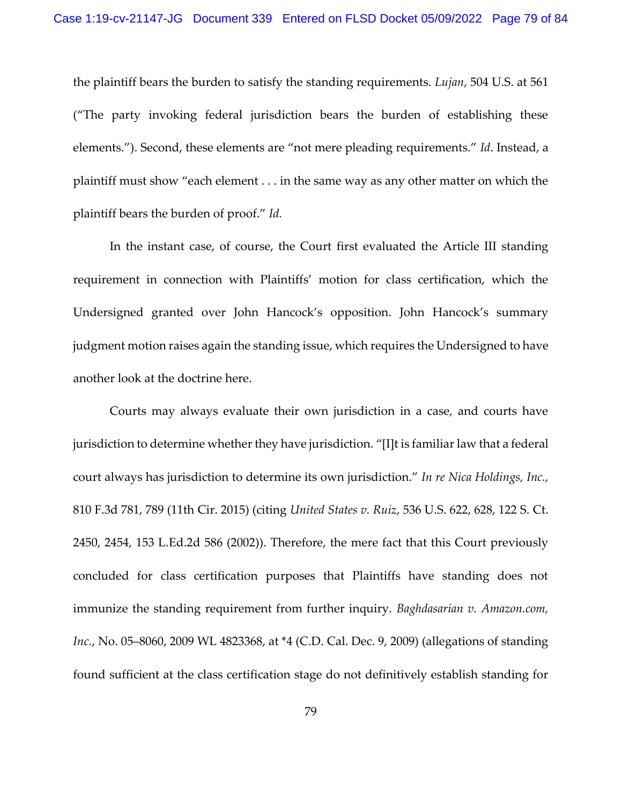the plaintiff bears the burden to satisfy the standing requirements. *Lujan*, 504 U.S. at 561 ("The party invoking federal jurisdiction bears the burden of establishing these elements."). Second, these elements are "not mere pleading requirements." *Id*. Instead, a plaintiff must show "each element . . . in the same way as any other matter on which the plaintiff bears the burden of proof." *Id.*

In the instant case, of course, the Court first evaluated the Article III standing requirement in connection with Plaintiffs' motion for class certification, which the Undersigned granted over John Hancock's opposition. John Hancock's summary judgment motion raises again the standing issue, which requires the Undersigned to have another look at the doctrine here.

Courts may always evaluate their own jurisdiction in a case, and courts have jurisdiction to determine whether they have jurisdiction. "[I]t is familiar law that a federal court always has jurisdiction to determine its own jurisdiction." *In re Nica Holdings, Inc.,* 810 F.3d 781, 789 (11th Cir. 2015) (citing *United States v. Ruiz*, 536 U.S. 622, 628, 122 S. Ct. 2450, 2454, 153 L.Ed.2d 586 (2002)). Therefore, the mere fact that this Court previously concluded for class certification purposes that Plaintiffs have standing does not immunize the standing requirement from further inquiry. *Baghdasarian v. Amazon.com, Inc.*, No. 05–8060, 2009 WL 4823368, at \*4 (C.D. Cal. Dec. 9, 2009) (allegations of standing found sufficient at the class certification stage do not definitively establish standing for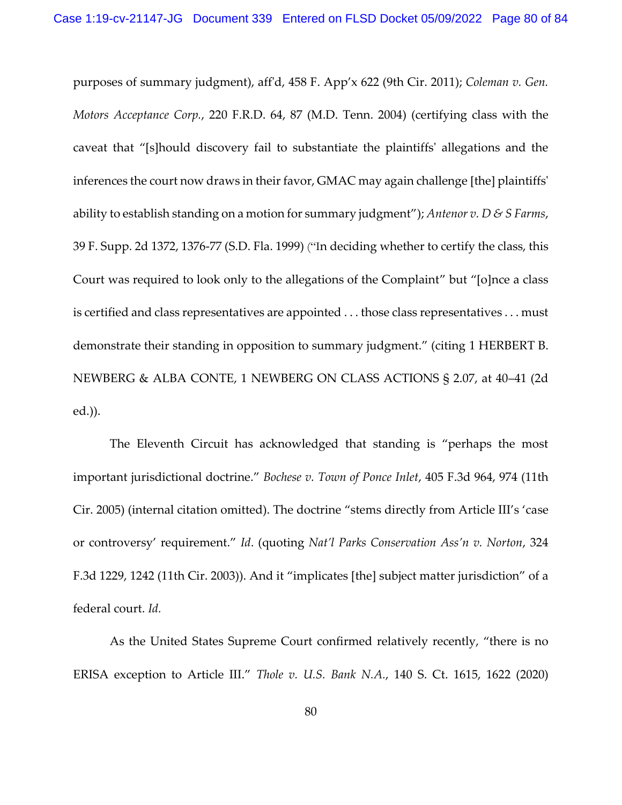purposes of summary judgment), aff'd, 458 F. App'x 622 (9th Cir. 2011); *Coleman v. Gen. Motors Acceptance Corp.*, 220 F.R.D. 64, 87 (M.D. Tenn. 2004) (certifying class with the caveat that "[s]hould discovery fail to substantiate the plaintiffs' allegations and the inferences the court now draws in their favor, GMAC may again challenge [the] plaintiffs' ability to establish standing on a motion for summary judgment"); *Antenor v. D & S Farms*, 39 F. Supp. 2d 1372, 1376-77 (S.D. Fla. 1999) ("In deciding whether to certify the class, this Court was required to look only to the allegations of the Complaint" but "[o]nce a class is certified and class representatives are appointed . . . those class representatives . . . must demonstrate their standing in opposition to summary judgment." (citing 1 HERBERT B. NEWBERG & ALBA CONTE, 1 NEWBERG ON CLASS ACTIONS § 2.07, at 40–41 (2d ed.)).

The Eleventh Circuit has acknowledged that standing is "perhaps the most important jurisdictional doctrine." *Bochese v. Town of Ponce Inlet*, 405 F.3d 964, 974 (11th Cir. 2005) (internal citation omitted). The doctrine "stems directly from Article III's 'case or controversy' requirement." *Id*. (quoting *Nat'l Parks Conservation Ass'n v. Norton*, 324 F.3d 1229, 1242 (11th Cir. 2003)). And it "implicates [the] subject matter jurisdiction" of a federal court. *Id.*

As the United States Supreme Court confirmed relatively recently, "there is no ERISA exception to Article III." *Thole v. U.S. Bank N.A.*, 140 S. Ct. 1615, 1622 (2020)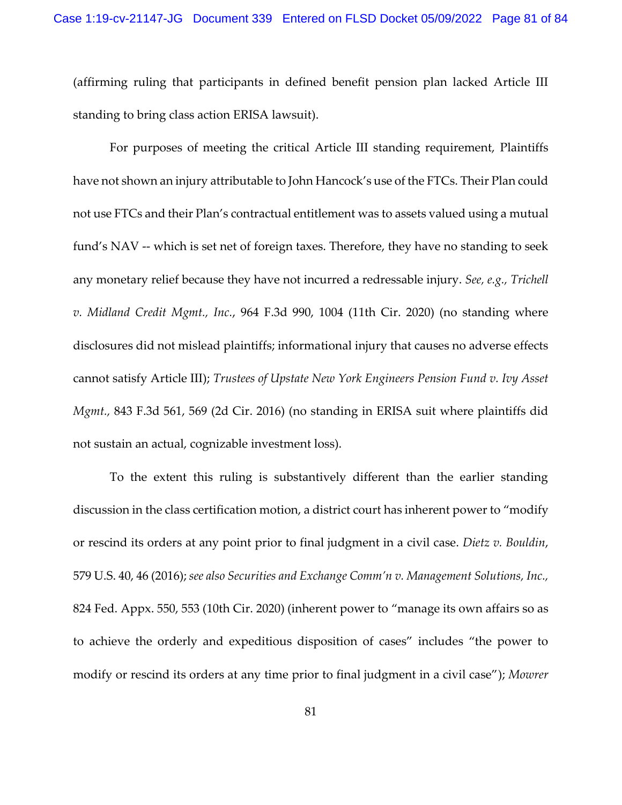(affirming ruling that participants in defined benefit pension plan lacked Article III standing to bring class action ERISA lawsuit).

For purposes of meeting the critical Article III standing requirement, Plaintiffs have not shown an injury attributable to John Hancock's use of the FTCs. Their Plan could not use FTCs and their Plan's contractual entitlement was to assets valued using a mutual fund's NAV -- which is set net of foreign taxes. Therefore, they have no standing to seek any monetary relief because they have not incurred a redressable injury. *See, e.g., Trichell v. Midland Credit Mgmt., Inc.*, 964 F.3d 990, 1004 (11th Cir. 2020) (no standing where disclosures did not mislead plaintiffs; informational injury that causes no adverse effects cannot satisfy Article III); *Trustees of Upstate New York Engineers Pension Fund v. Ivy Asset Mgmt.,* 843 F.3d 561, 569 (2d Cir. 2016) (no standing in ERISA suit where plaintiffs did not sustain an actual, cognizable investment loss).

To the extent this ruling is substantively different than the earlier standing discussion in the class certification motion, a district court has inherent power to "modify or rescind its orders at any point prior to final judgment in a civil case. *Dietz v. Bouldin*, 579 U.S. 40, 46 (2016); *see also Securities and Exchange Comm'n v. Management Solutions, Inc.,*  824 Fed. Appx. 550, 553 (10th Cir. 2020) (inherent power to "manage its own affairs so as to achieve the orderly and expeditious disposition of cases" includes "the power to modify or rescind its orders at any time prior to final judgment in a civil case"); *Mowrer*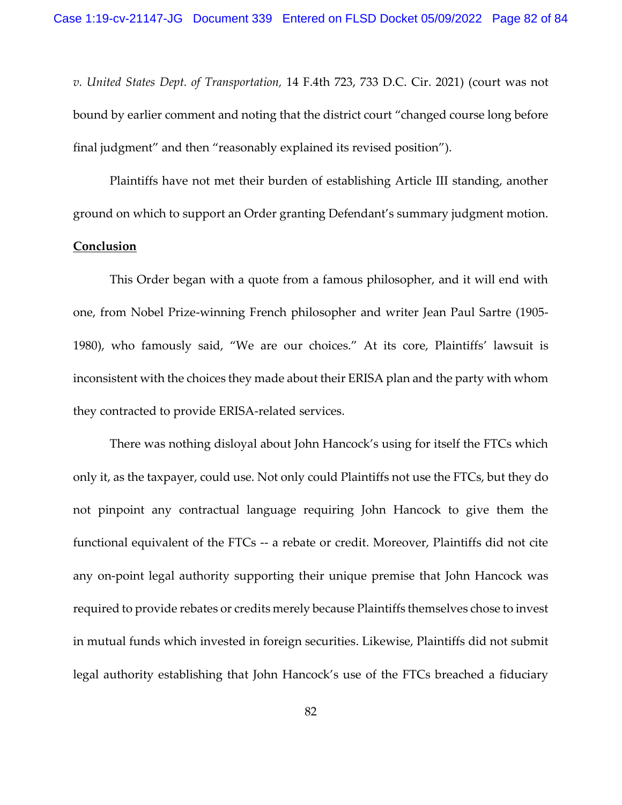*v. United States Dept. of Transportation,* 14 F.4th 723, 733 D.C. Cir. 2021) (court was not bound by earlier comment and noting that the district court "changed course long before final judgment" and then "reasonably explained its revised position").

Plaintiffs have not met their burden of establishing Article III standing, another ground on which to support an Order granting Defendant's summary judgment motion.

## **Conclusion**

 This Order began with a quote from a famous philosopher, and it will end with one, from Nobel Prize-winning French philosopher and writer Jean Paul Sartre (1905- 1980), who famously said, "We are our choices." At its core, Plaintiffs' lawsuit is inconsistent with the choices they made about their ERISA plan and the party with whom they contracted to provide ERISA-related services.

There was nothing disloyal about John Hancock's using for itself the FTCs which only it, as the taxpayer, could use. Not only could Plaintiffs not use the FTCs, but they do not pinpoint any contractual language requiring John Hancock to give them the functional equivalent of the FTCs -- a rebate or credit. Moreover, Plaintiffs did not cite any on-point legal authority supporting their unique premise that John Hancock was required to provide rebates or credits merely because Plaintiffs themselves chose to invest in mutual funds which invested in foreign securities. Likewise, Plaintiffs did not submit legal authority establishing that John Hancock's use of the FTCs breached a fiduciary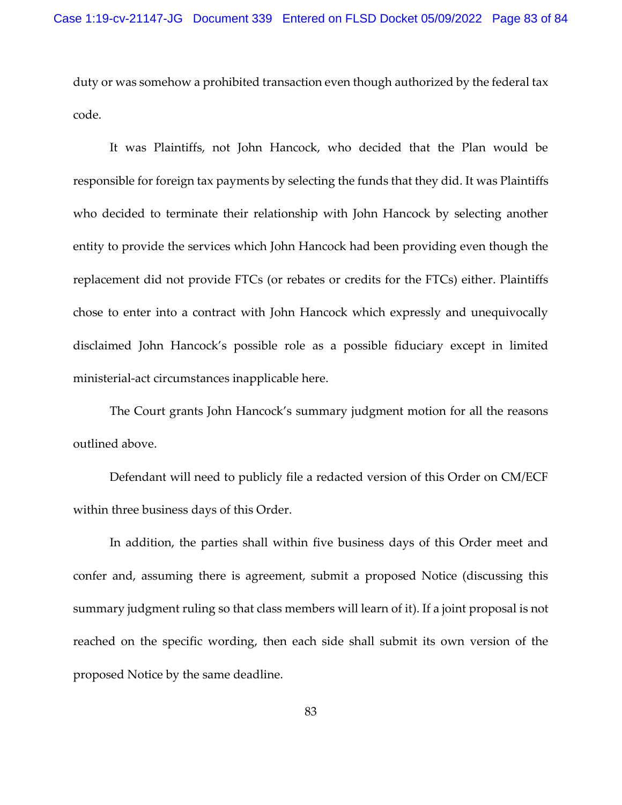duty or was somehow a prohibited transaction even though authorized by the federal tax code.

 It was Plaintiffs, not John Hancock, who decided that the Plan would be responsible for foreign tax payments by selecting the funds that they did. It was Plaintiffs who decided to terminate their relationship with John Hancock by selecting another entity to provide the services which John Hancock had been providing even though the replacement did not provide FTCs (or rebates or credits for the FTCs) either. Plaintiffs chose to enter into a contract with John Hancock which expressly and unequivocally disclaimed John Hancock's possible role as a possible fiduciary except in limited ministerial-act circumstances inapplicable here.

The Court grants John Hancock's summary judgment motion for all the reasons outlined above.

 Defendant will need to publicly file a redacted version of this Order on CM/ECF within three business days of this Order.

 In addition, the parties shall within five business days of this Order meet and confer and, assuming there is agreement, submit a proposed Notice (discussing this summary judgment ruling so that class members will learn of it). If a joint proposal is not reached on the specific wording, then each side shall submit its own version of the proposed Notice by the same deadline.